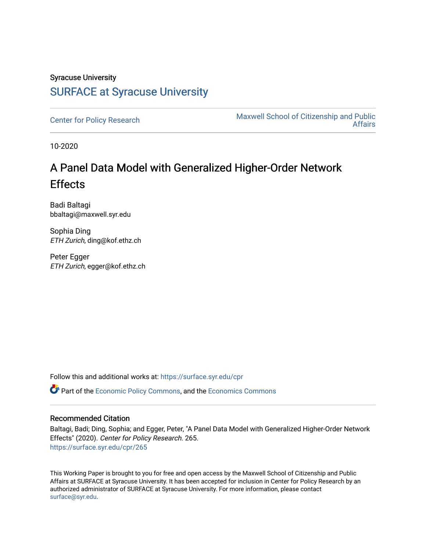### Syracuse University [SURFACE at Syracuse University](https://surface.syr.edu/)

[Center for Policy Research](https://surface.syr.edu/cpr) Maxwell School of Citizenship and Public [Affairs](https://surface.syr.edu/maxwell) 

10-2020

# A Panel Data Model with Generalized Higher-Order Network Effects

Badi Baltagi bbaltagi@maxwell.syr.edu

Sophia Ding ETH Zurich, ding@kof.ethz.ch

Peter Egger ETH Zurich, egger@kof.ethz.ch

Follow this and additional works at: [https://surface.syr.edu/cpr](https://surface.syr.edu/cpr?utm_source=surface.syr.edu%2Fcpr%2F265&utm_medium=PDF&utm_campaign=PDFCoverPages) 

**C** Part of the [Economic Policy Commons](http://network.bepress.com/hgg/discipline/1025?utm_source=surface.syr.edu%2Fcpr%2F265&utm_medium=PDF&utm_campaign=PDFCoverPages), and the [Economics Commons](http://network.bepress.com/hgg/discipline/340?utm_source=surface.syr.edu%2Fcpr%2F265&utm_medium=PDF&utm_campaign=PDFCoverPages)

#### Recommended Citation

Baltagi, Badi; Ding, Sophia; and Egger, Peter, "A Panel Data Model with Generalized Higher-Order Network Effects" (2020). Center for Policy Research. 265. [https://surface.syr.edu/cpr/265](https://surface.syr.edu/cpr/265?utm_source=surface.syr.edu%2Fcpr%2F265&utm_medium=PDF&utm_campaign=PDFCoverPages) 

This Working Paper is brought to you for free and open access by the Maxwell School of Citizenship and Public Affairs at SURFACE at Syracuse University. It has been accepted for inclusion in Center for Policy Research by an authorized administrator of SURFACE at Syracuse University. For more information, please contact [surface@syr.edu.](mailto:surface@syr.edu)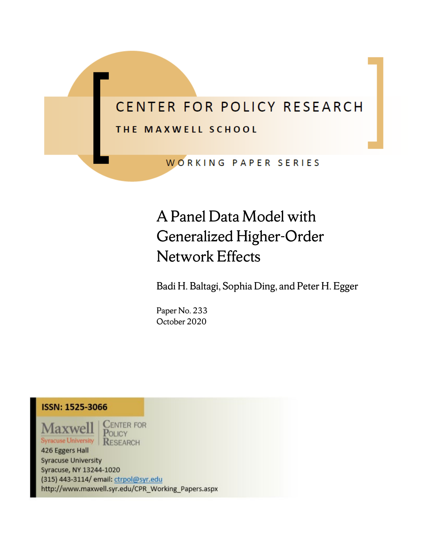# CENTER FOR POLICY RESEARCH

## THE MAXWELL SCHOOL

WORKING PAPER SERIES

# A Panel Data Model with Generalized Higher-Order Network Effects

Badi H. Baltagi, Sophia Ding, and Peter H. Egger

Paper No. 233 October 2020



**Maxwel Syracuse University** 

**CENTER FOR** POLICY RESEARCH

426 Eggers Hall **Syracuse University** Syracuse, NY 13244-1020 (315) 443-3114/ email: ctrpol@syr.edu http://www.maxwell.syr.edu/CPR\_Working\_Papers.aspx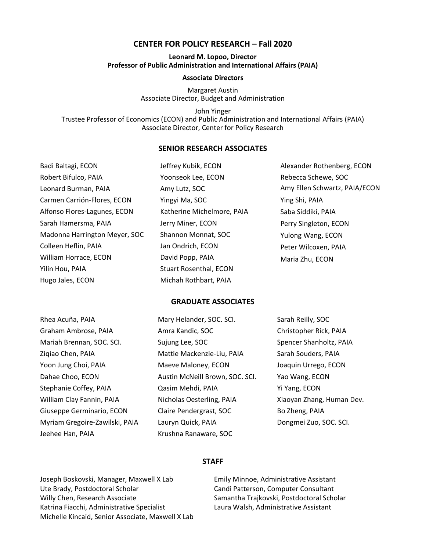#### **CENTER FOR POLICY RESEARCH – Fall 2020**

#### **Leonard M. Lopoo, Director Professor of Public Administration and International Affairs (PAIA)**

#### **Associate Directors**

Margaret Austin Associate Director, Budget and Administration

John Yinger Trustee Professor of Economics (ECON) and Public Administration and International Affairs (PAIA) Associate Director, Center for Policy Research

#### **SENIOR RESEARCH ASSOCIATES**

| Badi Baltagi, ECON            | Jeffrey Kubik, ECON           | Alexander Rothenberg, ECON    |
|-------------------------------|-------------------------------|-------------------------------|
| Robert Bifulco, PAIA          | Yoonseok Lee, ECON            | Rebecca Schewe, SOC           |
| Leonard Burman, PAIA          | Amy Lutz, SOC                 | Amy Ellen Schwartz, PAIA/ECON |
| Carmen Carrión-Flores, ECON   | Yingyi Ma, SOC                | Ying Shi, PAIA                |
| Alfonso Flores-Lagunes, ECON  | Katherine Michelmore, PAIA    | Saba Siddiki, PAIA            |
| Sarah Hamersma, PAIA          | Jerry Miner, ECON             | Perry Singleton, ECON         |
| Madonna Harrington Meyer, SOC | Shannon Monnat, SOC           | Yulong Wang, ECON             |
| Colleen Heflin, PAIA          | Jan Ondrich, ECON             | Peter Wilcoxen, PAIA          |
| William Horrace, ECON         | David Popp, PAIA              | Maria Zhu, ECON               |
| Yilin Hou, PAIA               | <b>Stuart Rosenthal, ECON</b> |                               |
| Hugo Jales, ECON              | Michah Rothbart, PAIA         |                               |

#### **GRADUATE ASSOCIATES**

| Rhea Acuña, PAIA               | Mary Helander, SOC. SCI.        | Sarah Reilly, SOC         |
|--------------------------------|---------------------------------|---------------------------|
| Graham Ambrose, PAIA           | Amra Kandic, SOC                | Christopher Rick, PAIA    |
| Mariah Brennan, SOC. SCI.      | Sujung Lee, SOC                 | Spencer Shanholtz, PAIA   |
| Zigiao Chen, PAIA              | Mattie Mackenzie-Liu, PAIA      | Sarah Souders, PAIA       |
| Yoon Jung Choi, PAIA           | Maeve Maloney, ECON             | Joaquin Urrego, ECON      |
| Dahae Choo, ECON               | Austin McNeill Brown, SOC. SCI. | Yao Wang, ECON            |
| Stephanie Coffey, PAIA         | Qasim Mehdi, PAIA               | Yi Yang, ECON             |
| William Clay Fannin, PAIA      | Nicholas Oesterling, PAIA       | Xiaoyan Zhang, Human Dev. |
| Giuseppe Germinario, ECON      | Claire Pendergrast, SOC         | Bo Zheng, PAIA            |
| Myriam Gregoire-Zawilski, PAIA | Lauryn Quick, PAIA              | Dongmei Zuo, SOC. SCI.    |
| Jeehee Han, PAIA               | Krushna Ranaware, SOC           |                           |

#### **STAFF**

Joseph Boskovski, Manager, Maxwell X Lab Ute Brady, Postdoctoral Scholar Willy Chen, Research Associate Katrina Fiacchi, Administrative Specialist Michelle Kincaid, Senior Associate, Maxwell X Lab

Emily Minnoe, Administrative Assistant Candi Patterson, Computer Consultant Samantha Trajkovski, Postdoctoral Scholar Laura Walsh, Administrative Assistant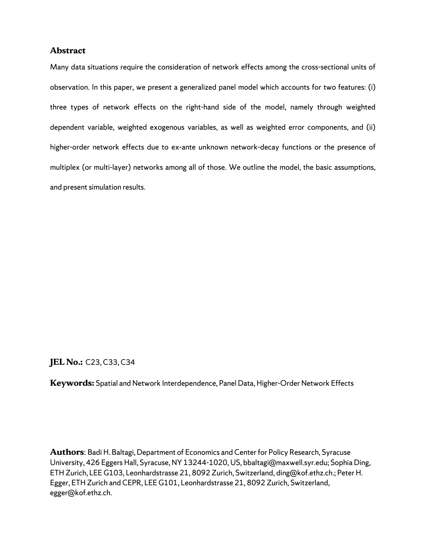#### **Abstract**

Many data situations require the consideration of network effects among the cross-sectional units of observation. In this paper, we present a generalized panel model which accounts for two features: (i) three types of network effects on the right-hand side of the model, namely through weighted dependent variable, weighted exogenous variables, as well as weighted error components, and (ii) higher-order network effects due to ex-ante unknown network-decay functions or the presence of multiplex (or multi-layer) networks among all of those. We outline the model, the basic assumptions, and present simulation results.

#### **JEL No.:** C23, C33, C34

**Keywords:** Spatial and Network Interdependence, Panel Data, Higher-Order Network Effects

**Authors**: Badi H. Baltagi, Department of Economics and Center for Policy Research, Syracuse University, 426 Eggers Hall, Syracuse, NY 13244-1020, US, bbaltagi@maxwell.syr.edu; Sophia Ding, ETH Zurich, LEE G103, Leonhardstrasse 21, 8092 Zurich, Switzerland, ding@kof.ethz.ch.; Peter H. Egger, ETH Zurich and CEPR, LEE G101, Leonhardstrasse 21, 8092 Zurich, Switzerland, egger@kof.ethz.ch.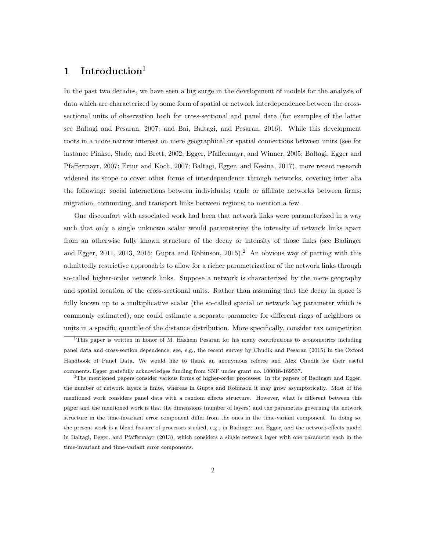#### 1 Introduction<sup>1</sup>

 In the past two decades, we have seen a big surge in the development of models for the analysis of data which are characterized by some form of spatial or network interdependence between the cross- sectional units of observation both for cross-sectional and panel data (for examples of the latter see Baltagi and Pesaran, 2007; and Bai, Baltagi, and Pesaran, 2016). While this development roots in a more narrow interest on mere geographical or spatial connections between units (see for instance Pinkse, Slade, and Brett, 2002; Egger, Pfaffermayr, and Winner, 2005; Baltagi, Egger and Pfaffermayr, 2007; Ertur and Koch, 2007; Baltagi, Egger, and Kesina, 2017), more recent research widened its scope to cover other forms of interdependence through networks, covering inter alia the following: social interactions between individuals; trade or affiliate networks between firms; migration, commuting, and transport links between regions; to mention a few.

 One discomfort with associated work had been that network links were parameterized in a way such that only a single unknown scalar would parameterize the intensity of network links apart from an otherwise fully known structure of the decay or intensity of those links (see Badinger and Egger, 2011, 2013, 2015; Gupta and Robinson, 2015).<sup>2</sup> An obvious way of parting with this admittedly restrictive approach is to allow for a richer parametrization of the network links through so-called higher-order network links. Suppose a network is characterized by the mere geography and spatial location of the cross-sectional units. Rather than assuming that the decay in space is fully known up to a multiplicative scalar (the so-called spatial or network lag parameter which is commonly estimated), one could estimate a separate parameter for different rings of neighbors or units in a specific quantile of the distance distribution. More specifically, consider tax competition

 <sup>1</sup>This paper is written in honor of M. Hashem Pesaran for his many contributions to econometrics including panel data and cross-section dependence; see, e.g., the recent survey by Chudik and Pesaran (2015) in the Oxford Handbook of Panel Data. We would like to thank an anonymous referee and Alex Chudik for their useful comments. Egger gratefully acknowledges funding from SNF under grant no. 100018-169537.

 $2$ The mentioned papers consider various forms of higher-order processes. In the papers of Badinger and Egger, the number of network layers is finite, whereas in Gupta and Robinson it may grow asymptotically. Most of the mentioned work considers panel data with a random effects structure. However, what is different between this paper and the mentioned work is that the dimensions (number of layers) and the parameters governing the network structure in the time-invariant error component differ from the ones in the time-variant component. In doing so, the present work is a blend feature of processes studied, e.g., in Badinger and Egger, and the network-effects model in Baltagi, Egger, and Pfaffermayr (2013), which considers a single network layer with one parameter each in the time-invariant and time-variant error components.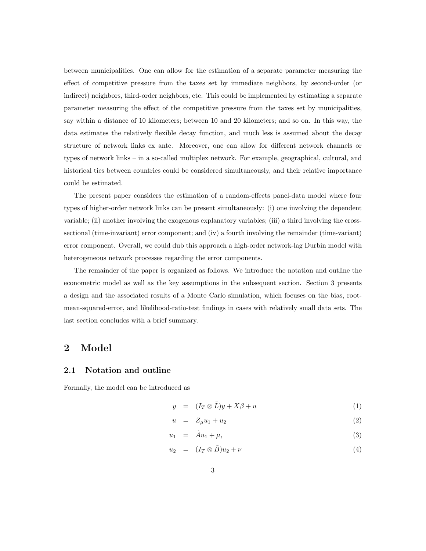between municipalities. One can allow for the estimation of a separate parameter measuring the effect of competitive pressure from the taxes set by immediate neighbors, by second-order (or indirect) neighbors, third-order neighbors, etc. This could be implemented by estimating a separate parameter measuring the effect of the competitive pressure from the taxes set by municipalities, say within a distance of 10 kilometers; between 10 and 20 kilometers; and so on. In this way, the data estimates the relatively flexible decay function, and much less is assumed about the decay structure of network links ex ante. Moreover, one can allow for different network channels or types of network links – in a so-called multiplex network. For example, geographical, cultural, and historical ties between countries could be considered simultaneously, and their relative importance could be estimated.

The present paper considers the estimation of a random-effects panel-data model where four types of higher-order network links can be present simultaneously: (i) one involving the dependent variable; (ii) another involving the exogenous explanatory variables; (iii) a third involving the crosssectional (time-invariant) error component; and (iv) a fourth involving the remainder (time-variant) error component. Overall, we could dub this approach a high-order network-lag Durbin model with heterogeneous network processes regarding the error components.

The remainder of the paper is organized as follows. We introduce the notation and outline the econometric model as well as the key assumptions in the subsequent section. Section 3 presents a design and the associated results of a Monte Carlo simulation, which focuses on the bias, rootmean-squared-error, and likelihood-ratio-test findings in cases with relatively small data sets. The last section concludes with a brief summary.

#### 2 Model

#### 2.1 Notation and outline

Formally, the model can be introduced as

<span id="page-5-0"></span>
$$
y = (I_T \otimes \tilde{L})y + X\beta + u \tag{1}
$$

$$
u = Z_{\mu}u_1 + u_2 \tag{2}
$$

$$
u_1 = \tilde{A}u_1 + \mu,\tag{3}
$$

$$
u_2 = (I_T \otimes \tilde{B})u_2 + \nu \tag{4}
$$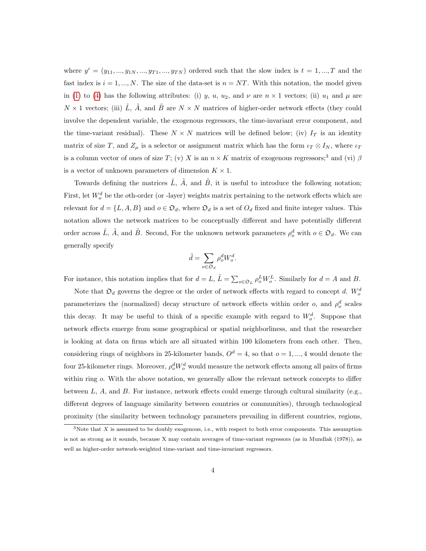where  $y' = (y_{11}, ..., y_{1N}, ..., y_{T1}, ..., y_{TN})$  ordered such that the slow index is  $t = 1, ..., T$  and the fast index is  $i = 1, ..., N$ . The size of the data-set is  $n = NT$ . With this notation, the model given in [\(1\)](#page-5-0) to [\(4\)](#page-5-0) has the following attributes: (i) y, u, u<sub>2</sub>, and  $\nu$  are  $n \times 1$  vectors; (ii) u<sub>1</sub> and  $\mu$  are  $N \times 1$  vectors; (iii)  $\tilde{L}$ ,  $\tilde{A}$ , and  $\tilde{B}$  are  $N \times N$  matrices of higher-order network effects (they could involve the dependent variable, the exogenous regressors, the time-invariant error component, and the time-variant residual). These  $N \times N$  matrices will be defined below; (iv)  $I_T$  is an identity matrix of size T, and  $Z_{\mu}$  is a selector or assignment matrix which has the form  $\iota_T \otimes I_N$ , where  $\iota_T$ is a column vector of ones of size T; (v) X is an  $n \times K$  matrix of exogenous regressors;<sup>3</sup> and (vi)  $\beta$ is a vector of unknown parameters of dimension  $K \times 1$ .

Towards defining the matrices  $\tilde{L}$ ,  $\tilde{A}$ , and  $\tilde{B}$ , it is useful to introduce the following notation; First, let  $W_o^d$  be the oth-order (or -layer) weights matrix pertaining to the network effects which are relevant for  $d = \{L, A, B\}$  and  $o \in \mathfrak{O}_d$ , where  $\mathfrak{O}_d$  is a set of  $O_d$  fixed and finite integer values. This notation allows the network matrices to be conceptually different and have potentially different order across  $\tilde{L}$ ,  $\tilde{A}$ , and  $\tilde{B}$ . Second, For the unknown network parameters  $\rho_o^d$  with  $o \in \mathfrak{O}_d$ . We can generally specify

$$
\tilde{d} = \sum_{o \in \mathfrak{O}_d} \rho_o^d W_o^d.
$$

For instance, this notation implies that for  $d = L$ ,  $\tilde{L} = \sum_{o \in \mathfrak{O}_L} \rho_o^L W_o^L$ . Similarly for  $d = A$  and B.

Note that  $\mathfrak{O}_d$  governs the degree or the order of network effects with regard to concept d.  $W_o^d$ parameterizes the (normalized) decay structure of network effects within order  $o$ , and  $\rho_o^d$  scales this decay. It may be useful to think of a specific example with regard to  $W_o^d$ . Suppose that network effects emerge from some geographical or spatial neighborliness, and that the researcher is looking at data on firms which are all situated within 100 kilometers from each other. Then, considering rings of neighbors in 25-kilometer bands,  $O^d = 4$ , so that  $o = 1, ..., 4$  would denote the four 25-kilometer rings. Moreover,  $\rho_o^d W_o^d$  would measure the network effects among all pairs of firms within ring  $o$ . With the above notation, we generally allow the relevant network concepts to differ between L, A, and B. For instance, network effects could emerge through cultural similarity (e.g., different degrees of language similarity between countries or communities), through technological proximity (the similarity between technology parameters prevailing in different countries, regions,

 $3$ Note that  $X$  is assumed to be doubly exogenous, i.e., with respect to both error components. This assumption is not as strong as it sounds, because X may contain averages of time-variant regressors (as in Mundlak (1978)), as well as higher-order network-weighted time-variant and time-invariant regressors.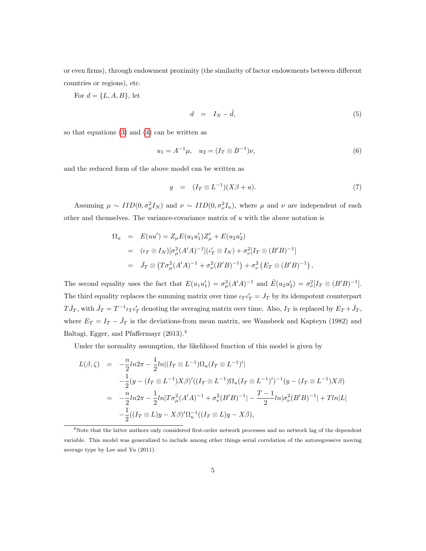or even firms), through endowment proximity (the similarity of factor endowments between different countries or regions), etc.

For  $d = \{L, A, B\}$ , let

$$
d = I_N - \tilde{d}, \tag{5}
$$

so that equations [\(3\)](#page-5-0) and [\(4\)](#page-5-0) can be written as

$$
u_1 = A^{-1}\mu, \quad u_2 = (I_T \otimes B^{-1})\nu,
$$
\n(6)

and the reduced form of the above model can be written as

$$
y = (I_T \otimes L^{-1})(X\beta + u). \tag{7}
$$

Assuming  $\mu \sim IID(0, \sigma_{\mu}^2 I_N)$  and  $\nu \sim IID(0, \sigma_{\nu}^2 I_n)$ , where  $\mu$  and  $\nu$  are independent of each other and themselves. The variance-covariance matrix of  $u$  with the above notation is

$$
\Omega_u = E(uu') = Z_{\mu}E(u_1u'_1)Z'_{\mu} + E(u_2u'_2)
$$
  
=  $(\iota_T \otimes I_N)[\sigma_{\mu}^2 (A'A)^{-1}](\iota'_T \otimes I_N) + \sigma_{\nu}^2[I_T \otimes (B'B)^{-1}]$   
=  $\bar{J}_T \otimes (T\sigma_{\mu}^2 (A'A)^{-1} + \sigma_{\nu}^2 (B'B)^{-1}) + \sigma_{\nu}^2 (E_T \otimes (B'B)^{-1}),$ 

The second equality uses the fact that  $E(u_1u'_1) = \sigma_\mu^2 (A'A)^{-1}$  and  $\hat{E}(u_2u'_2) = \sigma_\nu^2 [I_T \otimes (B'B)^{-1}]$ . The third equality replaces the summing matrix over time  $\iota_T \iota'_T = J_T$  by its idempotent counterpart  $T\bar{J}_T$ , with  $\bar{J}_T = T^{-1}\iota_T\iota'_T$  denoting the averaging matrix over time. Also,  $I_T$  is replaced by  $E_T + \bar{J}_T$ , where  $E_T = I_T - \bar{J}_T$  is the deviations-from mean matrix, see Wansbeek and Kapteyn (1982) and Baltagi, Egger, and Pfaffermayr (2013).<sup>4</sup>

Under the normality assumption, the likelihood function of this model is given by

$$
L(\beta,\zeta) = -\frac{n}{2}ln2\pi - \frac{1}{2}ln|(I_T \otimes L^{-1})\Omega_u(I_T \otimes L^{-1})'|
$$
  
\n
$$
-\frac{1}{2}(y - (I_T \otimes L^{-1})X\beta)'((I_T \otimes L^{-1})\Omega_u(I_T \otimes L^{-1})')^{-1}(y - (I_T \otimes L^{-1})X\beta)
$$
  
\n
$$
= -\frac{n}{2}ln2\pi - \frac{1}{2}ln|T\sigma_\mu^2(A'A)^{-1} + \sigma_\nu^2(B'B)^{-1}| - \frac{T-1}{2}ln|\sigma_\nu^2(B'B)^{-1}| + Tln|L|
$$
  
\n
$$
-\frac{1}{2}((I_T \otimes L)y - X\beta)'\Omega_u^{-1}((I_T \otimes L)y - X\beta),
$$

<sup>4</sup>Note that the latter authors only considered first-order network processes and no network lag of the dependent variable. This model was generalized to include among other things serial correlation of the autoregressive moving average type by Lee and Yu (2011).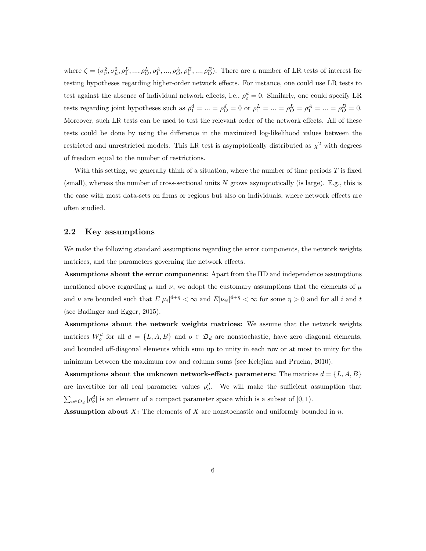where  $\zeta = (\sigma_{\nu}^2, \sigma_{\mu}^2, \rho_1^L, ..., \rho_O^L, \rho_1^A, ..., \rho_O^A, \rho_1^B, ..., \rho_O^B)$ . There are a number of LR tests of interest for testing hypotheses regarding higher-order network effects. For instance, one could use LR tests to test against the absence of individual network effects, i.e.,  $\rho_o^d = 0$ . Similarly, one could specify LR tests regarding joint hypotheses such as  $\rho_1^d = \dots = \rho_O^d = 0$  or  $\rho_1^L = \dots = \rho_O^L = \rho_1^A = \dots = \rho_O^B = 0$ . Moreover, such LR tests can be used to test the relevant order of the network effects. All of these tests could be done by using the difference in the maximized log-likelihood values between the restricted and unrestricted models. This LR test is asymptotically distributed as  $\chi^2$  with degrees of freedom equal to the number of restrictions.

With this setting, we generally think of a situation, where the number of time periods  $T$  is fixed (small), whereas the number of cross-sectional units  $N$  grows asymptotically (is large). E.g., this is the case with most data-sets on firms or regions but also on individuals, where network effects are often studied.

#### 2.2 Key assumptions

We make the following standard assumptions regarding the error components, the network weights matrices, and the parameters governing the network effects.

Assumptions about the error components: Apart from the IID and independence assumptions mentioned above regarding  $\mu$  and  $\nu$ , we adopt the customary assumptions that the elements of  $\mu$ and  $\nu$  are bounded such that  $E|\mu_i|^{4+\eta} < \infty$  and  $E|\nu_{it}|^{4+\eta} < \infty$  for some  $\eta > 0$  and for all i and t (see Badinger and Egger, 2015).

Assumptions about the network weights matrices: We assume that the network weights matrices  $W_o^d$  for all  $d = \{L, A, B\}$  and  $o \in \mathfrak{O}_d$  are nonstochastic, have zero diagonal elements, and bounded off-diagonal elements which sum up to unity in each row or at most to unity for the minimum between the maximum row and column sums (see Kelejian and Prucha, 2010).

Assumptions about the unknown network-effects parameters: The matrices  $d = \{L, A, B\}$ are invertible for all real parameter values  $\rho_o^d$ . We will make the sufficient assumption that  $\sum_{o \in \mathfrak{O}_d} |\rho_o^d|$  is an element of a compact parameter space which is a subset of [0, 1).

**Assumption about X:** The elements of X are nonstochastic and uniformly bounded in n.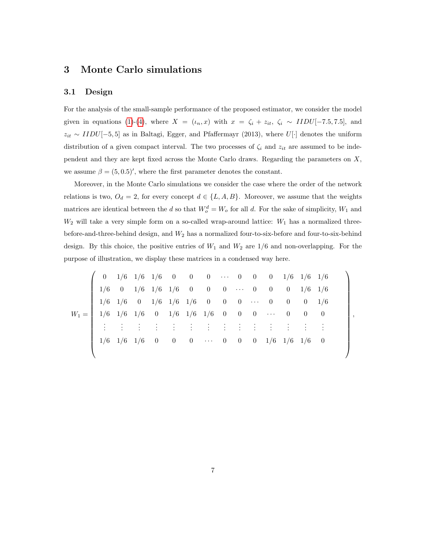#### 3 Monte Carlo simulations

#### 3.1 Design

For the analysis of the small-sample performance of the proposed estimator, we consider the model given in equations [\(1\)](#page-5-0)-[\(4\)](#page-5-0), where  $X = (i_n, x)$  with  $x = \zeta_i + z_{it}$ ,  $\zeta_i \sim IIDU[-7.5, 7.5]$ , and  $z_{it} \sim IIDU[-5, 5]$  as in Baltagi, Egger, and Pfaffermayr (2013), where U[·] denotes the uniform distribution of a given compact interval. The two processes of  $\zeta_i$  and  $z_{it}$  are assumed to be independent and they are kept fixed across the Monte Carlo draws. Regarding the parameters on X, we assume  $\beta = (5, 0.5)'$ , where the first parameter denotes the constant.

Moreover, in the Monte Carlo simulations we consider the case where the order of the network relations is two,  $O_d = 2$ , for every concept  $d \in \{L, A, B\}$ . Moreover, we assume that the weights matrices are identical between the d so that  $W_o^d = W_o$  for all d. For the sake of simplicity,  $W_1$  and  $W_2$  will take a very simple form on a so-called wrap-around lattice:  $W_1$  has a normalized threebefore-and-three-behind design, and  $W_2$  has a normalized four-to-six-before and four-to-six-behind design. By this choice, the positive entries of  $W_1$  and  $W_2$  are  $1/6$  and non-overlapping. For the purpose of illustration, we display these matrices in a condensed way here.

⎛ ⎞ 0 1/6 1/6 1/6 0 0 0 · · · 0 0 0 1/6 1/6 1/6 <sup>⎜</sup> <sup>⎟</sup> <sup>⎜</sup> <sup>⎟</sup> <sup>⎜</sup> 1/6 0 1/6 1/6 1/6 0 0 0 · · · 0 0 0 1/6 1/6 <sup>⎟</sup> <sup>⎜</sup> <sup>⎟</sup> <sup>⎜</sup> <sup>⎟</sup> <sup>⎜</sup> 1/6 1/6 0 1/6 1/6 1/6 0 0 0 · · · 0 0 0 1/6 <sup>⎟</sup> <sup>⎜</sup> <sup>⎟</sup> <sup>⎜</sup> <sup>⎟</sup> <sup>W</sup><sup>1</sup> <sup>=</sup> <sup>⎜</sup> 1/6 1/6 1/6 0 1/6 1/6 1/6 0 0 0 · · · 0 0 0 <sup>⎟</sup> , <sup>⎜</sup> <sup>⎟</sup> <sup>⎜</sup> . . . . . . . . . . . . <sup>⎟</sup> <sup>⎜</sup> . . . . . . . . . . . . . . . . <sup>⎜</sup> . . . . . . . . . . . . . . ⎟⎟ <sup>⎜</sup> <sup>⎟</sup> ⎜⎝ <sup>1</sup>/<sup>6</sup> <sup>1</sup>/<sup>6</sup> <sup>1</sup>/<sup>6</sup> <sup>0</sup> <sup>0</sup> <sup>0</sup> · · · <sup>0</sup> <sup>0</sup> <sup>0</sup> <sup>1</sup>/<sup>6</sup> <sup>1</sup>/<sup>6</sup> <sup>1</sup>/<sup>6</sup> <sup>0</sup> ⎟⎠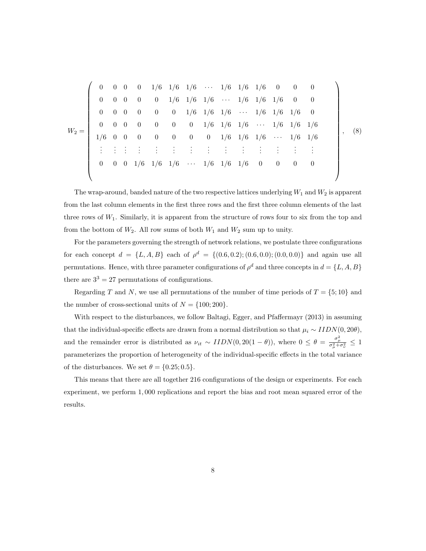⎛ ⎞ 0 0 0 0 1/6 1/6 1/6 · · · 1/6 1/6 1/6 0 0 0 <sup>⎜</sup> <sup>⎟</sup> <sup>⎜</sup> <sup>⎟</sup> <sup>⎜</sup> 0 0 0 0 0 1/6 1/6 1/6 · · · 1/6 1/6 1/6 0 0 <sup>⎟</sup> <sup>⎜</sup> <sup>⎟</sup> <sup>⎜</sup> <sup>⎟</sup> <sup>⎜</sup> 0 0 0 0 0 0 1/6 1/6 1/6 · · · 1/6 1/6 1/6 0 <sup>⎟</sup> <sup>⎜</sup> <sup>⎟</sup> <sup>⎜</sup> <sup>⎟</sup> <sup>⎜</sup> 0 0 0 0 0 0 0 1/6 1/6 1/6 · · · 1/6 1/6 1/6 <sup>⎟</sup> <sup>W</sup><sup>2</sup> <sup>=</sup> <sup>⎜</sup> <sup>⎟</sup> <sup>⎜</sup> <sup>⎟</sup> , (8) ⎜ 1/6 0 0 0 0 0 0 0 1/6 1/6 1/6 · · · 1/6 1/6 <sup>⎟</sup> <sup>⎜</sup> <sup>⎟</sup> <sup>⎜</sup> . . . . . . . . . . . . . . <sup>⎟</sup> <sup>⎜</sup> . . . . . . . . . . . . . . . . . . . . . . . <sup>⎜</sup> . . . . . ⎟⎟ <sup>⎜</sup> <sup>⎟</sup> <sup>⎜</sup> <sup>0</sup> <sup>0</sup> <sup>0</sup> <sup>1</sup>/<sup>6</sup> <sup>1</sup>/<sup>6</sup> <sup>1</sup>/<sup>6</sup> <sup>⎝</sup> · · · <sup>1</sup>/<sup>6</sup> <sup>1</sup>/<sup>6</sup> <sup>1</sup>/<sup>6</sup> <sup>0</sup> <sup>0</sup> <sup>0</sup> <sup>0</sup> ⎟⎠

The wrap-around, banded nature of the two respective lattices underlying  $W_1$  and  $W_2$  is apparent from the last column elements in the first three rows and the first three column elements of the last three rows of  $W_1$ . Similarly, it is apparent from the structure of rows four to six from the top and from the bottom of  $W_2$ . All row sums of both  $W_1$  and  $W_2$  sum up to unity.

For the parameters governing the strength of network relations, we postulate three configurations for each concept  $d = \{L, A, B\}$  each of  $\rho^d = \{(0.6, 0.2); (0.6, 0.0); (0.0, 0.0)\}\$  and again use all permutations. Hence, with three parameter configurations of  $\rho^d$  and three concepts in  $d = \{L, A, B\}$ there are  $3^3 = 27$  permutations of configurations.

Regarding T and N, we use all permutations of the number of time periods of  $T = \{5, 10\}$  and the number of cross-sectional units of  $N = \{100; 200\}.$ 

With respect to the disturbances, we follow Baltagi, Egger, and Pfaffermayr (2013) in assuming that the individual-specific effects are drawn from a normal distribution so that  $\mu_i \sim IIDN(0, 20\theta)$ , and the remainder error is distributed as  $\nu_{it} \sim IIDN(0, 20(1 - \theta))$ , where  $0 \leq \theta = \frac{\sigma_{\mu}^2}{\sigma_{\mu}^2 + \sigma_{\nu}^2} \leq 1$ parameterizes the proportion of heterogeneity of the individual-specific effects in the total variance of the disturbances. We set  $\theta = \{0.25, 0.5\}.$ 

This means that there are all together 216 configurations of the design or experiments. For each experiment, we perform 1,000 replications and report the bias and root mean squared error of the results.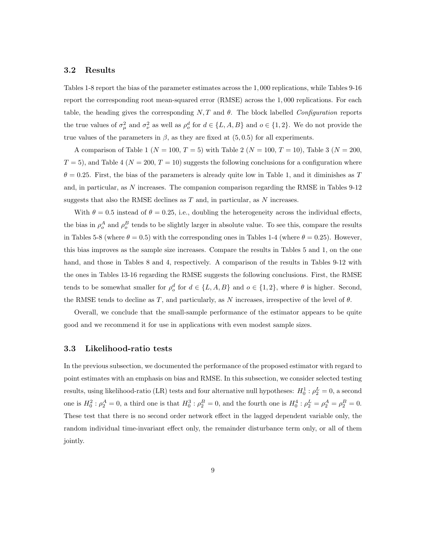#### 3.2 Results

Tables 1-8 report the bias of the parameter estimates across the 1, 000 replications, while Tables 9-16 report the corresponding root mean-squared error (RMSE) across the 1, 000 replications. For each table, the heading gives the corresponding  $N, T$  and  $\theta$ . The block labelled *Configuration* reports the true values of  $\sigma_{\mu}^2$  and  $\sigma_{\nu}^2$  as well as  $\rho_o^d$  for  $d \in \{L, A, B\}$  and  $o \in \{1, 2\}$ . We do not provide the true values of the parameters in  $\beta$ , as they are fixed at  $(5, 0.5)$  for all experiments.

A comparison of Table 1 ( $N = 100, T = 5$ ) with Table 2 ( $N = 100, T = 10$ ), Table 3 ( $N = 200$ ,  $T = 5$ , and Table 4 ( $N = 200, T = 10$ ) suggests the following conclusions for a configuration where  $\theta = 0.25$ . First, the bias of the parameters is already quite low in Table 1, and it diminishes as T and, in particular, as N increases. The companion comparison regarding the RMSE in Tables 9-12 suggests that also the RMSE declines as  $T$  and, in particular, as  $N$  increases.

With  $\theta = 0.5$  instead of  $\theta = 0.25$ , i.e., doubling the heterogeneity across the individual effects, the bias in  $\rho_o^A$  and  $\rho_o^B$  tends to be slightly larger in absolute value. To see this, compare the results in Tables 5-8 (where  $\theta = 0.5$ ) with the corresponding ones in Tables 1-4 (where  $\theta = 0.25$ ). However, this bias improves as the sample size increases. Compare the results in Tables 5 and 1, on the one hand, and those in Tables 8 and 4, respectively. A comparison of the results in Tables 9-12 with the ones in Tables 13-16 regarding the RMSE suggests the following conclusions. First, the RMSE tends to be somewhat smaller for  $\rho_o^d$  for  $d \in \{L, A, B\}$  and  $o \in \{1, 2\}$ , where  $\theta$  is higher. Second, the RMSE tends to decline as T, and particularly, as N increases, irrespective of the level of  $\theta$ .

Overall, we conclude that the small-sample performance of the estimator appears to be quite good and we recommend it for use in applications with even modest sample sizes.

#### 3.3 Likelihood-ratio tests

results, using likelihood-ratio (LR) tests and four alternative null hypotheses:  $H_0^1$ :  $\rho_2^L = 0$ , a second In the previous subsection, we documented the performance of the proposed estimator with regard to point estimates with an emphasis on bias and RMSE. In this subsection, we consider selected testing one is  $H_0^2$ :  $\rho_2^A = 0$ , a third one is that  $H_0^3$ :  $\rho_2^B = 0$ , and the fourth one is  $H_0^4$ :  $\rho_2^L = \rho_2^A = \rho_2^B = 0$ . These test that there is no second order network effect in the lagged dependent variable only, the random individual time-invariant effect only, the remainder disturbance term only, or all of them jointly.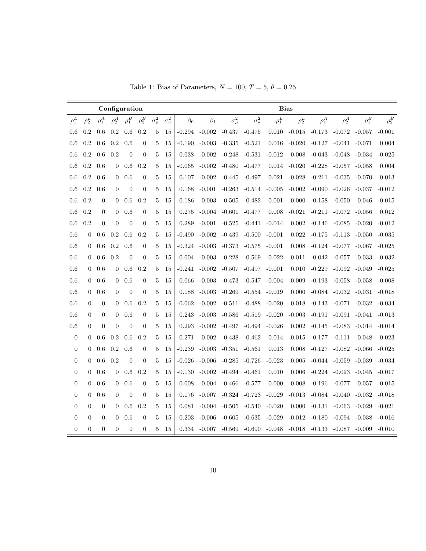|                  |                |                  | Configuration  |                |                  |                |                  |           |           |                            |                  | <b>Bias</b>                                  |            |            |            |                   |            |
|------------------|----------------|------------------|----------------|----------------|------------------|----------------|------------------|-----------|-----------|----------------------------|------------------|----------------------------------------------|------------|------------|------------|-------------------|------------|
| $\rho_1^L$       | $\rho_2^L$     | $\rho_1^A$       | $\rho_2^A$     | $\rho_1^B$     | $\rho_2^B$       | $\sigma^2_\mu$ | $\sigma_{\nu}^2$ | $\beta_0$ | $\beta_1$ | $\sigma^2_\mu$             | $\sigma_{\nu}^2$ | $\rho_1^L$                                   | $\rho_2^L$ | $\rho_1^A$ | $\rho_2^A$ | $\rho_1^B$        | $\rho_2^B$ |
| 0.6              | 0.2            | 0.6              | 0.2            | 0.6            | 0.2              | 5              | 15               | $-0.294$  | $-0.002$  | $-0.437$                   | $-0.475$         | 0.010                                        | $-0.015$   | $-0.173$   | $-0.072$   | $-0.057$          | $-0.001$   |
| 0.6              | 0.2            | 0.6              | 0.2            | 0.6            | $\overline{0}$   | 5              | 15               | $-0.190$  | $-0.003$  | $-0.335$                   | $-0.521$         | 0.016                                        | $-0.020$   | $-0.127$   | $-0.041$   | $-0.071$          | 0.004      |
| 0.6              | 0.2            | 0.6              | 0.2            | $\overline{0}$ | $\overline{0}$   | 5              | 15               | 0.038     | $-0.002$  | $-0.248$                   | $-0.531$         | $-0.012$                                     | 0.008      | $-0.043$   | $-0.048$   | $-0.034$          | $-0.025$   |
| 0.6              | 0.2            | 0.6              | $\overline{0}$ | 0.6            | 0.2              | 5              | 15               | -0.065    | $-0.002$  | $-0.480$                   | $-0.477$         | 0.014                                        | $-0.020$   | $-0.228$   | $-0.057$   | $-0.058$          | 0.004      |
| 0.6              | 0.2            | 0.6              | $\theta$       | 0.6            | $\theta$         | 5              | 15               | 0.107     | $-0.002$  | -0.445                     | -0.497           | 0.021                                        | $-0.028$   | $-0.211$   | $-0.035$   | $-0.070$          | 0.013      |
| 0.6              | 0.2            | 0.6              | $\theta$       | $\overline{0}$ | $\overline{0}$   | 5              | 15               | 0.168     | $-0.001$  | $-0.263$                   | $-0.514$         | $-0.005$                                     | $-0.002$   | $-0.090$   | $-0.026$   | $-0.037$          | $-0.012$   |
| 0.6              | 0.2            | $\theta$         | $\theta$       | 0.6            | 0.2              | 5              | 15               | -0.186    | $-0.003$  | $-0.505$                   | -0.482           | 0.001                                        | 0.000      | $-0.158$   | $-0.050$   | $-0.046$          | $-0.015$   |
| 0.6              | 0.2            | $\overline{0}$   | $\theta$       | 0.6            | $\overline{0}$   | 5              | 15               | 0.275     |           | $-0.004$ $-0.601$          | $-0.477$         | 0.008                                        | $-0.021$   | $-0.211$   | $-0.072$   | $-0.056$          | 0.012      |
| 0.6              | 0.2            | $\boldsymbol{0}$ | $\theta$       | $\overline{0}$ | $\overline{0}$   | 5              | 15               | 0.289     | $-0.001$  | $-0.525$                   | $-0.441$         | $-0.014$                                     | 0.002      | $-0.146$   | $-0.085$   | $-0.020$          | $-0.012$   |
| 0.6              | 0              | 0.6              | 0.2            | 0.6            | 0.2              | 5              | 15               | -0.490    | $-0.002$  | $-0.439$                   | $-0.500$         | $-0.001$                                     | 0.022      | $-0.175$   | $-0.113$   | $-0.050$          | $-0.035$   |
| 0.6              | $\overline{0}$ | 0.6              | 0.2            | 0.6            | $\theta$         | 5              | 15               | $-0.324$  | $-0.003$  | $-0.373$                   | $-0.575$         | $-0.001$                                     | 0.008      | $-0.124$   | $-0.077$   | $-0.067$          | $-0.025$   |
| 0.6              | $\theta$       | 0.6              | 0.2            | $\overline{0}$ | $\overline{0}$   | 5              | 15               | -0.004    | $-0.003$  | $-0.228$                   | $-0.569$         | $-0.022$                                     | 0.011      | $-0.042$   | $-0.057$   | $-0.033$          | $-0.032$   |
| 0.6              | $\overline{0}$ | 0.6              | $\mathbf{0}$   | 0.6            | 0.2              | 5              | 15               | $-0.241$  | $-0.002$  | $-0.507$                   | $-0.497$         | $-0.001$                                     | 0.010      | $-0.229$   | $-0.092$   | $-0.049$          | $-0.025$   |
| 0.6              | $\overline{0}$ | 0.6              | $\overline{0}$ | 0.6            | $\theta$         | 5              | 15               | 0.066     | $-0.003$  | -0.473                     | -0.547           | $-0.004$                                     | $-0.009$   | $-0.193$   | $-0.058$   | $-0.058$          | $-0.008$   |
| 0.6              | $\overline{0}$ | 0.6              | $\theta$       | $\overline{0}$ | $\overline{0}$   | 5              | 15               | 0.188     | $-0.003$  | $-0.269$                   | $-0.554$         | $-0.019$                                     | 0.000      | $-0.084$   | $-0.032$   | $-0.031$          | $-0.018$   |
| 0.6              | $\overline{0}$ | $\overline{0}$   | $\theta$       | 0.6            | 0.2              | 5              | 15               | -0.062    | $-0.002$  | $-0.511$                   | $-0.488$         | $-0.020$                                     | 0.018      | $-0.143$   | -0.071     | $-0.032$          | $-0.034$   |
| 0.6              | 0              | $\boldsymbol{0}$ | $\mathbf{0}$   | 0.6            | $\boldsymbol{0}$ | 5              | 15               | 0.243     | $-0.003$  | $-0.586$                   | $-0.519$         | $-0.020$                                     | $-0.003$   | -0.191     | -0.091     | $-0.041$          | $-0.013$   |
| 0.6              | $\overline{0}$ | $\boldsymbol{0}$ | $\theta$       | $\overline{0}$ | $\overline{0}$   | 5              | 15               | 0.293     | $-0.002$  | -0.497                     | -0.494           | $-0.026$                                     | 0.002      | $-0.145$   | $-0.083$   | $-0.014$ $-0.014$ |            |
| $\boldsymbol{0}$ | $\theta$       | 0.6              | 0.2            | 0.6            | 0.2              | 5              | 15               | $-0.271$  | $-0.002$  | $-0.438$                   | $-0.462$         | 0.014                                        | 0.015      | $-0.177$   | $-0.111$   | $-0.048$          | -0.023     |
| $\boldsymbol{0}$ | $\overline{0}$ | 0.6              | $0.2\,$        | 0.6            | $\boldsymbol{0}$ | 5              | 15               | $-0.239$  | $-0.003$  | $-0.351$                   | $-0.561$         | 0.013                                        | 0.008      | $-0.127$   | $-0.082$   | $-0.066$          | $-0.025$   |
| $\boldsymbol{0}$ | $\overline{0}$ | 0.6              | 0.2            | $\overline{0}$ | $\overline{0}$   | 5              | 15               | $-0.026$  | $-0.006$  | $-0.285$                   | $-0.726$         | $-0.023$                                     | 0.005      | $-0.044$   | $-0.059$   | $-0.039$          | $-0.034$   |
| $\overline{0}$   | $\overline{0}$ | 0.6              | $\theta$       | 0.6            | 0.2              | 5              | 15               | $-0.130$  | $-0.002$  | -0.494                     | $-0.461$         | 0.010                                        | 0.006      | $-0.224$   | $-0.093$   | $-0.045$          | $-0.017$   |
| $\overline{0}$   | $\overline{0}$ | 0.6              | $\mathbf{0}$   | 0.6            | $\boldsymbol{0}$ | 5              | 15               | 0.008     |           | $-0.004$ $-0.466$          | -0.577           | 0.000                                        | $-0.008$   | -0.196     | -0.077     | $-0.057$          | $-0.015$   |
| $\boldsymbol{0}$ | 0              | 0.6              | $\theta$       | $\overline{0}$ | $\overline{0}$   | 5              | 15               | 0.176     | $-0.007$  | -0.324                     | $-0.723$         | $-0.029$                                     | $-0.013$   | -0.084     | $-0.040$   | $-0.032$          | $-0.018$   |
| $\boldsymbol{0}$ | $\overline{0}$ | $\overline{0}$   | $\theta$       | 0.6            | 0.2              | 5              | 15               | 0.081     |           | $-0.004$ $-0.505$ $-0.540$ |                  | $-0.020$                                     | 0.000      | $-0.131$   | $-0.063$   | $-0.029$          | $-0.021$   |
| $\overline{0}$   | $\overline{0}$ | $\boldsymbol{0}$ | $\theta$       | 0.6            | $\overline{0}$   | 5              | 15               | 0.203     | $-0.006$  | $-0.605$                   | $-0.635$         | $-0.029$                                     | $-0.012$   | $-0.180$   | $-0.094$   | $-0.038$          | $-0.016$   |
| $\overline{0}$   | $\overline{0}$ | $\overline{0}$   | $\overline{0}$ | $\theta$       | $\overline{0}$   | 5              | 15               | 0.334     | -0.007    | -0.569                     |                  | $-0.690$ $-0.048$ $-0.018$ $-0.133$ $-0.087$ |            |            |            | -0.009            | $-0.010$   |

Table 1: Bias of Parameters,  $N = 100$ ,  $T = 5$ ,  $\theta = 0.25$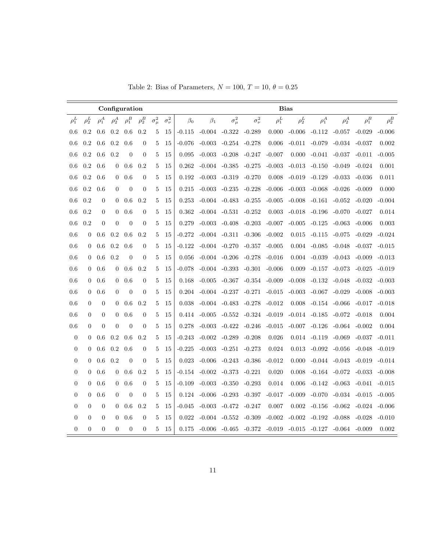|                  |                  |                  | Configuration  |                |                  |                |                  |           |                   |                            |                  | <b>Bias</b> |            |                   |                                     |                   |            |
|------------------|------------------|------------------|----------------|----------------|------------------|----------------|------------------|-----------|-------------------|----------------------------|------------------|-------------|------------|-------------------|-------------------------------------|-------------------|------------|
| $\rho_1^L$       | $\rho_2^L$       | $\rho_1^A$       | $\rho_2^A$     | $\rho_1^B$     | $\rho_2^B$       | $\sigma^2_\mu$ | $\sigma_{\nu}^2$ | $\beta_0$ | $\beta_1$         | $\sigma^2_\mu$             | $\sigma_{\nu}^2$ | $\rho_1^L$  | $\rho_2^L$ | $\rho_1^A$        | $\rho_2^A$                          | $\rho_1^B$        | $\rho_2^B$ |
| 0.6              | 0.2              | 0.6              | 0.2            | 0.6            | 0.2              | 5              | 15               | $-0.115$  | $-0.004$ $-0.322$ |                            | $-0.289$         | 0.000       | $-0.006$   | $-0.112$          | $-0.057$                            | $-0.029$          | $-0.006$   |
| 0.6              | 0.2              | 0.6              | $0.2\,$        | 0.6            | $\overline{0}$   | 5              | 15               | -0.076    | $-0.003$          | $-0.254 -0.278$            |                  | 0.006       | $-0.011$   | $-0.079$          | $-0.034$                            | $-0.037$          | 0.002      |
| 0.6              | 0.2              | 0.6              | 0.2            | $\overline{0}$ | $\boldsymbol{0}$ | 5              | 15               | 0.095     | $-0.003$          | $-0.208$                   | $-0.247$         | $-0.007$    | 0.000      | $-0.041$          | $-0.037$                            | $-0.011$          | $-0.005$   |
| 0.6              | 0.2              | 0.6              | $\theta$       | 0.6            | 0.2              | 5              | 15               | 0.262     | $-0.004$          | $-0.385$                   | $-0.275$         | $-0.003$    | $-0.013$   | $-0.150$          | $-0.049$                            | $-0.024$          | 0.001      |
| 0.6              | 0.2              | 0.6              | $\theta$       | 0.6            | $\overline{0}$   | 5              | 15               | 0.192     | $-0.003$          | $-0.319$                   | $-0.270$         | 0.008       | $-0.019$   | $-0.129$          | $-0.033$                            | $-0.036$          | 0.011      |
| 0.6              | 0.2              | 0.6              | $\theta$       | $\overline{0}$ | $\overline{0}$   | 5              | 15               | 0.215     | -0.003            | $-0.235$                   | $-0.228$         | $-0.006$    | $-0.003$   | $-0.068$          | $-0.026$                            | $-0.009$          | 0.000      |
| 0.6              | 0.2              | $\mathbf{0}$     | $\theta$       | 0.6            | 0.2              | 5              | 15               | 0.253     |                   | $-0.004$ $-0.483$          | $-0.255$         | $-0.005$    | $-0.008$   | $-0.161$          | $-0.052$                            | $-0.020$          | $-0.004$   |
| 0.6              | 0.2              | $\theta$         | $\theta$       | 0.6            | $\overline{0}$   | 5              | 15               | 0.362     |                   | $-0.004$ $-0.531$          | $-0.252$         | 0.003       | $-0.018$   | -0.196            | $-0.070$                            | $-0.027$          | 0.014      |
| 0.6              | 0.2              | $\boldsymbol{0}$ | $\theta$       | $\overline{0}$ | $\overline{0}$   | 5              | 15               | 0.279     | $-0.003$          | $-0.408$                   | $-0.203$         | $-0.007$    | $-0.005$   | $-0.125$          | $-0.063$                            | $-0.006$          | 0.003      |
| 0.6              | 0                | 0.6              | 0.2            | 0.6            | 0.2              | 5              | 15               | -0.272    |                   | $-0.004$ $-0.311$          | $-0.306$         | $-0.002$    | 0.015      | $-0.115$          | $-0.075$                            | $-0.029$          | $-0.024$   |
| 0.6              | $\overline{0}$   | 0.6              | 0.2            | 0.6            | $\theta$         | 5              | 15               | $-0.122$  | $-0.004$ $-0.270$ |                            | -0.357 $\,$      | $-0.005$    | 0.004      | $-0.085$          | $-0.048$                            | $-0.037$          | $-0.015$   |
| 0.6              | $\overline{0}$   | 0.6              | 0.2            | $\overline{0}$ | $\overline{0}$   | 5              | 15               | 0.056     |                   | $-0.004 - 0.206$           | $-0.278$         | $-0.016$    | 0.004      | $-0.039$          | $-0.043$                            | $-0.009$          | $-0.013$   |
| 0.6              | $\overline{0}$   | 0.6              | $\mathbf{0}$   | 0.6            | 0.2              | 5              | 15               | -0.078    | $-0.004$          | $-0.393$                   | $-0.301$         | $-0.006$    | 0.009      | $-0.157$          | $-0.073$                            | $-0.025$          | $-0.019$   |
| 0.6              | $\overline{0}$   | 0.6              | $\mathbf{0}$   | 0.6            | $\boldsymbol{0}$ | 5              | 15               | 0.168     | $-0.005$          | -0.367                     | $-0.354$         | $-0.009$    | $-0.008$   | $-0.132$          | $-0.048$                            | $-0.032$          | $-0.003$   |
| 0.6              | $\overline{0}$   | 0.6              | $\theta$       | $\overline{0}$ | $\overline{0}$   | 5              | 15               | 0.204     | -0.004            | $-0.237$                   | $-0.271$         | $-0.015$    | $-0.003$   | $-0.067$          | $-0.029$                            | $-0.008$          | $-0.003$   |
| 0.6              | $\theta$         | $\overline{0}$   | $\theta$       | 0.6            | 0.2              | 5              | 15               | 0.038     | $-0.004$ $-0.483$ |                            | $-0.278$         | $-0.012$    | 0.008      | -0.154            | $-0.066$                            | $-0.017$          | $-0.018$   |
| 0.6              | $\overline{0}$   | $\overline{0}$   | $\mathbf{0}$   | 0.6            | $\boldsymbol{0}$ | 5              | 15               | 0.414     | -0.005            | $-0.552$                   | $-0.324$         | $-0.019$    |            | $-0.014$ $-0.185$ | -0.072                              | $-0.018$          | 0.004      |
| 0.6              | $\overline{0}$   | $\boldsymbol{0}$ | $\theta$       | $\overline{0}$ | $\overline{0}$   | 5              | 15               | 0.278     | -0.003            | $-0.422$ $-0.246$          |                  | $-0.015$    | $-0.007$   | -0.126            | $-0.064$ $-0.002$                   |                   | 0.004      |
| $\theta$         | $\theta$         | 0.6              | 0.2            | 0.6            | 0.2              | 5              | 15               | -0.243    | $-0.002$          | -0.289                     | $-0.208$         | 0.026       | 0.014      | -0.119            | $-0.069$                            | $-0.037$          | $-0.011$   |
| $\boldsymbol{0}$ | $\overline{0}$   | 0.6              | $0.2\,$        | 0.6            | $\boldsymbol{0}$ | 5              | 15               | $-0.225$  | $-0.003$          | $-0.251$                   | $-0.273$         | 0.024       | 0.013      | -0.092            | $-0.056$                            | $-0.048$          | $-0.019$   |
| $\boldsymbol{0}$ | $\overline{0}$   | 0.6              | 0.2            | $\overline{0}$ | $\overline{0}$   | 5              | 15               | 0.023     | $-0.006$          | $-0.243$                   | $-0.386$         | $-0.012$    | 0.000      |                   | $-0.044$ $-0.043$                   | $-0.019$          | $-0.014$   |
| $\boldsymbol{0}$ | $\overline{0}$   | 0.6              | $\theta$       | 0.6            | 0.2              | 5              | 15               | -0.154    | $-0.002$          | $-0.373$                   | $-0.221$         | 0.020       | 0.008      | $-0.164$          | -0.072                              | $-0.033$          | $-0.008$   |
| $\boldsymbol{0}$ | $\overline{0}$   | 0.6              | $\mathbf{0}$   | 0.6            | $\boldsymbol{0}$ | 5              | 15               | $-0.109$  | $-0.003$          | $-0.350$                   | $-0.293$         | $\,0.014\,$ | 0.006      | $-0.142$          | $-0.063$                            | $-0.041$          | $-0.015$   |
| $\overline{0}$   | 0                | 0.6              | $\theta$       | $\overline{0}$ | $\overline{0}$   | 5              | 15               | 0.124     | $-0.006$          | $-0.293$                   | $-0.397$         | $-0.017$    | $-0.009$   | $-0.070$          | $-0.034$                            | $-0.015$          | $-0.005$   |
| $\boldsymbol{0}$ | $\boldsymbol{0}$ | $\boldsymbol{0}$ | $\theta$       | 0.6            | 0.2              | 5              | 15               | -0.045    | $-0.003$          | -0.472                     | $-0.247$         | 0.007       | 0.002      | $-0.156$          | $-0.062$                            | $-0.024$ $-0.006$ |            |
| $\theta$         | 0                | $\boldsymbol{0}$ | $\theta$       | 0.6            | $\boldsymbol{0}$ | 5              | 15               | 0.022     | $-0.004$          | $-0.552$                   | $-0.309$         | $-0.002$    | $-0.002$   | $-0.192$          | $-0.088$                            | $-0.028$          | $-0.010$   |
| $\boldsymbol{0}$ | $\boldsymbol{0}$ | $\boldsymbol{0}$ | $\overline{0}$ | $\overline{0}$ | $\boldsymbol{0}$ | 5              | 15               | 0.175     | -0.006            | $-0.465$ $-0.372$ $-0.019$ |                  |             |            |                   | $-0.015$ $-0.127$ $-0.064$ $-0.009$ |                   | 0.002      |

Table 2: Bias of Parameters,  $N = 100$ ,  $T = 10$ ,  $\theta = 0.25$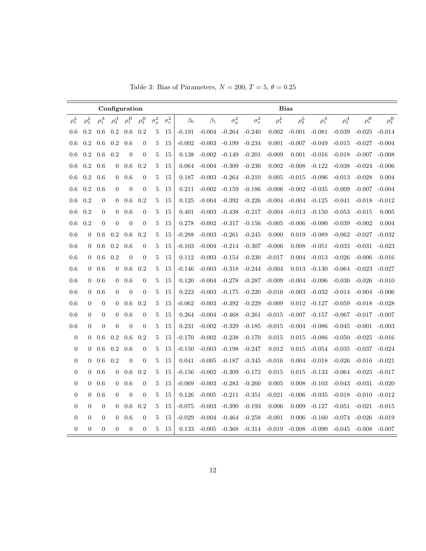|                  |                |                  | Configuration  |                |                  |                |                  |           |           |                            |                  | <b>Bias</b> |            |            |                  |            |            |
|------------------|----------------|------------------|----------------|----------------|------------------|----------------|------------------|-----------|-----------|----------------------------|------------------|-------------|------------|------------|------------------|------------|------------|
| $\rho_1^L$       | $\rho_2^L$     | $\rho_1^A$       | $\rho_2^A$     | $\rho_1^B$     | $\rho_2^B$       | $\sigma^2_\mu$ | $\sigma_{\nu}^2$ | $\beta_0$ | $\beta_1$ | $\sigma^2_\mu$             | $\sigma_{\nu}^2$ | $\rho_1^L$  | $\rho_2^L$ | $\rho_1^A$ | $\rho_2^A$       | $\rho_1^B$ | $\rho_2^B$ |
| 0.6              | 0.2            | 0.6              | 0.2            | 0.6            | 0.2              | 5              | 15               | $-0.191$  | $-0.004$  | $-0.264$ $-0.240$          |                  | 0.002       | $-0.001$   | $-0.081$   | $-0.039$         | $-0.025$   | $-0.014$   |
| 0.6              | 0.2            | 0.6              | 0.2            | 0.6            | $\overline{0}$   | 5              | 15               | $-0.002$  | $-0.003$  | $-0.199$                   | $-0.234$         | 0.001       | $-0.007$   | $-0.049$   | $-0.015$         | $-0.027$   | $-0.004$   |
| 0.6              | 0.2            | 0.6              | 0.2            | $\overline{0}$ | $\overline{0}$   | 5              | 15               | 0.138     | $-0.002$  | $-0.149$                   | $-0.201$         | $-0.009$    | 0.001      | $-0.016$   | $-0.018$         | $-0.007$   | $-0.008$   |
| 0.6              | 0.2            | 0.6              | $\overline{0}$ | 0.6            | 0.2              | 5              | 15               | 0.064     |           | $-0.004 - 0.309$           | $-0.230$         | 0.002       | $-0.008$   | $-0.122$   | $-0.038$         | $-0.024$   | $-0.006$   |
| 0.6              | 0.2            | 0.6              | $\theta$       | 0.6            | $\theta$         | 5              | 15               | 0.187     |           | $-0.003 - 0.264$           | $-0.210$         | 0.005       | $-0.015$   | $-0.096$   | $-0.013$         | $-0.028$   | 0.004      |
| 0.6              | 0.2            | 0.6              | $\theta$       | $\overline{0}$ | $\overline{0}$   | 5              | 15               | 0.211     | $-0.002$  | $-0.159$                   | $-0.186$         | $-0.006$    | $-0.002$   | $-0.035$   | $-0.009$         | $-0.007$   | $-0.004$   |
| 0.6              | 0.2            | $\theta$         | $\theta$       | 0.6            | 0.2              | 5              | 15               | 0.125     | $-0.004$  | -0.392                     | $-0.226$         | $-0.004$    | $-0.004$   | $-0.125$   | $-0.041$         | $-0.018$   | $-0.012$   |
| 0.6              | 0.2            | $\boldsymbol{0}$ | $\theta$       | 0.6            | $\overline{0}$   | 5              | 15               | 0.401     | $-0.003$  | -0.438                     | $-0.217$         | $-0.004$    | $-0.013$   | $-0.150$   | $-0.053$         | $-0.015$   | 0.005      |
| 0.6              | 0.2            | $\boldsymbol{0}$ | $\theta$       | $\overline{0}$ | $\overline{0}$   | 5              | 15               | 0.278     | $-0.002$  | $-0.317$                   | $-0.156$         | $-0.005$    | $-0.006$   | $-0.090$   | $-0.039$         | $-0.002$   | 0.004      |
| 0.6              | $\overline{0}$ | 0.6              | 0.2            | 0.6            | 0.2              | 5              | 15               | $-0.288$  | $-0.003$  | $-0.261$                   | $-0.245$         | 0.000       | 0.019      | $-0.089$   | $-0.062$         | $-0.027$   | $-0.032$   |
| 0.6              | $\overline{0}$ | 0.6              | 0.2            | 0.6            | $\overline{0}$   | 5              | 15               | $-0.103$  |           | $-0.004$ $-0.214$ $-0.307$ |                  | $-0.006$    | 0.008      | $-0.051$   | $-0.033$         | $-0.031$   | $-0.023$   |
| 0.6              | $\theta$       | 0.6              | 0.2            | $\overline{0}$ | $\overline{0}$   | 5              | 15               | 0.112     | $-0.003$  | $-0.154 - 0.230$           |                  | $-0.017$    | 0.004      | $-0.013$   | $-0.026$         | $-0.006$   | $-0.016$   |
| 0.6              | $\overline{0}$ | 0.6              | $\mathbf{0}$   | 0.6            | 0.2              | 5              | 15               | -0.146    | -0.003    | $-0.318$                   | $-0.244$         | $-0.004$    | 0.013      | $-0.130$   | $-0.064$         | $-0.023$   | $-0.027$   |
| 0.6              | $\overline{0}$ | 0.6              | $\overline{0}$ | 0.6            | $\overline{0}$   | 5              | 15               | 0.120     |           | $-0.004$ $-0.278$          | $-0.287$         | $-0.009$    | $-0.004$   | -0.096     | $-0.030$         | $-0.026$   | $-0.010$   |
| 0.6              | $\overline{0}$ | 0.6              | $\theta$       | $\overline{0}$ | $\overline{0}$   | 5              | 15               | 0.223     | $-0.003$  | $-0.175$                   | $-0.220$         | $-0.016$    | $-0.003$   | $-0.032$   | $-0.014$         | -0.004     | $-0.006$   |
| 0.6              | $\overline{0}$ | $\overline{0}$   | $\Omega$       | 0.6            | 0.2              | 5              | 15               | -0.062    | $-0.003$  | $-0.392$                   | $-0.229$         | $-0.009$    | 0.012      | $-0.127$   | $-0.059$         | $-0.018$   | $-0.028$   |
| 0.6              | $\overline{0}$ | $\boldsymbol{0}$ | $\mathbf{0}$   | 0.6            | $\boldsymbol{0}$ | 5              | 15               | 0.264     | $-0.004$  | $-0.468$                   | $-0.261$         | $-0.015$    | $-0.007$   | $-0.157$   | $-0.067$         | $-0.017$   | $-0.007$   |
| 0.6              | $\overline{0}$ | $\overline{0}$   | $\theta$       | $\overline{0}$ | $\overline{0}$   | 5              | 15               | 0.231     | $-0.002$  | $-0.329$                   | $-0.185$         | $-0.015$    | $-0.004$   | $-0.086$   | $-0.045$         | $-0.001$   | $-0.003$   |
| $\boldsymbol{0}$ | $\theta$       | 0.6              | 0.2            | 0.6            | 0.2              | 5              | 15               | -0.170    | $-0.002$  | $-0.238$                   | $-0.170$         | 0.015       | 0.015      | $-0.086$   | $-0.050$         | $-0.025$   | $-0.016$   |
| $\boldsymbol{0}$ | $\overline{0}$ | 0.6              | $0.2\,$        | 0.6            | $\boldsymbol{0}$ | 5              | 15               | $-0.150$  | $-0.003$  | $-0.198$                   | $-0.247$         | 0.012       | 0.015      | $-0.054$   | $-0.035$         | $-0.037$   | $-0.024$   |
| $\boldsymbol{0}$ | $\overline{0}$ | 0.6              | 0.2            | $\overline{0}$ | $\overline{0}$   | 5              | 15               | 0.041     | $-0.005$  | $-0.187$                   | $-0.345$         | $-0.016$    | 0.004      | $-0.018$   | $-0.026$         | $-0.016$   | $-0.021$   |
| $\overline{0}$   | $\overline{0}$ | 0.6              | $\theta$       | 0.6            | 0.2              | 5              | 15               | $-0.156$  | $-0.002$  | $-0.309$                   | $-0.172$         | 0.015       | 0.015      | $-0.133$   | $-0.064$         | $-0.025$   | $-0.017$   |
| $\overline{0}$   | $\overline{0}$ | 0.6              | $\mathbf{0}$   | 0.6            | $\boldsymbol{0}$ | 5              | 15               | $-0.069$  |           | $-0.003 - 0.283$           | $-0.260$         | 0.005       | 0.008      | $-0.103$   | $-0.043 - 0.031$ |            | $-0.020$   |
| $\boldsymbol{0}$ | 0              | 0.6              | $\theta$       | $\overline{0}$ | $\overline{0}$   | 5              | 15               | 0.126     | $-0.005$  | $-0.211$                   | $-0.351$         | $-0.021$    | $-0.006$   | $-0.035$   | $-0.018$         | $-0.010$   | $-0.012$   |
| $\boldsymbol{0}$ | $\overline{0}$ | $\overline{0}$   | $\overline{0}$ | 0.6            | 0.2              | 5              | 15               | -0.075    |           | $-0.003$ $-0.390$          | $-0.193$         | 0.006       | 0.009      | $-0.127$   | $-0.051$         | $-0.021$   | $-0.015$   |
| $\theta$         | $\overline{0}$ | $\boldsymbol{0}$ | $\theta$       | 0.6            | $\overline{0}$   | 5              | 15               | $-0.029$  | $-0.004$  | -0.464                     | $-0.258$         | $-0.001$    | 0.006      | $-0.160$   | $-0.074$         | -0.026     | $-0.019$   |
| $\overline{0}$   | $\overline{0}$ | $\overline{0}$   | $\overline{0}$ | $\overline{0}$ | $\overline{0}$   | 5              | 15               | 0.133     | -0.005    | -0.368                     | $-0.314 - 0.019$ |             | $-0.008$   | $-0.090$   | $-0.045 - 0.008$ |            | -0.007     |

Table 3: Bias of Parameters,  $N = 200$ ,  $T = 5$ ,  $\theta = 0.25$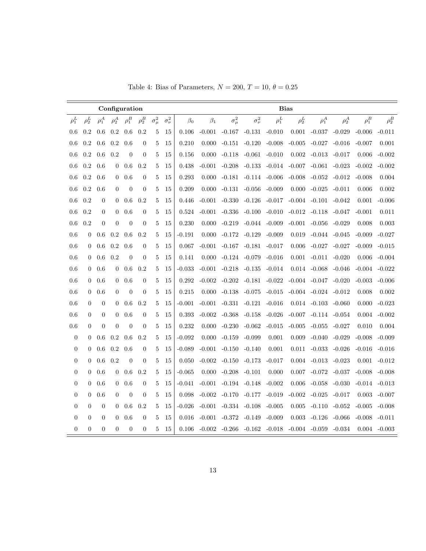| Table 4: Bias of Parameters, $N = 200$ , $T = 10$ , $\theta = 0.25$ |  |  |  |  |  |  |  |  |  |
|---------------------------------------------------------------------|--|--|--|--|--|--|--|--|--|
|---------------------------------------------------------------------|--|--|--|--|--|--|--|--|--|

|                  |                |                  |                  | Configuration  |                  |                |                  |           |           |                |                  |            | <b>Bias</b> |                  |            |            |                 |
|------------------|----------------|------------------|------------------|----------------|------------------|----------------|------------------|-----------|-----------|----------------|------------------|------------|-------------|------------------|------------|------------|-----------------|
| $\rho_1^L$       | $\rho_2^L$     | $\rho_1^A$       | $\rho_2^A$       | $\rho_1^B$     | $\rho_2^B$       | $\sigma^2_\mu$ | $\sigma_{\nu}^2$ | $\beta_0$ | $\beta_1$ | $\sigma^2_\mu$ | $\sigma_{\nu}^2$ | $\rho_1^L$ | $\rho_2^L$  | $\rho_1^A$       | $\rho_2^A$ | $\rho_1^B$ | $\rho_2^B$      |
| 0.6              | 0.2            | 0.6              | 0.2              | 0.6            | 0.2              | 5              | 15               | 0.106     | $-0.001$  | $-0.167$       | $-0.131$         | $-0.010$   | 0.001       | $-0.037$         | $-0.029$   | $-0.006$   | $-0.011$        |
| 0.6              | 0.2            | 0.6              | 0.2              | 0.6            | $\overline{0}$   | 5              | 15               | 0.210     | 0.000     | $-0.151$       | $-0.120$         | $-0.008$   | $-0.005$    | $-0.027$         | $-0.016$   | $-0.007$   | 0.001           |
| 0.6              | 0.2            | $0.6\,$          | 0.2              | $\overline{0}$ | $\boldsymbol{0}$ | 5              | 15               | 0.156     | 0.000     | $-0.118$       | $-0.061$         | $-0.010$   | $0.002\,$   | $-0.013$         | $-0.017$   | 0.006      | $-0.002$        |
| 0.6              | 0.2            | 0.6              | $\overline{0}$   | 0.6            | 0.2              | 5              | 15               | 0.438     | $-0.001$  | $-0.208$       | $-0.133$         | $-0.014$   | $-0.007$    | $-0.061$         | $-0.023$   | $-0.002$   | $-0.002$        |
| 0.6              | 0.2            | 0.6              | $\theta$         | 0.6            | $\overline{0}$   | 5              | 15               | 0.293     | 0.000     | $-0.181$       | $-0.114$         | $-0.006$   | $-0.008$    | $-0.052$         | $-0.012$   | $-0.008$   | 0.004           |
| 0.6              | 0.2            | 0.6              | $\overline{0}$   | $\overline{0}$ | $\overline{0}$   | 5              | 15               | 0.209     | 0.000     | $-0.131$       | $-0.056$         | $-0.009$   | 0.000       | $-0.025$         | $-0.011$   | 0.006      | 0.002           |
| 0.6              | 0.2            | $\overline{0}$   | $\theta$         | 0.6            | 0.2              | 5              | 15               | 0.446     | $-0.001$  | $-0.330$       | $-0.126$         | $-0.017$   | $-0.004$    | $-0.101$         | $-0.042$   | 0.001      | $-0.006$        |
| 0.6              | 0.2            | $\theta$         | $\overline{0}$   | 0.6            | $\boldsymbol{0}$ | 5              | 15               | 0.524     | $-0.001$  | $-0.336$       | $-0.100$         | $-0.010$   | $-0.012$    | $-0.118$         | $-0.047$   | $-0.001$   | 0.011           |
| 0.6              | 0.2            | $\overline{0}$   | $\theta$         | $\overline{0}$ | $\overline{0}$   | $\overline{5}$ | 15               | 0.230     | 0.000     | $-0.219$       | $-0.044$         | $-0.009$   | $-0.001$    | $-0.056$         | $-0.029$   | 0.008      | 0.003           |
| 0.6              | $\theta$       | 0.6              | 0.2              | 0.6            | 0.2              | 5              | 15               | $-0.191$  | 0.000     | $-0.172$       | $-0.129$         | $-0.009$   | 0.019       | $-0.044$         | $-0.045$   | $-0.009$   | $-0.027$        |
| 0.6              | $\theta$       | 0.6              | 0.2              | 0.6            | $\boldsymbol{0}$ | 5              | 15               | 0.067     | $-0.001$  | $-0.167$       | $-0.181$         | $-0.017$   | 0.006       | $-0.027$         | $-0.027$   | $-0.009$   | $-0.015$        |
| 0.6              | $\Omega$       | 0.6              | 0.2              | $\theta$       | $\overline{0}$   | 5              | 15               | 0.141     | 0.000     | $-0.124$       | $-0.079$         | $-0.016$   | 0.001       | $-0.011$         | $-0.020$   | 0.006      | $-0.004$        |
| 0.6              | $\Omega$       | 0.6              | $\theta$         | 0.6            | 0.2              | 5              | 15               | $-0.033$  | $-0.001$  | $-0.218$       | $-0.135$         | $-0.014$   | 0.014       | $-0.068$         | $-0.046$   | $-0.004$   | $-0.022$        |
| 0.6              | $\theta$       | 0.6              | $\theta$         | 0.6            | $\boldsymbol{0}$ | 5              | 15               | 0.292     | $-0.002$  | $-0.202$       | $-0.181$         | $-0.022$   | $-0.004$    | $-0.047$         | $-0.020$   | $-0.003$   | $-0.006$        |
| 0.6              | $\overline{0}$ | 0.6              | $\Omega$         | $\theta$       | $\overline{0}$   | $\mathbf{5}$   | 15               | 0.215     | 0.000     | $-0.138$       | $-0.075$         | $-0.015$   | $-0.004$    | $-0.024$         | $-0.012$   | 0.008      | 0.002           |
| 0.6              | $\Omega$       | $\theta$         | $\Omega$         | 0.6            | 0.2              | 5              | 15               | $-0.001$  | $-0.001$  | $-0.331$       | $-0.121$         | $-0.016$   |             | $0.014 - 0.103$  | $-0.060$   | 0.000      | $-0.023$        |
| 0.6              | $\Omega$       | $\overline{0}$   | $\boldsymbol{0}$ | 0.6            | $\boldsymbol{0}$ | 5              | 15               | 0.393     | $-0.002$  | $-0.368$       | $-0.158$         | $-0.026$   | $-0.007$    | $-0.114$         | $-0.054$   | 0.004      | $-0.002$        |
| 0.6              | $\theta$       | $\theta$         | $\overline{0}$   | $\theta$       | $\overline{0}$   | 5              | 15               | 0.232     | 0.000     | $-0.230$       | $-0.062$         | $-0.015$   | $-0.005$    | $-0.055$         | $-0.027$   | 0.010      | 0.004           |
| $\boldsymbol{0}$ | $\theta$       | 0.6              | 0.2              | 0.6            | 0.2              | 5              | 15               | $-0.092$  | 0.000     | $-0.159$       | $-0.099$         | 0.001      | 0.009       | $-0.040$         | $-0.029$   | $-0.008$   | $-0.009$        |
| $\boldsymbol{0}$ | $\theta$       | 0.6              | 0.2              | 0.6            | $\boldsymbol{0}$ | 5              | 15               | $-0.089$  | $-0.001$  | $-0.150$       | $-0.140$         | 0.001      | 0.011       | $-0.033$         | $-0.026$   | $-0.016$   | $-0.016$        |
| $\boldsymbol{0}$ | $\theta$       | 0.6              | 0.2              | $\overline{0}$ | $\overline{0}$   | 5              | 15               | 0.050     | $-0.002$  | $-0.150$       | $-0.173$         | $-0.017$   | 0.004       | $-0.013$         | $-0.023$   | 0.001      | $-0.012$        |
| $\boldsymbol{0}$ | $\theta$       | 0.6              | $\mathbf{0}$     | 0.6            | 0.2              | 5              | 15               | $-0.065$  | 0.000     | $-0.208$       | $-0.101$         | 0.000      | 0.007       | $-0.072$         | $-0.037$   | $-0.008$   | $-0.008$        |
| $\boldsymbol{0}$ | $\theta$       | 0.6              | $\theta$         | 0.6            | $\boldsymbol{0}$ | 5              | 15               | $-0.041$  | $-0.001$  | $-0.194$       | $-0.148$         | $-0.002$   | 0.006       | $-0.058$         | $-0.030$   | $-0.014$   | $-0.013$        |
| $\boldsymbol{0}$ | $\mathbf{0}$   | 0.6              | $\overline{0}$   | $\overline{0}$ | $\boldsymbol{0}$ | 5              | 15               | 0.098     | $-0.002$  | $-0.170$       | $-0.177$         | $-0.019$   | $-0.002$    | $-0.025$         | $-0.017$   | 0.003      | $-0.007$        |
| $\overline{0}$   | $\theta$       | $\overline{0}$   | $\overline{0}$   | 0.6            | 0.2              | 5              | 15               | $-0.026$  | $-0.001$  | $-0.334$       | $-0.108$         | $-0.005$   | 0.005       | $-0.110$         | $-0.052$   | $-0.005$   | $-0.008$        |
| $\overline{0}$   | $\theta$       | $\overline{0}$   | $\theta$         | 0.6            | $\boldsymbol{0}$ | 5              | 15               | 0.016     | $-0.001$  | $-0.372$       | $-0.149$         | $-0.009$   | 0.003       | $-0.126$         | $-0.066$   | $-0.008$   | $-0.011$        |
| $\boldsymbol{0}$ | $\overline{0}$ | $\boldsymbol{0}$ | $\theta$         | $\overline{0}$ | $\overline{0}$   | 5              | 15               | 0.106     | $-0.002$  | $-0.266$       | -0.162           | $-0.018$   |             | $-0.004 - 0.059$ | $-0.034$   |            | $0.004 - 0.003$ |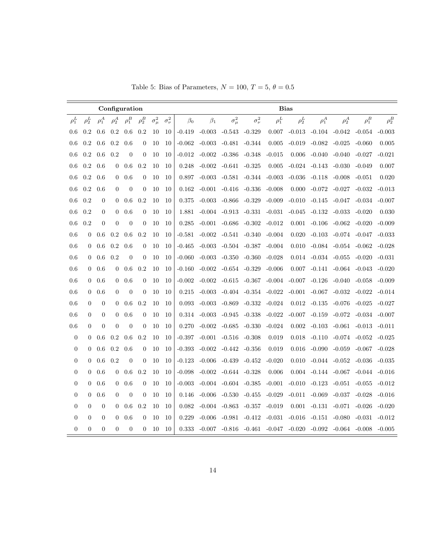|                  |                  |                  | Configuration  |                |                  |                |                  |           |                            |                            |                            |                                     | <b>Bias</b> |                   |                            |                   |            |
|------------------|------------------|------------------|----------------|----------------|------------------|----------------|------------------|-----------|----------------------------|----------------------------|----------------------------|-------------------------------------|-------------|-------------------|----------------------------|-------------------|------------|
| $\rho_1^L$       | $\rho_2^L$       | $\rho_1^A$       | $\rho_2^A$     | $\rho_1^B$     | $\rho_2^B$       | $\sigma^2_\mu$ | $\sigma_{\nu}^2$ | $\beta_0$ | $\beta_1$                  | $\sigma^2_\mu$             | $\sigma_{\nu}^2$           | $\rho_1^L$                          | $\rho_2^L$  | $\rho_1^A$        | $\rho_2^A$                 | $\rho_1^B$        | $\rho_2^B$ |
| 0.6              | 0.2              | 0.6              | 0.2            | 0.6            | 0.2              | 10             | 10               | $-0.419$  | $-0.003$                   | $-0.543 - 0.329$           |                            | 0.007                               | $-0.013$    | $-0.104$          | $-0.042$                   | $-0.054$          | $-0.003$   |
| 0.6              | 0.2              | 0.6              | 0.2            | 0.6            | $\overline{0}$   | 10             | 10               | $-0.062$  | $-0.003$                   | $-0.481$                   | $-0.344$                   | 0.005                               | $-0.019$    | $-0.082$          | $-0.025$                   | $-0.060$          | 0.005      |
| 0.6              | 0.2              | 0.6              | 0.2            | $\overline{0}$ | $\overline{0}$   | 10             | 10               | $-0.012$  | -0.002                     | $-0.386$                   | $-0.348$                   | $-0.015$                            | 0.006       | $-0.040$          | $-0.040$                   | $-0.027$          | $-0.021$   |
| 0.6              | 0.2              | 0.6              | $\theta$       | 0.6            | 0.2              | 10             | 10               | 0.248     | $-0.002$                   | -0.641                     | $-0.325$                   | 0.005                               | $-0.024$    | -0.143            | -0.030                     | $-0.049$          | 0.007      |
| 0.6              | $0.2\,$          | 0.6              | $\theta$       | 0.6            | $\overline{0}$   | 10             | 10               | 0.897     | $-0.003$                   | $-0.581$                   | -0.344                     | $-0.003$                            | $-0.036$    | $-0.118$          | $-0.008$                   | $-0.051$          | 0.020      |
| 0.6              | 0.2              | 0.6              | $\theta$       | $\overline{0}$ | $\theta$         | 10             | 10               | 0.162     | $-0.001$                   | $-0.416$                   | -0.336                     | $-0.008$                            | 0.000       | $-0.072$          | $-0.027$                   | $-0.032$          | $-0.013$   |
| 0.6              | 0.2              | $\mathbf{0}$     | $\overline{0}$ | 0.6            | 0.2              | 10             | 10               | 0.375     | $-0.003$                   | -0.866                     | -0.329                     | $-0.009$                            | $-0.010$    | $-0.145$          | -0.047                     | $-0.034$          | $-0.007$   |
| 0.6              | 0.2              | $\overline{0}$   | $\theta$       | 0.6            | $\theta$         | 10             | 10               | 1.881     |                            | $-0.004$ $-0.913$ $-0.331$ |                            | $-0.031$                            | $-0.045$    | $-0.132$          | $-0.033$                   | $-0.020$          | 0.030      |
| 0.6              | 0.2              | $\mathbf{0}$     | $\overline{0}$ | $\overline{0}$ | $\overline{0}$   | 10             | 10               | 0.285     | $-0.001$                   | $-0.686$                   | $-0.302$                   | $-0.012$                            | 0.001       | $-0.106$          | $-0.062$                   | $-0.020$          | $-0.009$   |
| 0.6              | $\theta$         | 0.6              | 0.2            | 0.6            | 0.2              | 10             | 10               | $-0.581$  | $-0.002$                   | -0.541                     | -0.340                     | $-0.004$                            | 0.020       | $-0.103$          | $-0.074$ $-0.047$          |                   | $-0.033$   |
| 0.6              | $\overline{0}$   | 0.6              | 0.2            | 0.6            | $\boldsymbol{0}$ | 10             | 10               | $-0.465$  | $-0.003$                   | $-0.504$                   | $-0.387$                   | $-0.004$                            | 0.010       | $-0.084$          | $-0.054 - 0.062$           |                   | $-0.028$   |
| 0.6              | $\Omega$         | 0.6              | 0.2            | $\overline{0}$ | $\overline{0}$   | 10             | 10               | $-0.060$  | $-0.003$                   | $-0.350$                   | $-0.360$                   | $-0.028$                            | 0.014       | $-0.034 - 0.055$  |                            | $-0.020$          | $-0.031$   |
| 0.6              | $\overline{0}$   | 0.6              | $\mathbf{0}$   | 0.6            | 0.2              | 10             | 10               | $-0.160$  | $-0.002$                   | $-0.654$                   | $-0.329$                   | $-0.006$                            | 0.007       | $-0.141$          | $-0.064$                   | $-0.043$          | $-0.020$   |
| 0.6              | $\Omega$         | 0.6              | $\overline{0}$ | 0.6            | $\theta$         | 10             | 10               | $-0.002$  | $-0.002$ $-0.615$ $-0.367$ |                            |                            | $-0.004$                            | $-0.007$    | $-0.126$          | $-0.040$                   | $-0.058$          | $-0.009$   |
| 0.6              | $\overline{0}$   | 0.6              | $\Omega$       | $\overline{0}$ | $\Omega$         | 10             | 10               | 0.215     | $-0.003$                   |                            | $-0.404$ $-0.354$ $-0.022$ |                                     | $-0.001$    | $-0.067$          | $-0.032$                   | $-0.022$          | $-0.014$   |
| 0.6              | $\overline{0}$   | $\boldsymbol{0}$ | $\Omega$       | 0.6            | 0.2              | 10             | 10               | 0.093     | $-0.003$                   | $-0.869$                   | $-0.332$                   | $-0.024$                            | 0.012       | $-0.135$          | $-0.076$                   | $-0.025$          | $-0.027$   |
| 0.6              | $\overline{0}$   | $\boldsymbol{0}$ | $\theta$       | 0.6            | $\overline{0}$   | 10             | 10               |           | $0.314 - 0.003$            | -0.945                     | $-0.338$                   | $-0.022$                            | $-0.007$    | $-0.159$          | $-0.072$                   | $-0.034$ $-0.007$ |            |
| 0.6              | $\overline{0}$   | $\overline{0}$   | $\Omega$       | $\overline{0}$ | $\overline{0}$   | 10             | 10               | 0.270     | $-0.002$                   | $-0.685$                   | $-0.330$                   | $-0.024$                            | 0.002       | $-0.103$          | $-0.061$                   | $-0.013$          | -0.011     |
| $\boldsymbol{0}$ | $\overline{0}$   | 0.6              | 0.2            | 0.6            | 0.2              | 10             | 10               | $-0.397$  | $-0.001$                   | $-0.516$                   | $-0.308$                   | 0.019                               | 0.018       | $-0.110$          | $-0.074$                   | $-0.052$          | $-0.025$   |
| $\boldsymbol{0}$ | $\overline{0}$   | 0.6              | 0.2            | 0.6            | $\overline{0}$   | 10             | 10               | $-0.393$  | $-0.002$                   | $-0.442$                   | $-0.356$                   | 0.019                               | 0.016       | $-0.090$          | $-0.059$                   | $-0.067$          | $-0.028$   |
| $\boldsymbol{0}$ | $\overline{0}$   | 0.6              | 0.2            | $\overline{0}$ | $\overline{0}$   | 10             | 10               | $-0.123$  | $-0.006$                   | -0.439                     | $-0.452$                   | $-0.020$                            | 0.010       |                   | $-0.044 - 0.052$           | $-0.036$          | -0.035     |
| $\overline{0}$   | $\overline{0}$   | 0.6              | $\theta$       | 0.6            | 0.2              | 10             | 10               | $-0.098$  | $-0.002$                   | $-0.644$                   | $-0.328$                   | 0.006                               | 0.004       |                   | $-0.144 - 0.067$           | $-0.044$          | $-0.016$   |
| $\boldsymbol{0}$ | $\overline{0}$   | 0.6              | $\theta$       | 0.6            | $\theta$         | 10             | 10               | $-0.003$  |                            | $-0.004$ $-0.604$ $-0.385$ |                            | $-0.001$                            | $-0.010$    | $-0.123$          | $-0.051$                   | $-0.055$          | $-0.012$   |
| $\boldsymbol{0}$ | $\overline{0}$   | 0.6              | $\theta$       | $\overline{0}$ | $\overline{0}$   | 10             | 10               | 0.146     | $-0.006$                   | $-0.530$                   | $-0.455$                   | $-0.029$                            | $-0.011$    | $-0.069$          | $-0.037$                   | $-0.028$          | $-0.016$   |
| $\boldsymbol{0}$ | $\overline{0}$   | $\overline{0}$   | $\Omega$       | 0.6            | 0.2              | 10             | 10               | 0.082     | $-0.004$                   | $-0.863$                   | $-0.357$                   | $-0.019$                            | 0.001       | $-0.131$          | $-0.071$                   | $-0.026$          | $-0.020$   |
| $\overline{0}$   | $\boldsymbol{0}$ | $\boldsymbol{0}$ | $\theta$       | 0.6            | $\overline{0}$   | 10             | 10               | 0.229     | $-0.006$                   | $-0.981$                   |                            | $-0.412 - 0.031$                    |             | $-0.016$ $-0.151$ | $-0.080$                   | $-0.031$          | $-0.012$   |
| $\boldsymbol{0}$ | $\overline{0}$   | $\overline{0}$   | $\overline{0}$ | $\theta$       | $\overline{0}$   | 10             | 10               | 0.333     | $-0.007$                   |                            |                            | $-0.816$ $-0.461$ $-0.047$ $-0.020$ |             |                   | $-0.092$ $-0.064$ $-0.008$ |                   | $-0.005$   |

Table 5: Bias of Parameters,  $N = 100, T = 5, \theta = 0.5$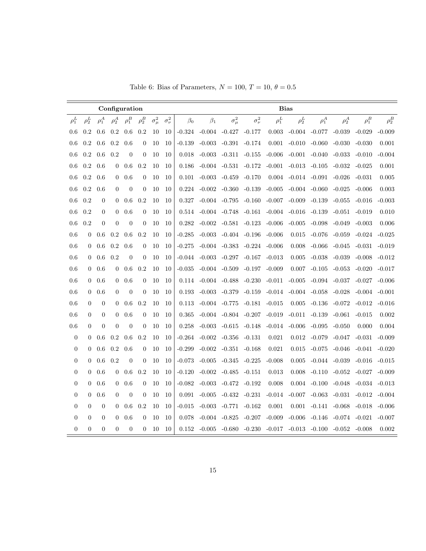|  |  | Table 6: Bias of Parameters, $N = 100$ , $T = 10$ , $\theta = 0.5$ |  |  |  |
|--|--|--------------------------------------------------------------------|--|--|--|
|--|--|--------------------------------------------------------------------|--|--|--|

|                  |                  |                |                | Configuration    |                  |                |                  |           |           |                |                  |            | <b>Bias</b> |            |            |            |            |
|------------------|------------------|----------------|----------------|------------------|------------------|----------------|------------------|-----------|-----------|----------------|------------------|------------|-------------|------------|------------|------------|------------|
| $\rho_1^L$       | $\rho_2^L$       | $\rho_1^A$     | $\rho_2^A$     | $\rho_1^B$       | $\rho_2^B$       | $\sigma^2_\mu$ | $\sigma_{\nu}^2$ | $\beta_0$ | $\beta_1$ | $\sigma^2_\mu$ | $\sigma_{\nu}^2$ | $\rho_1^L$ | $\rho_2^L$  | $\rho_1^A$ | $\rho_2^A$ | $\rho_1^B$ | $\rho_2^B$ |
| 0.6              | 0.2              | 0.6            | 0.2            | 0.6              | 0.2              | 10             | 10               | $-0.324$  | $-0.004$  | $-0.427$       | $-0.177$         | 0.003      | $-0.004$    | $-0.077$   | $-0.039$   | $-0.029$   | $-0.009$   |
| 0.6              | 0.2              | 0.6            | $0.2\,$        | 0.6              | $\overline{0}$   | 10             | 10               | $-0.139$  | $-0.003$  | $-0.391$       | $-0.174$         | 0.001      | $-0.010$    | $-0.060$   | $-0.030$   | $-0.030$   | 0.001      |
| 0.6              | 0.2              | 0.6            | 0.2            | $\theta$         | $\boldsymbol{0}$ | 10             | 10               | 0.018     | $-0.003$  | $-0.311$       | $-0.155$         | $-0.006$   | $-0.001$    | $-0.040$   | $-0.033$   | $-0.010$   | $-0.004$   |
| 0.6              | 0.2              | 0.6            | $\theta$       | 0.6              | 0.2              | 10             | 10               | 0.186     | $-0.004$  | $-0.531$       | $-0.172$         | $-0.001$   | $-0.013$    | $-0.105$   | $-0.032$   | $-0.025$   | 0.001      |
| 0.6              | 0.2              | 0.6            | $\theta$       | 0.6              | $\boldsymbol{0}$ | 10             | 10               | 0.101     | $-0.003$  | $-0.459$       | $-0.170$         | 0.004      | $-0.014$    | $-0.091$   | $-0.026$   | $-0.031$   | 0.005      |
| 0.6              | 0.2              | 0.6            | $\overline{0}$ | $\overline{0}$   | $\overline{0}$   | 10             | 10               | 0.224     | $-0.002$  | $-0.360$       | $-0.139$         | $-0.005$   | $-0.004$    | $-0.060$   | $-0.025$   | $-0.006$   | 0.003      |
| 0.6              | 0.2              | $\overline{0}$ | $\theta$       | 0.6              | 0.2              | 10             | 10               | 0.327     | $-0.004$  | $-0.795$       | $-0.160$         | $-0.007$   | $-0.009$    | $-0.139$   | $-0.055$   | $-0.016$   | $-0.003$   |
| 0.6              | 0.2              | $\mathbf{0}$   | $\theta$       | 0.6              | $\theta$         | 10             | 10               | 0.514     | $-0.004$  | $-0.748$       | $-0.161$         | $-0.004$   | $-0.016$    | $-0.139$   | $-0.051$   | $-0.019$   | 0.010      |
| 0.6              | 0.2              | $\overline{0}$ | $\theta$       | $\overline{0}$   | $\overline{0}$   | 10             | 10               | 0.282     | $-0.002$  | $-0.581$       | $-0.123$         | $-0.006$   | $-0.005$    | $-0.098$   | $-0.049$   | $-0.003$   | 0.006      |
| 0.6              | $\theta$         | 0.6            | 0.2            | 0.6              | 0.2              | 10             | 10               | $-0.285$  | $-0.003$  | $-0.404$       | $-0.196$         | $-0.006$   | 0.015       | $-0.076$   | $-0.059$   | $-0.024$   | $-0.025$   |
| 0.6              | $\overline{0}$   | 0.6            | 0.2            | 0.6              | $\boldsymbol{0}$ | 10             | 10               | $-0.275$  | $-0.004$  | $-0.383$       | $-0.224$         | $-0.006$   | 0.008       | $-0.066$   | $-0.045$   | $-0.031$   | $-0.019$   |
| 0.6              | $\theta$         | 0.6            | 0.2            | $\mathbf{0}$     | $\boldsymbol{0}$ | $10\,$         | 10               | $-0.044$  | $-0.003$  | $-0.297$       | $-0.167$         | $-0.013$   | 0.005       | $-0.038$   | $-0.039$   | $-0.008$   | $-0.012$   |
| 0.6              | $\overline{0}$   | 0.6            | $\theta$       | 0.6              | 0.2              | 10             | 10               | $-0.035$  | -0.004    | $-0.509$       | $-0.197$         | $-0.009$   | 0.007       | $-0.105$   | $-0.053$   | $-0.020$   | $-0.017$   |
| 0.6              | $\boldsymbol{0}$ | 0.6            | $\mathbf{0}$   | 0.6              | $\boldsymbol{0}$ | 10             | 10               | 0.114     | $-0.004$  | $-0.488$       | $-0.230$         | $-0.011$   | $-0.005$    | $-0.094$   | $-0.037$   | $-0.027$   | $-0.006$   |
| 0.6              | $\boldsymbol{0}$ | 0.6            | $\theta$       | $\theta$         | $\overline{0}$   | 10             | 10               | 0.193     | $-0.003$  | $-0.379$       | $-0.159$         | $-0.014$   | $-0.004$    | $-0.058$   | $-0.028$   | $-0.004$   | $-0.001$   |
| 0.6              | $\theta$         | $\overline{0}$ | $\theta$       | 0.6              | 0.2              | 10             | 10               | 0.113     | -0.004    | $-0.775$       | $-0.181$         | $-0.015$   | 0.005       | $-0.136$   | $-0.072$   | $-0.012$   | $-0.016$   |
| 0.6              | $\boldsymbol{0}$ | $\overline{0}$ | $\theta$       | 0.6              | $\boldsymbol{0}$ | 10             | 10               | 0.365     | $-0.004$  | $-0.804$       | $-0.207$         | $-0.019$   | $-0.011$    | $-0.139$   | $-0.061$   | $-0.015$   | 0.002      |
| 0.6              | $\boldsymbol{0}$ | $\theta$       | $\overline{0}$ | $\theta$         | $\overline{0}$   | 10             | 10               | 0.258     | $-0.003$  | $-0.615$       | $-0.148$         | $-0.014$   | $-0.006$    | $-0.095$   | $-0.050$   | 0.000      | 0.004      |
| $\boldsymbol{0}$ | $\Omega$         | 0.6            | 0.2            | 0.6              | 0.2              | 10             | 10               | $-0.264$  | $-0.002$  | $-0.356$       | $-0.131$         | 0.021      | 0.012       | $-0.079$   | $-0.047$   | $-0.031$   | $-0.009$   |
| $\boldsymbol{0}$ | $\boldsymbol{0}$ | 0.6            | 0.2            | 0.6              | $\boldsymbol{0}$ | 10             | 10               | $-0.299$  | $-0.002$  | $-0.351$       | $-0.168$         | 0.021      | 0.015       | $-0.075$   | $-0.046$   | $-0.041$   | $-0.020$   |
| $\boldsymbol{0}$ | $\boldsymbol{0}$ | 0.6            | 0.2            | $\boldsymbol{0}$ | $\boldsymbol{0}$ | 10             | 10               | $-0.073$  | $-0.005$  | $-0.345$       | $-0.225$         | $-0.008$   | 0.005       | $-0.044$   | $-0.039$   | $-0.016$   | $-0.015$   |
| $\boldsymbol{0}$ | $\overline{0}$   | 0.6            | $\theta$       | 0.6              | 0.2              | 10             | 10               | $-0.120$  | $-0.002$  | $-0.485$       | $-0.151$         | 0.013      | 0.008       | $-0.110$   | $-0.052$   | $-0.027$   | $-0.009$   |
| $\overline{0}$   | $\overline{0}$   | 0.6            | $\Omega$       | 0.6              | $\overline{0}$   | 10             | 10               | $-0.082$  | $-0.003$  | $-0.472$       | $-0.192$         | 0.008      | 0.004       | $-0.100$   | $-0.048$   | $-0.034$   | $-0.013$   |
| $\overline{0}$   | $\overline{0}$   | 0.6            | $\overline{0}$ | $\overline{0}$   | $\overline{0}$   | 10             | 10               | 0.091     | $-0.005$  | $-0.432$       | $-0.231$         | $-0.014$   | $-0.007$    | $-0.063$   | $-0.031$   | $-0.012$   | $-0.004$   |
| $\overline{0}$   | $\overline{0}$   | $\theta$       | $\theta$       | 0.6              | 0.2              | 10             | 10               | $-0.015$  | $-0.003$  | $-0.771$       | $-0.162$         | 0.001      | 0.001       | $-0.141$   | $-0.068$   | $-0.018$   | $-0.006$   |
| $\overline{0}$   | $\overline{0}$   | $\theta$       | $\theta$       | 0.6              | $\overline{0}$   | 10             | 10               | 0.078     | $-0.004$  | $-0.825$       | $-0.207$         | $-0.009$   | $-0.006$    | $-0.146$   | $-0.074$   | $-0.021$   | $-0.007$   |
| $\overline{0}$   | $\overline{0}$   | $\overline{0}$ | $\overline{0}$ | $\overline{0}$   | $\overline{0}$   | 10             | 10               | 0.152     | $-0.005$  | $-0.680$       | $-0.230$         | $-0.017$   | $-0.013$    | $-0.100$   | $-0.052$   | $-0.008$   | 0.002      |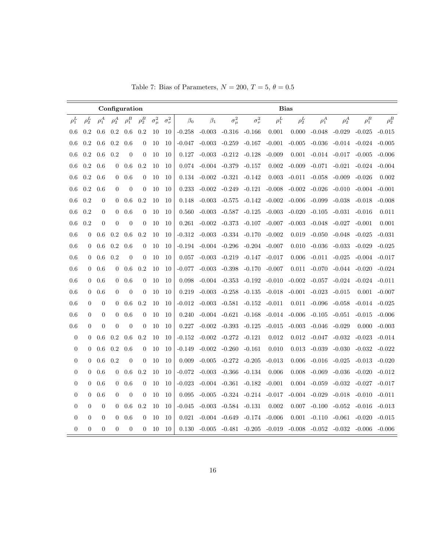|                  |                  |                |                  | Configuration    |                  |                |                  |           |           |                |                  |            | <b>Bias</b> |            |            |            |            |
|------------------|------------------|----------------|------------------|------------------|------------------|----------------|------------------|-----------|-----------|----------------|------------------|------------|-------------|------------|------------|------------|------------|
| $\rho_1^L$       | $\rho_2^L$       | $\rho_1^A$     | $\rho_2^A$       | $\rho_1^B$       | $\rho_2^B$       | $\sigma^2_\mu$ | $\sigma_{\nu}^2$ | $\beta_0$ | $\beta_1$ | $\sigma^2_\mu$ | $\sigma_{\nu}^2$ | $\rho_1^L$ | $\rho_2^L$  | $\rho_1^A$ | $\rho_2^A$ | $\rho_1^B$ | $\rho_2^B$ |
| 0.6              | 0.2              | 0.6            | 0.2              | 0.6              | 0.2              | 10             | 10               | $-0.258$  | $-0.003$  | $-0.316$       | $-0.166$         | 0.001      | 0.000       | $-0.048$   | $-0.029$   | $-0.025$   | $-0.015$   |
| 0.6              | 0.2              | 0.6            | $0.2\,$          | 0.6              | $\overline{0}$   | 10             | 10               | $-0.047$  | $-0.003$  | $-0.259$       | $-0.167$         | $-0.001$   | $-0.005$    | $-0.036$   | $-0.014$   | $-0.024$   | $-0.005$   |
| 0.6              | 0.2              | 0.6            | 0.2              | $\theta$         | $\boldsymbol{0}$ | 10             | 10               | 0.127     | $-0.003$  | $-0.212$       | $-0.128$         | $-0.009$   | 0.001       | $-0.014$   | $-0.017$   | $-0.005$   | $-0.006$   |
| 0.6              | 0.2              | 0.6            | $\theta$         | 0.6              | 0.2              | 10             | 10               | 0.074     | $-0.004$  | $-0.379$       | $-0.157$         | 0.002      | $-0.009$    | $-0.071$   | $-0.021$   | $-0.024$   | $-0.004$   |
| 0.6              | 0.2              | 0.6            | $\theta$         | 0.6              | $\boldsymbol{0}$ | 10             | 10               | 0.134     | $-0.002$  | $-0.321$       | $-0.142$         | 0.003      | $-0.011$    | $-0.058$   | $-0.009$   | $-0.026$   | 0.002      |
| 0.6              | 0.2              | 0.6            | $\overline{0}$   | $\overline{0}$   | $\overline{0}$   | 10             | 10               | 0.233     | $-0.002$  | $-0.249$       | $-0.121$         | $-0.008$   | $-0.002$    | $-0.026$   | $-0.010$   | $-0.004$   | $-0.001$   |
| 0.6              | 0.2              | $\overline{0}$ | $\theta$         | 0.6              | 0.2              | 10             | 10               | 0.148     | $-0.003$  | $-0.575$       | $-0.142$         | $-0.002$   | $-0.006$    | $-0.099$   | $-0.038$   | $-0.018$   | $-0.008$   |
| 0.6              | 0.2              | $\mathbf{0}$   | $\theta$         | 0.6              | $\overline{0}$   | 10             | 10               | 0.560     | $-0.003$  | $-0.587$       | $-0.125$         | $-0.003$   | $-0.020$    | $-0.105$   | $-0.031$   | $-0.016$   | 0.011      |
| 0.6              | 0.2              | $\overline{0}$ | $\theta$         | $\overline{0}$   | $\overline{0}$   | 10             | 10               | 0.261     | $-0.002$  | $-0.373$       | $-0.107$         | $-0.007$   | $-0.003$    | $-0.048$   | $-0.027$   | $-0.001$   | 0.001      |
| 0.6              | $\theta$         | 0.6            | 0.2              | 0.6              | 0.2              | 10             | 10               | $-0.312$  | $-0.003$  | $-0.334$       | $-0.170$         | $-0.002$   | 0.019       | $-0.050$   | $-0.048$   | $-0.025$   | $-0.031$   |
| 0.6              | $\overline{0}$   | 0.6            | 0.2              | 0.6              | $\boldsymbol{0}$ | 10             | 10               | $-0.194$  | $-0.004$  | $-0.296$       | $-0.204$         | $-0.007$   | 0.010       | $-0.036$   | $-0.033$   | $-0.029$   | $-0.025$   |
| 0.6              | $\theta$         | 0.6            | 0.2              | $\mathbf{0}$     | $\boldsymbol{0}$ | $10\,$         | 10               | 0.057     | $-0.003$  | $-0.219$       | $-0.147$         | $-0.017$   | 0.006       | $-0.011$   | $-0.025$   | $-0.004$   | $-0.017$   |
| 0.6              | $\overline{0}$   | 0.6            | $\theta$         | 0.6              | 0.2              | 10             | 10               | $-0.077$  | $-0.003$  | $-0.398$       | $-0.170$         | $-0.007$   | 0.011       | $-0.070$   | $-0.044$   | -0.020     | $-0.024$   |
| 0.6              | $\boldsymbol{0}$ | 0.6            | $\boldsymbol{0}$ | 0.6              | $\boldsymbol{0}$ | 10             | 10               | 0.098     | $-0.004$  | $-0.353$       | $-0.192$         | $-0.010$   | $-0.002$    | $-0.057$   | $-0.024$   | $-0.024$   | $-0.011$   |
| 0.6              | $\boldsymbol{0}$ | 0.6            | $\theta$         | $\theta$         | $\overline{0}$   | 10             | 10               | 0.219     | $-0.003$  | $-0.258$       | $-0.135$         | $-0.018$   | $-0.001$    | $-0.023$   | $-0.015$   | 0.001      | $-0.007$   |
| 0.6              | $\overline{0}$   | $\overline{0}$ | $\theta$         | 0.6              | 0.2              | 10             | 10               | $-0.012$  | $-0.003$  | $-0.581$       | $-0.152$         | $-0.011$   | 0.011       | $-0.096$   | $-0.058$   | $-0.014$   | $-0.025$   |
| 0.6              | $\boldsymbol{0}$ | $\overline{0}$ | $\theta$         | 0.6              | $\boldsymbol{0}$ | 10             | 10               | 0.240     | $-0.004$  | $-0.621$       | $-0.168$         | $-0.014$   | $-0.006$    | $-0.105$   | $-0.051$   | $-0.015$   | $-0.006$   |
| 0.6              | $\boldsymbol{0}$ | $\theta$       | $\overline{0}$   | $\theta$         | $\overline{0}$   | 10             | 10               | 0.227     | $-0.002$  | $-0.393$       | $-0.125$         | $-0.015$   | $-0.003$    | $-0.046$   | $-0.029$   | 0.000      | $-0.003$   |
| $\boldsymbol{0}$ | $\Omega$         | 0.6            | 0.2              | 0.6              | 0.2              | 10             | 10               | $-0.152$  | $-0.002$  | $-0.272$       | $-0.121$         | 0.012      | 0.012       | $-0.047$   | $-0.032$   | $-0.023$   | $-0.014$   |
| $\boldsymbol{0}$ | $\boldsymbol{0}$ | 0.6            | 0.2              | 0.6              | $\boldsymbol{0}$ | 10             | 10               | $-0.149$  | $-0.002$  | $-0.260$       | $-0.161$         | 0.010      | 0.013       | $-0.039$   | $-0.030$   | $-0.032$   | $-0.022$   |
| $\boldsymbol{0}$ | $\boldsymbol{0}$ | 0.6            | 0.2              | $\boldsymbol{0}$ | $\boldsymbol{0}$ | 10             | 10               | 0.009     | $-0.005$  | $-0.272$       | $-0.205$         | $-0.013$   | 0.006       | $-0.016$   | $-0.025$   | $-0.013$   | $-0.020$   |
| $\boldsymbol{0}$ | $\overline{0}$   | 0.6            | $\theta$         | 0.6              | 0.2              | 10             | 10               | $-0.072$  | $-0.003$  | $-0.366$       | $-0.134$         | 0.006      | 0.008       | $-0.069$   | $-0.036$   | $-0.020$   | $-0.012$   |
| $\overline{0}$   | $\overline{0}$   | 0.6            | $\Omega$         | 0.6              | $\overline{0}$   | 10             | 10               | $-0.023$  | $-0.004$  | $-0.361$       | $-0.182$         | $-0.001$   | 0.004       | $-0.059$   | $-0.032$   | $-0.027$   | $-0.017$   |
| $\overline{0}$   | $\overline{0}$   | 0.6            | $\overline{0}$   | $\overline{0}$   | $\overline{0}$   | 10             | 10               | 0.095     | $-0.005$  | $-0.324$       | $-0.214$         | $-0.017$   | $-0.004$    | $-0.029$   | $-0.018$   | $-0.010$   | $-0.011$   |
| $\overline{0}$   | $\overline{0}$   | $\theta$       | $\theta$         | 0.6              | 0.2              | 10             | 10               | $-0.045$  | $-0.003$  | $-0.584$       | $-0.131$         | 0.002      | 0.007       | $-0.100$   | $-0.052$   | $-0.016$   | $-0.013$   |
| $\overline{0}$   | $\overline{0}$   | $\theta$       | $\theta$         | 0.6              | $\overline{0}$   | 10             | 10               | 0.021     | $-0.004$  | $-0.649$       | $-0.174$         | $-0.006$   | 0.001       | $-0.110$   | $-0.061$   | $-0.020$   | $-0.015$   |
| $\overline{0}$   | $\overline{0}$   | $\overline{0}$ | $\overline{0}$   | $\overline{0}$   | $\overline{0}$   | 10             | 10               | 0.130     | $-0.005$  | $-0.481$       | $-0.205$         | $-0.019$   | $-0.008$    | $-0.052$   | $-0.032$   | -0.006     | $-0.006$   |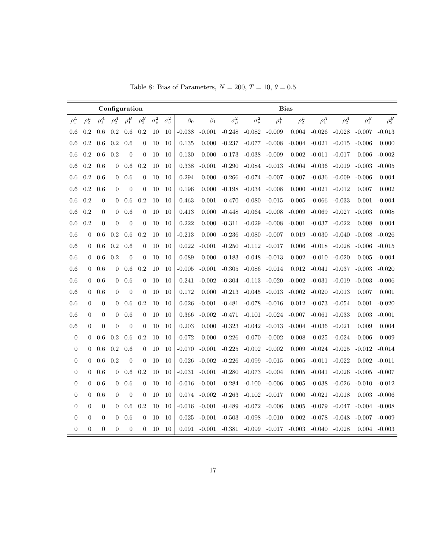| Table 8: Bias of Parameters, $N = 200$ , $T = 10$ , $\theta = 0.5$ |  |  |
|--------------------------------------------------------------------|--|--|
|--------------------------------------------------------------------|--|--|

|                  |                |                  |                | Configuration  |                  |                |                  |           |           |                |                  |            | <b>Bias</b> |                  |            |            |            |
|------------------|----------------|------------------|----------------|----------------|------------------|----------------|------------------|-----------|-----------|----------------|------------------|------------|-------------|------------------|------------|------------|------------|
| $\rho_1^L$       | $\rho_2^L$     | $\rho_1^A$       | $\rho_2^A$     | $\rho_1^B$     | $\rho_2^B$       | $\sigma^2_\mu$ | $\sigma_{\nu}^2$ | $\beta_0$ | $\beta_1$ | $\sigma^2_\mu$ | $\sigma_{\nu}^2$ | $\rho_1^L$ | $\rho_2^L$  | $\rho_1^A$       | $\rho_2^A$ | $\rho_1^B$ | $\rho_2^B$ |
| 0.6              | 0.2            | 0.6              | 0.2            | 0.6            | 0.2              | 10             | 10               | $-0.038$  | $-0.001$  | $-0.248$       | $-0.082$         | $-0.009$   | 0.004       | $-0.026$         | $-0.028$   | $-0.007$   | $-0.013$   |
| 0.6              | 0.2            | 0.6              | 0.2            | 0.6            | $\mathbf{0}$     | 10             | 10               | 0.135     | 0.000     | $-0.237$       | $-0.077$         | $-0.008$   |             | $-0.004 - 0.021$ | $-0.015$   | $-0.006$   | 0.000      |
| 0.6              | 0.2            | 0.6              | 0.2            | $\overline{0}$ | $\theta$         | 10             | 10               | 0.130     | 0.000     | $-0.173$       | $-0.038$         | $-0.009$   | 0.002       | $-0.011$         | $-0.017$   | 0.006      | $-0.002$   |
| 0.6              | 0.2            | 0.6              | $\theta$       | 0.6            | 0.2              | 10             | 10               | 0.338     | $-0.001$  | $-0.290$       | $-0.084$         | $-0.013$   | $-0.004$    | $-0.036$         | $-0.019$   | $-0.003$   | $-0.005$   |
| 0.6              | 0.2            | 0.6              | $\theta$       | 0.6            | $\overline{0}$   | 10             | 10               | 0.294     | 0.000     | $-0.266$       | -0.074           | $-0.007$   | $-0.007$    | $-0.036$         | $-0.009$   | $-0.006$   | 0.004      |
| 0.6              | 0.2            | 0.6              | $\overline{0}$ | $\overline{0}$ | $\theta$         | 10             | 10               | 0.196     | 0.000     | $-0.198$       | $-0.034$         | $-0.008$   | 0.000       | $-0.021$         | $-0.012$   | 0.007      | 0.002      |
| 0.6              | 0.2            | $\overline{0}$   | $\theta$       | 0.6            | 0.2              | 10             | 10               | 0.463     | $-0.001$  | $-0.470$       | $-0.080$         | $-0.015$   | $-0.005$    | $-0.066$         | $-0.033$   | 0.001      | $-0.004$   |
| 0.6              | 0.2            | $\theta$         | $\theta$       | 0.6            | $\boldsymbol{0}$ | 10             | 10               | 0.413     | 0.000     | $-0.448$       | $-0.064$         | $-0.008$   | $-0.009$    | $-0.069$         | $-0.027$   | $-0.003$   | 0.008      |
| 0.6              | 0.2            | $\overline{0}$   | $\theta$       | $\theta$       | $\overline{0}$   | 10             | 10               | 0.222     | 0.000     | $-0.311$       | $-0.029$         | $-0.008$   | $-0.001$    | $-0.037$         | $-0.022$   | 0.008      | 0.004      |
| 0.6              | $\theta$       | 0.6              | 0.2            | 0.6            | 0.2              | 10             | 10               | $-0.213$  | 0.000     | $-0.236$       | $-0.080$         | $-0.007$   | 0.019       | $-0.030$         | $-0.040$   | $-0.008$   | $-0.026$   |
| 0.6              | $\theta$       | 0.6              | 0.2            | 0.6            | $\boldsymbol{0}$ | 10             | 10               | 0.022     | $-0.001$  | $-0.250$       | $-0.112$         | $-0.017$   | 0.006       | $-0.018$         | $-0.028$   | $-0.006$   | $-0.015$   |
| 0.6              | $\Omega$       | 0.6              | 0.2            | $\theta$       | $\overline{0}$   | 10             | 10               | 0.089     | 0.000     | $-0.183$       | $-0.048$         | $-0.013$   | 0.002       | $-0.010$         | $-0.020$   | 0.005      | $-0.004$   |
| 0.6              | $\Omega$       | 0.6              | $\theta$       | 0.6            | 0.2              | 10             | 10               | $-0.005$  | $-0.001$  | $-0.305$       | $-0.086$         | $-0.014$   | 0.012       | $-0.041$         | $-0.037$   | $-0.003$   | $-0.020$   |
| 0.6              | $\theta$       | 0.6              | $\theta$       | 0.6            | $\overline{0}$   | 10             | 10               | 0.241     | $-0.002$  | $-0.304$       | $-0.113$         | $-0.020$   | $-0.002$    | $-0.031$         | $-0.019$   | $-0.003$   | $-0.006$   |
| 0.6              | $\overline{0}$ | 0.6              | $\Omega$       | $\overline{0}$ | $\overline{0}$   | 10             | 10               | 0.172     | 0.000     | $-0.213$       | $-0.045$         | $-0.013$   | $-0.002$    | $-0.020$         | $-0.013$   | 0.007      | 0.001      |
| 0.6              | $\Omega$       | $\theta$         | $\Omega$       | 0.6            | 0.2              | 10             | 10               | 0.026     | $-0.001$  | $-0.481$       | $-0.078$         | $-0.016$   | 0.012       | $-0.073$         | $-0.054$   | 0.001      | $-0.020$   |
| 0.6              | $\Omega$       | $\boldsymbol{0}$ | $\Omega$       | 0.6            | $\boldsymbol{0}$ | 10             | 10               | 0.366     | $-0.002$  | $-0.471$       | $-0.101$         | $-0.024$   | $-0.007$    | $-0.061$         | $-0.033$   | 0.003      | $-0.001$   |
| 0.6              | $\theta$       | $\theta$         | $\overline{0}$ | $\theta$       | $\overline{0}$   | 10             | 10               | 0.203     | 0.000     | $-0.323$       | $-0.042$         | $-0.013$   | $-0.004$    | $-0.036$         | $-0.021$   | 0.009      | 0.004      |
| $\boldsymbol{0}$ | $\theta$       | 0.6              | 0.2            | 0.6            | 0.2              | 10             | 10               | $-0.072$  | 0.000     | $-0.226$       | $-0.070$         | $-0.002$   | 0.008       | $-0.025$         | $-0.024$   | $-0.006$   | $-0.009$   |
| $\boldsymbol{0}$ | $\theta$       | 0.6              | 0.2            | 0.6            | $\overline{0}$   | 10             | 10               | $-0.070$  | $-0.001$  | $-0.225$       | $-0.092$         | $-0.002$   | 0.009       | $-0.024$         | $-0.025$   | $-0.012$   | $-0.014$   |
| $\boldsymbol{0}$ | $\theta$       | 0.6              | 0.2            | $\overline{0}$ | $\overline{0}$   | 10             | 10               | 0.026     | $-0.002$  | $-0.226$       | $-0.099$         | $-0.015$   | 0.005       | $-0.011$         | $-0.022$   | 0.002      | $-0.011$   |
| $\boldsymbol{0}$ | $\mathbf{0}$   | 0.6              | $\overline{0}$ | 0.6            | 0.2              | 10             | 10               | $-0.031$  | $-0.001$  | $-0.280$       | $-0.073$         | $-0.004$   | 0.005       | $-0.041$         | $-0.026$   | $-0.005$   | $-0.007$   |
| $\boldsymbol{0}$ | $\theta$       | 0.6              | $\theta$       | 0.6            | $\overline{0}$   | 10             | 10               | $-0.016$  | $-0.001$  | $-0.284$       | $-0.100$         | $-0.006$   | 0.005       | $-0.038$         | $-0.026$   | $-0.010$   | $-0.012$   |
| $\boldsymbol{0}$ | $\mathbf{0}$   | 0.6              | $\theta$       | $\theta$       | $\overline{0}$   | 10             | 10               | 0.074     | $-0.002$  | $-0.263$       | $-0.102$         | $-0.017$   | 0.000       | $-0.021$         | $-0.018$   | 0.003      | $-0.006$   |
| $\boldsymbol{0}$ | $\overline{0}$ | $\theta$         | $\overline{0}$ | 0.6            | 0.2              | 10             | 10               | $-0.016$  | $-0.001$  | $-0.489$       | $-0.072$         | $-0.006$   | 0.005       | $-0.079$         | $-0.047$   | $-0.004$   | $-0.008$   |
| $\overline{0}$   | $\overline{0}$ | $\overline{0}$   | $\overline{0}$ | 0.6            | $\overline{0}$   | 10             | 10               | 0.025     | $-0.001$  | $-0.503$       | $-0.098$         | $-0.010$   | 0.002       | $-0.078$         | $-0.048$   | $-0.007$   | $-0.009$   |
| $\boldsymbol{0}$ | $\theta$       | $\boldsymbol{0}$ | $\theta$       | $\overline{0}$ | $\overline{0}$   | 10             | 10               | 0.091     | $-0.001$  | $-0.381$       | $-0.099$         | $-0.017$   | $-0.003$    | $-0.040$         | $-0.028$   | 0.004      | $-0.003$   |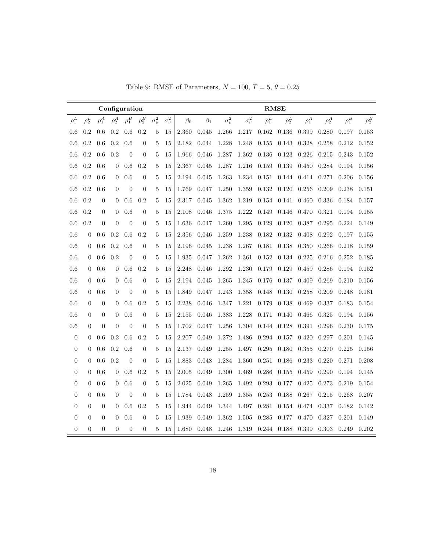|  |  | Table 9: RMSE of Parameters, $N = 100$ , $T = 5$ , $\theta = 0.25$ |  |  |  |  |  |
|--|--|--------------------------------------------------------------------|--|--|--|--|--|
|--|--|--------------------------------------------------------------------|--|--|--|--|--|

|                  |                  |                  |                | Configuration  |                  |                |                  |           |           |                |                  |            | <b>RMSE</b> |            |            |            |            |
|------------------|------------------|------------------|----------------|----------------|------------------|----------------|------------------|-----------|-----------|----------------|------------------|------------|-------------|------------|------------|------------|------------|
| $\rho_1^L$       | $\rho_2^L$       | $\rho_1^A$       | $\rho_2^A$     | $\rho_1^B$     | $\rho_2^B$       | $\sigma^2_\mu$ | $\sigma_{\nu}^2$ | $\beta_0$ | $\beta_1$ | $\sigma^2_\mu$ | $\sigma_{\nu}^2$ | $\rho_1^L$ | $\rho_2^L$  | $\rho_1^A$ | $\rho_2^A$ | $\rho_1^B$ | $\rho_2^B$ |
| 0.6              | 0.2              | 0.6              | 0.2            | 0.6            | 0.2              | 5              | 15               | 2.360     | 0.045     | 1.266          | 1.217            | 0.162      | 0.136       | 0.399      | 0.280      | 0.197      | 0.153      |
| 0.6              | 0.2              | 0.6              | $0.2\,$        | 0.6            | $\boldsymbol{0}$ | 5              | 15               | 2.182     | 0.044     | 1.228          | 1.248            | 0.155      | 0.143       | 0.328      | 0.258      | 0.212      | 0.152      |
| 0.6              | 0.2              | 0.6              | 0.2            | $\theta$       | $\boldsymbol{0}$ | 5              | 15               | 1.966     | 0.046     | 1.287          | 1.362            | 0.136      | 0.123       | 0.226      | 0.215      | 0.243      | 0.152      |
| 0.6              | 0.2              | 0.6              | 0              | 0.6            | 0.2              | 5              | 15               | 2.367     | 0.045     | 1.287          | 1.216            | 0.159      | 0.139       | 0.450      | 0.284      | 0.194      | 0.156      |
| 0.6              | $0.2\,$          | 0.6              | $\overline{0}$ | 0.6            | $\overline{0}$   | 5              | 15               | 2.194     | 0.045     | 1.263          | 1.234            | 0.151      | 0.144       | 0.414      | 0.271      | 0.206      | 0.156      |
| 0.6              | 0.2              | 0.6              | $\overline{0}$ | $\overline{0}$ | $\boldsymbol{0}$ | 5              | 15               | 1.769     | 0.047     | 1.250          | 1.359            | 0.132      | 0.120       | 0.256      | 0.209      | 0.238      | 0.151      |
| 0.6              | 0.2              | $\boldsymbol{0}$ | $\mathbf{0}$   | 0.6            | 0.2              | 5              | 15               | 2.317     | 0.045     | 1.362          | 1.219            | 0.154      | 0.141       | 0.460      | 0.336      | 0.184      | 0.157      |
| 0.6              | 0.2              | $\boldsymbol{0}$ | $\mathbf{0}$   | 0.6            | $\boldsymbol{0}$ | 5              | 15               | 2.108     | 0.046     | 1.375          | 1.222            | 0.149      | 0.146       | 0.470      | 0.321      | 0.194      | 0.155      |
| 0.6              | 0.2              | $\theta$         | $\overline{0}$ | $\theta$       | $\overline{0}$   | 5              | 15               | 1.636     | 0.047     | 1.260          | 1.295            | 0.129      | 0.120       | 0.387      | 0.295      | 0.224      | 0.149      |
| 0.6              | $\Omega$         | 0.6              | 0.2            | 0.6            | 0.2              | 5              | 15               | 2.356     | 0.046     | 1.259          | 1.238            | 0.182      | 0.132       | 0.408      | 0.292      | 0.197      | 0.155      |
| 0.6              | $\Omega$         | 0.6              | 0.2            | 0.6            | $\boldsymbol{0}$ | 5              | 15               | 2.196     | 0.045     | 1.238          | 1.267            | 0.181      | 0.138       | 0.350      | 0.266      | 0.218      | 0.159      |
| 0.6              | $\theta$         | 0.6              | 0.2            | $\overline{0}$ | $\overline{0}$   | 5              | 15               | 1.935     | 0.047     | 1.262          | 1.361            | 0.152      | 0.134       | 0.225      | 0.216      | 0.252      | 0.185      |
| 0.6              | $\theta$         | 0.6              | $\theta$       | 0.6            | 0.2              | 5              | 15               | 2.248     | 0.046     | 1.292          | 1.230            | 0.179      | 0.129       | 0.459      | 0.286      | 0.194      | 0.152      |
| 0.6              | $\theta$         | 0.6              | $\theta$       | 0.6            | $\boldsymbol{0}$ | 5              | 15               | 2.194     | 0.045     | 1.265          | 1.245            | 0.176      | 0.137       | 0.409      | 0.269      | 0.210      | 0.156      |
| 0.6              | $\overline{0}$   | 0.6              | $\theta$       | $\overline{0}$ | $\boldsymbol{0}$ | 5              | 15               | 1.849     | 0.047     | 1.243          | 1.358            | 0.148      | 0.130       | 0.258      | 0.209      | 0.248      | 0.181      |
| 0.6              | $\overline{0}$   | $\boldsymbol{0}$ | $\theta$       | 0.6            | 0.2              | 5              | 15               | 2.238     | 0.046     | 1.347          | 1.221            | 0.179      | 0.138       | 0.469      | 0.337      | 0.183      | 0.154      |
| 0.6              | $\overline{0}$   | $\boldsymbol{0}$ | 0              | 0.6            | $\overline{0}$   | 5              | 15               | 2.155     | 0.046     | 1.383          | 1.228            | 0.171      | 0.140       | 0.466      | 0.325      | 0.194      | 0.156      |
| 0.6              | $\overline{0}$   | $\boldsymbol{0}$ | $\overline{0}$ | $\overline{0}$ | $\boldsymbol{0}$ | 5              | 15               | 1.702     | 0.047     | 1.256          | 1.304            | 0.144      | 0.128       | 0.391      | 0.296      | 0.230      | 0.175      |
| $\boldsymbol{0}$ | $\overline{0}$   | 0.6              | 0.2            | 0.6            | 0.2              | 5              | 15               | 2.207     | 0.049     | 1.272          | 1.486            | 0.294      | 0.157       | 0.420      | 0.297      | 0.201      | 0.145      |
| $\boldsymbol{0}$ | $\overline{0}$   | 0.6              | 0.2            | 0.6            | $\overline{0}$   | 5              | 15               | 2.137     | 0.049     | 1.255          | 1.497            | 0.295      | 0.180       | 0.355      | 0.270      | 0.225      | 0.156      |
| $\boldsymbol{0}$ | $\overline{0}$   | 0.6              | 0.2            | $\theta$       | $\overline{0}$   | 5              | 15               | 1.883     | 0.048     | 1.284          | 1.360            | 0.251      | 0.186       | 0.233      | 0.220      | 0.271      | 0.208      |
| $\boldsymbol{0}$ | $\boldsymbol{0}$ | 0.6              | $\mathbf{0}$   | 0.6            | 0.2              | 5              | 15               | 2.005     | 0.049     | 1.300          | 1.469            | 0.286      | 0.155       | 0.459      | 0.290      | 0.194      | 0.145      |
| $\overline{0}$   | $\overline{0}$   | 0.6              | $\overline{0}$ | 0.6            | $\overline{0}$   | 5              | 15               | 2.025     | 0.049     | 1.265          | 1.492            | 0.293      | 0.177       | 0.425      | 0.273      | 0.219      | 0.154      |
| $\boldsymbol{0}$ | $\overline{0}$   | 0.6              | $\overline{0}$ | $\overline{0}$ | $\overline{0}$   | 5              | 15               | 1.784     | 0.048     | 1.259          | 1.355            | 0.253      | 0.188       | 0.267      | 0.215      | 0.268      | 0.207      |
| $\overline{0}$   | $\overline{0}$   | $\boldsymbol{0}$ | $\overline{0}$ | 0.6            | 0.2              | 5              | 15               | 1.944     | 0.049     | 1.344          | 1.497            | 0.281      | 0.154       | 0.474      | 0.337      | 0.182      | 0.142      |
| $\boldsymbol{0}$ | $\Omega$         | $\overline{0}$   | $\theta$       | 0.6            | $\overline{0}$   | 5              | 15               | 1.939     | 0.049     | 1.362          | 1.505            | 0.285      | 0.177       | 0.470      | 0.327      | 0.201      | 0.149      |
| $\boldsymbol{0}$ | $\overline{0}$   | $\overline{0}$   | $\overline{0}$ | $\overline{0}$ | $\boldsymbol{0}$ | 5              | 15               | 1.680     | 0.048     | 1.246          | 1.319            | 0.244      | 0.188       | 0.399      | 0.303      | 0.249      | 0.202      |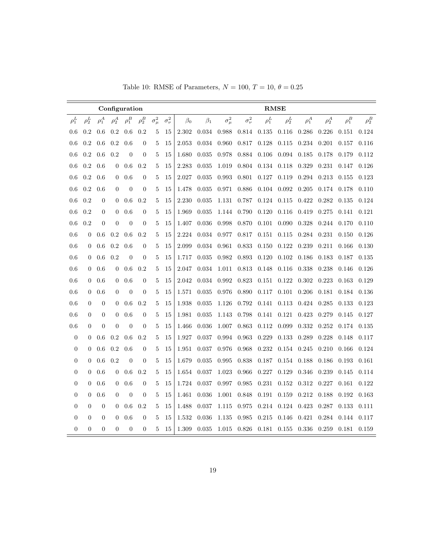|                  |                |                  |                  | Configuration  |                  |                |                  |           |           |                |                  |            | <b>RMSE</b> |            |            |            |            |
|------------------|----------------|------------------|------------------|----------------|------------------|----------------|------------------|-----------|-----------|----------------|------------------|------------|-------------|------------|------------|------------|------------|
| $\rho_1^L$       | $\rho_2^L$     | $\rho_1^A$       | $\rho_2^A$       | $\rho_1^B$     | $\rho_2^B$       | $\sigma^2_\mu$ | $\sigma_{\nu}^2$ | $\beta_0$ | $\beta_1$ | $\sigma^2_\mu$ | $\sigma_{\nu}^2$ | $\rho_1^L$ | $\rho_2^L$  | $\rho_1^A$ | $\rho_2^A$ | $\rho_1^B$ | $\rho_2^B$ |
| 0.6              | 0.2            | 0.6              | 0.2              | 0.6            | 0.2              | 5              | 15               | 2.302     | 0.034     | 0.988          | 0.814            | 0.135      | 0.116       | 0.286      | 0.226      | 0.151      | 0.124      |
| 0.6              | 0.2            | 0.6              | 0.2              | 0.6            | $\overline{0}$   | 5              | 15               | 2.053     | 0.034     | 0.960          | 0.817            | 0.128      | 0.115       | 0.234      | 0.201      | 0.157      | 0.116      |
| 0.6              | 0.2            | 0.6              | 0.2              | $\overline{0}$ | $\boldsymbol{0}$ | 5              | 15               | 1.680     | 0.035     | 0.978          | 0.884            | 0.106      | 0.094       | 0.185      | 0.178      | 0.179      | 0.112      |
| 0.6              | 0.2            | 0.6              | $\overline{0}$   | 0.6            | 0.2              | 5              | 15               | 2.283     | 0.035     | 1.019          | 0.804            | 0.134      | 0.118       | 0.329      | 0.231      | 0.147      | 0.126      |
| 0.6              | 0.2            | 0.6              | $\theta$         | 0.6            | $\overline{0}$   | 5              | 15               | 2.027     | 0.035     | 0.993          | 0.801            | 0.127      | 0.119       | 0.294      | 0.213      | 0.155      | 0.123      |
| 0.6              | 0.2            | 0.6              | $\overline{0}$   | $\overline{0}$ | $\boldsymbol{0}$ | 5              | 15               | 1.478     | 0.035     | 0.971          | 0.886            | 0.104      | 0.092       | 0.205      | 0.174      | 0.178      | 0.110      |
| 0.6              | 0.2            | $\overline{0}$   | $\mathbf{0}$     | 0.6            | 0.2              | 5              | 15               | 2.230     | 0.035     | 1.131          | 0.787            | 0.124      | 0.115       | 0.422      | 0.282      | 0.135      | 0.124      |
| 0.6              | 0.2            | $\overline{0}$   | $\theta$         | 0.6            | $\theta$         | 5              | 15               | 1.969     | 0.035     | 1.144          | 0.790            | 0.120      | 0.116       | 0.419      | 0.275      | 0.141      | 0.121      |
| 0.6              | 0.2            | $\Omega$         | $\overline{0}$   | $\overline{0}$ | $\boldsymbol{0}$ | 5              | 15               | 1.407     | 0.036     | 0.998          | 0.870            | 0.101      | 0.090       | 0.328      | 0.244      | 0.170      | 0.110      |
| 0.6              | $\theta$       | 0.6              | 0.2              | 0.6            | 0.2              | 5              | 15               | 2.224     | 0.034     | 0.977          | 0.817            | 0.151      | 0.115       | 0.284      | 0.231      | 0.150      | 0.126      |
| 0.6              | $\overline{0}$ | 0.6              | 0.2              | 0.6            | $\theta$         | 5              | 15               | 2.099     | 0.034     | 0.961          | 0.833            | 0.150      | 0.122       | 0.239      | 0.211      | 0.166      | 0.130      |
| 0.6              | $\Omega$       | 0.6              | 0.2              | $\overline{0}$ | $\overline{0}$   | 5              | 15               | 1.717     | 0.035     | 0.982          | 0.893            | 0.120      | 0.102       | 0.186      | 0.183      | 0.187      | 0.135      |
| 0.6              | 0              | 0.6              | $\mathbf{0}$     | 0.6            | 0.2              | 5              | 15               | 2.047     | 0.034     | 1.011          | 0.813            | 0.148      | 0.116       | 0.338      | 0.238      | 0.146      | 0.126      |
| 0.6              | $\overline{0}$ | 0.6              | $\theta$         | 0.6            | $\theta$         | 5              | 15               | 2.042     | 0.034     | 0.992          | 0.823            | 0.151      | 0.122       | 0.302      | 0.223      | 0.163      | 0.129      |
| 0.6              | $\overline{0}$ | 0.6              | $\overline{0}$   | $\theta$       | $\theta$         | 5              | 15               | 1.571     | 0.035     | 0.976          | 0.890            | 0.117      | 0.101       | 0.206      | 0.181      | 0.184      | 0.136      |
| 0.6              | $\overline{0}$ | $\boldsymbol{0}$ | $\boldsymbol{0}$ | 0.6            | 0.2              | 5              | 15               | 1.938     | 0.035     | 1.126          | 0.792            | 0.141      | 0.113       | 0.424      | 0.285      | 0.133      | 0.123      |
| 0.6              | 0              | $\boldsymbol{0}$ | $\overline{0}$   | 0.6            | $\overline{0}$   | 5              | 15               | 1.981     | 0.035     | 1.143          | 0.798            | 0.141      | 0.121       | 0.423      | 0.279      | 0.145      | 0.127      |
| 0.6              | $\overline{0}$ | $\overline{0}$   | $\theta$         | $\theta$       | $\overline{0}$   | 5              | 15               | 1.466     | 0.036     | 1.007          | 0.863            | 0.112      | 0.099       | 0.332      | 0.252      | 0.174      | 0.135      |
| $\boldsymbol{0}$ | $\overline{0}$ | 0.6              | $0.2\,$          | 0.6            | 0.2              | 5              | 15               | 1.927     | 0.037     | 0.994          | 0.963            | 0.229      | 0.133       | 0.289      | 0.228      | 0.148      | 0.117      |
| $\overline{0}$   | 0              | 0.6              | 0.2              | 0.6            | $\overline{0}$   | 5              | 15               | 1.951     | 0.037     | 0.976          | 0.968            | 0.232      | 0.154       | 0.245      | 0.210      | 0.166      | 0.124      |
| 0                | 0              | 0.6              | 0.2              | $\overline{0}$ | $\overline{0}$   | 5              | 15               | 1.679     | 0.035     | 0.995          | 0.838            | 0.187      | 0.154       | 0.188      | 0.186      | 0.193      | 0.161      |
| 0                | $\overline{0}$ | 0.6              | $\mathbf{0}$     | 0.6            | 0.2              | 5              | 15               | 1.654     | 0.037     | 1.023          | 0.966            | 0.227      | 0.129       | 0.346      | 0.239      | 0.145      | 0.114      |
| 0                | $\overline{0}$ | 0.6              | $\mathbf{0}$     | 0.6            | $\theta$         | 5              | 15               | 1.724     | 0.037     | 0.997          | 0.985            | 0.231      | 0.152       | 0.312      | 0.227      | 0.161      | 0.122      |
| $\boldsymbol{0}$ | 0              | 0.6              | $\overline{0}$   | $\overline{0}$ | $\theta$         | 5              | 15               | 1.461     | 0.036     | 1.001          | 0.848            | 0.191      | 0.159       | 0.212      | 0.188      | 0.192      | 0.163      |
| $\overline{0}$   | $\overline{0}$ | $\overline{0}$   | $\theta$         | 0.6            | 0.2              | 5              | 15               | 1.488     | 0.037     | 1.115          | 0.975            | 0.214      | 0.124       | 0.423      | 0.287      | 0.133      | 0.111      |
| $\boldsymbol{0}$ | 0              | $\theta$         | $\theta$         | 0.6            | $\theta$         | 5              | 15               | 1.532     | 0.036     | 1.135          | 0.985            | 0.215      | 0.146       | 0.421      | 0.284      | 0.144      | 0.117      |
| $\boldsymbol{0}$ | $\overline{0}$ | $\overline{0}$   | $\overline{0}$   | $\theta$       | $\overline{0}$   | 5              | 15               | 1.309     | 0.035     | 1.015          | 0.826            | 0.181      | 0.155       | 0.336      | 0.259      | 0.181      | 0.159      |

Table 10: RMSE of Parameters,  $N = 100, T = 10, \theta = 0.25$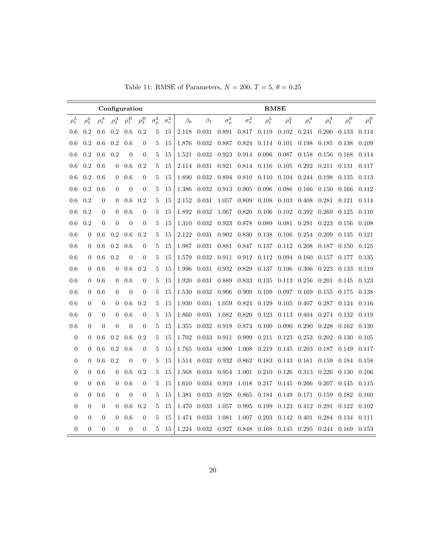| Table 11: RMSE of Parameters, $N = 200$ , $T = 5$ , $\theta = 0.25$ |  |  |  |  |  |  |  |  |
|---------------------------------------------------------------------|--|--|--|--|--|--|--|--|
|---------------------------------------------------------------------|--|--|--|--|--|--|--|--|

|                  |                |                  | Configuration  |                |                  |                |                  |           |           |                |                  |             | <b>RMSE</b> |            |            |             |            |
|------------------|----------------|------------------|----------------|----------------|------------------|----------------|------------------|-----------|-----------|----------------|------------------|-------------|-------------|------------|------------|-------------|------------|
| $\rho_1^L$       | $\rho_2^L$     | $\rho_1^A$       | $\rho_2^A$     | $\rho_1^B$     | $\rho_2^B$       | $\sigma^2_\mu$ | $\sigma_{\nu}^2$ | $\beta_0$ | $\beta_1$ | $\sigma^2_\mu$ | $\sigma_{\nu}^2$ | $\rho_1^L$  | $\rho_2^L$  | $\rho_1^A$ | $\rho_2^A$ | $\rho_1^B$  | $\rho_2^B$ |
| 0.6              | 0.2            | 0.6              | $0.2\,$        | 0.6            | 0.2              | 5              | 15               | 2.118     | 0.031     | 0.891          | 0.817            | 0.119       | 0.102       | 0.241      | 0.200      | 0.133       | 0.114      |
| 0.6              | 0.2            | 0.6              | 0.2            | 0.6            | $\boldsymbol{0}$ | 5              | 15               | 1.876     | 0.032     | 0.887          | 0.824            | 0.114 0.101 |             | 0.198      | 0.185      | 0.138       | 0.109      |
| $0.6\,$          | 0.2            | 0.6              | 0.2            | $\theta$       | $\boldsymbol{0}$ | 5              | 15               | 1.521     | 0.032     | 0.923          | 0.914            | 0.096       | 0.087       | 0.158      | 0.156      | 0.168       | 0.114      |
| 0.6              | 0.2            | 0.6              | $\mathbf{0}$   | 0.6            | 0.2              | 5              | 15               | 2.114     | 0.031     | 0.921          | 0.814            | 0.116       | $0.105\,$   | 0.292      | 0.211      | 0.131       | 0.117      |
| 0.6              | 0.2            | 0.6              | $\Omega$       | 0.6            | $\boldsymbol{0}$ | 5              | 15               | 1.890     | 0.032     | 0.894          | $0.810\,$        | 0.110       | 0.104       | 0.244      | 0.198      | 0.135       | 0.113      |
| 0.6              | $\rm 0.2$      | 0.6              | $\overline{0}$ | $\overline{0}$ | $\boldsymbol{0}$ | 5              | 15               | 1.386     | 0.032     | $\,0.913\,$    | 0.905            | 0.096       | 0.086       | 0.166      | 0.150      | 0.166       | 0.112      |
| 0.6              | 0.2            | $\boldsymbol{0}$ | $\theta$       | 0.6            | 0.2              | 5              | 15               | 2.152     | 0.031     | 1.057          | 0.809            | 0.108       | 0.103       | 0.408      | 0.281      | 0.121       | 0.114      |
| 0.6              | 0.2            | $\overline{0}$   | $\theta$       | 0.6            | $\overline{0}$   | 5              | 15               | 1.892     | 0.032     | 1.067          | 0.820            | 0.106       | 0.102       | 0.392      | 0.269      | 0.125       | 0.110      |
| 0.6              | 0.2            | $\overline{0}$   | $\overline{0}$ | $\overline{0}$ | $\overline{0}$   | 5              | 15               | 1.310     | 0.032     | 0.923          | 0.878            | 0.089       | 0.081       | 0.291      | 0.223      | 0.156       | 0.108      |
| 0.6              | $\theta$       | 0.6              | 0.2            | 0.6            | 0.2              | 5              | 15               | 2.122     | 0.031     | 0.902          | 0.830            | 0.138       | 0.106       | 0.254      | 0.209      | 0.135       | 0.121      |
| 0.6              | $\theta$       | 0.6              | 0.2            | 0.6            | $\boldsymbol{0}$ | 5              | 15               | 1.987     | 0.031     | 0.881          | 0.847            | 0.137       | 0.112       | 0.208      | 0.187      | 0.150       | 0.125      |
| 0.6              | 0              | 0.6              | 0.2            | $\overline{0}$ | $\boldsymbol{0}$ | 5              | 15               | 1.579     | 0.032     | 0.911          | 0.912            | 0.112       | 0.094       | 0.160      | 0.157      | 0.177       | 0.135      |
| 0.6              | $\theta$       | 0.6              | $\mathbf{0}$   | 0.6            | 0.2              | 5              | 15               | 1.996     | 0.031     | 0.932          | 0.829            | 0.137       | 0.106       | 0.306      | 0.223      | 0.133       | 0.119      |
| 0.6              | 0              | 0.6              | $\mathbf{0}$   | 0.6            | $\overline{0}$   | 5              | 15               | 1.920     | 0.031     | 0.889          | 0.833            | 0.135       | 0.113       | 0.256      | 0.201      | 0.145       | 0.123      |
| 0.6              | $\overline{0}$ | 0.6              | $\overline{0}$ | $\overline{0}$ | $\overline{0}$   | 5              | 15               | 1.530     | 0.032     | 0.906          | 0.909            | 0.109       | 0.097       | 0.169      | 0.155      | 0.175       | 0.138      |
| 0.6              | $\Omega$       | $\overline{0}$   | $\theta$       | 0.6            | 0.2              | 5              | 15               | 1.930     | 0.031     | 1.059          | 0.824            | 0.129       | 0.105       | 0.407      | 0.287      | 0.124       | 0.116      |
| 0.6              | $\theta$       | $\boldsymbol{0}$ | $\theta$       | 0.6            | $\overline{0}$   | 5              | 15               | 1.860     | 0.031     | 1.082          | 0.820            | 0.123       | 0.113       | 0.404      | 0.274      | 0.132       | 0.119      |
| 0.6              | $\overline{0}$ | $\overline{0}$   | $\overline{0}$ | $\overline{0}$ | $\overline{0}$   | 5              | 15               | 1.355     | 0.032     | 0.919          | 0.874            | 0.100       | 0.090       | 0.290      | 0.228      | 0.162       | 0.130      |
| $\boldsymbol{0}$ | 0              | 0.6              | 0.2            | 0.6            | 0.2              | 5              | 15               | 1.702     | 0.033     | 0.911          | 0.999            | 0.211       | 0.123       | 0.253      | 0.202      | 0.130       | 0.105      |
| $\boldsymbol{0}$ | $\theta$       | 0.6              | 0.2            | 0.6            | $\boldsymbol{0}$ | 5              | 15               | 1.765     | 0.034     | 0.900          | 1.008            | 0.219       | 0.145       | 0.203      | 0.187      | 0.149       | 0.117      |
| $\boldsymbol{0}$ | 0              | 0.6              | 0.2            | $\theta$       | $\boldsymbol{0}$ | 5              | 15               | 1.514     | 0.032     | 0.932          | 0.862            | 0.183       | 0.143       | 0.161      | 0.159      | 0.184       | 0.158      |
| $\boldsymbol{0}$ | $\overline{0}$ | 0.6              | $\mathbf{0}$   | 0.6            | 0.2              | 5              | 15               | 1.568     | 0.034     | 0.954          | 1.001            | 0.210       | 0.126       | 0.313      | 0.226      | 0.130       | 0.106      |
| $\boldsymbol{0}$ | 0              | 0.6              | $\overline{0}$ | 0.6            | $\mathbf{0}$     | 5              | 15               | 1.610     | 0.034     | 0.919          | 1.018            | 0.217       | 0.145       | 0.266      | 0.207      | 0.145       | 0.115      |
| $\boldsymbol{0}$ | $\theta$       | 0.6              | $\theta$       | $\overline{0}$ | $\overline{0}$   | 5              | 15               | 1.381     | 0.033     | 0.928          | 0.865            | 0.184       | 0.149       | 0.171      | 0.159      | 0.182       | 0.160      |
| $\boldsymbol{0}$ | $\overline{0}$ | $\boldsymbol{0}$ | $\mathbf{0}$   | 0.6            | 0.2              | 5              | 15               | 1.470     | 0.033     | 1.057          | 0.995            | 0.199       | 0.123       | 0.412      | 0.291      | 0.122       | 0.102      |
| $\boldsymbol{0}$ | $\theta$       | $\overline{0}$   | $\Omega$       | 0.6            | $\overline{0}$   | $\overline{5}$ | 15               | 1.474     | 0.033     | 1.081          | 1.007            | 0.203       | 0.142       | 0.401      | 0.284      | 0.134       | 0.111      |
| $\overline{0}$   | $\overline{0}$ | $\overline{0}$   | $\overline{0}$ | $\overline{0}$ | $\overline{0}$   | 5              | 15               | 1.224     | 0.032     | 0.927          |                  | 0.848 0.168 | 0.145       | 0.295      |            | 0.244 0.169 | 0.153      |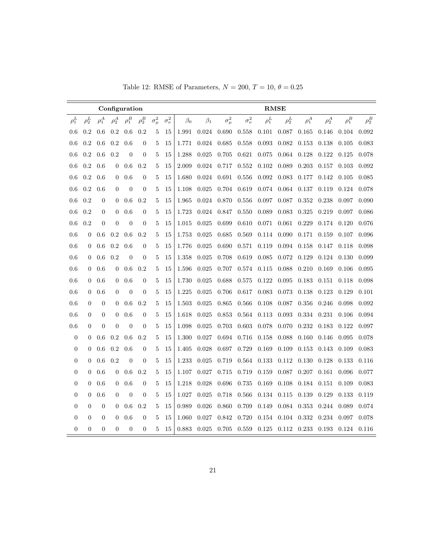| Table 12: RMSE of Parameters, $N = 200$ , $T = 10$ , $\theta = 0.25$ |  |  |  |
|----------------------------------------------------------------------|--|--|--|
|----------------------------------------------------------------------|--|--|--|

|                  |                  |                  |                  | Configuration    |                  |                |                  |           |           |                |                  | <b>RMSE</b> |            |            |            |            |            |
|------------------|------------------|------------------|------------------|------------------|------------------|----------------|------------------|-----------|-----------|----------------|------------------|-------------|------------|------------|------------|------------|------------|
| $\rho_1^L$       | $\rho_2^L$       | $\rho_1^A$       | $\rho_2^A$       | $\rho_1^B$       | $\rho_2^B$       | $\sigma^2_\mu$ | $\sigma_{\nu}^2$ | $\beta_0$ | $\beta_1$ | $\sigma^2_\mu$ | $\sigma_{\nu}^2$ | $\rho_1^L$  | $\rho_2^L$ | $\rho_1^A$ | $\rho_2^A$ | $\rho_1^B$ | $\rho_2^B$ |
| 0.6              | 0.2              | 0.6              | 0.2              | 0.6              | 0.2              | 5              | 15               | 1.991     | 0.024     | 0.690          | 0.558            | 0.101       | 0.087      | 0.165      | 0.146      | 0.104      | 0.092      |
| 0.6              | 0.2              | 0.6              | 0.2              | 0.6              | $\boldsymbol{0}$ | 5              | 15               | 1.771     | 0.024     | 0.685          | 0.558            | 0.093       | 0.082      | 0.153      | 0.138      | 0.105      | 0.083      |
| 0.6              | 0.2              | 0.6              | 0.2              | $\overline{0}$   | $\boldsymbol{0}$ | 5              | 15               | 1.288     | 0.025     | 0.705          | 0.621            | 0.075       | 0.064      | 0.128      | 0.122      | 0.125      | 0.078      |
| 0.6              | 0.2              | 0.6              | $\mathbf{0}$     | 0.6              | 0.2              | 5              | 15               | 2.009     | 0.024     | 0.717          | 0.552            | 0.102       | 0.089      | 0.203      | 0.157      | 0.103      | 0.092      |
| 0.6              | 0.2              | 0.6              | $\overline{0}$   | 0.6              | $\overline{0}$   | 5              | 15               | 1.680     | 0.024     | 0.691          | 0.556            | 0.092       | 0.083      | 0.177      | 0.142      | 0.105      | 0.085      |
| 0.6              | 0.2              | 0.6              | $\overline{0}$   | $\overline{0}$   | $\boldsymbol{0}$ | 5              | 15               | 1.108     | 0.025     | 0.704          | 0.619            | 0.074       | 0.064      | 0.137      | 0.119      | 0.124      | 0.078      |
| 0.6              | 0.2              | $\boldsymbol{0}$ | $\mathbf{0}$     | $0.6\,$          | 0.2              | 5              | 15               | 1.965     | 0.024     | 0.870          | 0.556            | 0.097       | 0.087      | 0.352      | 0.238      | 0.097      | 0.090      |
| 0.6              | 0.2              | $\boldsymbol{0}$ | $\boldsymbol{0}$ | 0.6              | $\boldsymbol{0}$ | 5              | 15               | 1.723     | 0.024     | 0.847          | 0.550            | 0.089       | 0.083      | 0.325      | 0.219      | 0.097      | 0.086      |
| 0.6              | 0.2              | $\theta$         | $\overline{0}$   | $\theta$         | $\overline{0}$   | 5              | 15               | 1.015     | 0.025     | 0.699          | 0.610            | 0.071       | 0.061      | 0.229      | 0.174      | 0.120      | 0.076      |
| 0.6              | $\overline{0}$   | 0.6              | 0.2              | 0.6              | 0.2              | 5              | 15               | 1.753     | 0.025     | 0.685          | 0.569            | 0.114       | 0.090      | 0.171      | 0.159      | 0.107      | 0.096      |
| 0.6              | $\theta$         | 0.6              | 0.2              | 0.6              | $\boldsymbol{0}$ | 5              | 15               | 1.776     | 0.025     | 0.690          | 0.571            | 0.119       | 0.094      | 0.158      | 0.147      | 0.118      | 0.098      |
| 0.6              | $\theta$         | 0.6              | 0.2              | $\overline{0}$   | $\boldsymbol{0}$ | 5              | 15               | 1.358     | 0.025     | 0.708          | 0.619            | 0.085       | 0.072      | 0.129      | 0.124      | 0.130      | 0.099      |
| 0.6              | $\overline{0}$   | 0.6              | $\theta$         | 0.6              | 0.2              | 5              | 15               | 1.596     | 0.025     | 0.707          | 0.574            | 0.115       | 0.088      | 0.210      | 0.169      | 0.106      | 0.095      |
| 0.6              | $\overline{0}$   | 0.6              | $\theta$         | 0.6              | $\boldsymbol{0}$ | 5              | 15               | 1.730     | 0.025     | 0.688          | 0.575            | 0.122       | 0.095      | 0.183      | 0.151      | 0.118      | 0.098      |
| 0.6              | $\overline{0}$   | 0.6              | $\overline{0}$   | $\overline{0}$   | $\overline{0}$   | 5              | 15               | 1.225     | 0.025     | 0.706          | 0.617            | 0.083       | 0.073      | 0.138      | 0.123      | 0.129      | 0.101      |
| 0.6              | $\overline{0}$   | $\boldsymbol{0}$ | $\theta$         | 0.6              | 0.2              | 5              | 15               | 1.503     | 0.025     | 0.865          | 0.566            | 0.108       | 0.087      | 0.356      | 0.246      | 0.098      | 0.092      |
| 0.6              | $\overline{0}$   | $\boldsymbol{0}$ | 0                | 0.6              | $\boldsymbol{0}$ | 5              | 15               | 1.618     | 0.025     | 0.853          | 0.564            | 0.113       | 0.093      | 0.334      | 0.231      | 0.106      | 0.094      |
| 0.6              | $\overline{0}$   | $\boldsymbol{0}$ | $\overline{0}$   | $\theta$         | $\overline{0}$   | 5              | 15               | 1.098     | 0.025     | 0.703          | 0.603            | 0.078       | 0.070      | 0.232      | 0.183      | 0.122      | 0.097      |
| $\boldsymbol{0}$ | $\overline{0}$   | 0.6              | 0.2              | 0.6              | 0.2              | 5              | 15               | 1.300     | 0.027     | 0.694          | 0.716            | 0.158       | 0.088      | 0.160      | 0.146      | 0.095      | 0.078      |
| $\boldsymbol{0}$ | $\overline{0}$   | 0.6              | 0.2              | 0.6              | $\boldsymbol{0}$ | 5              | 15               | 1.405     | 0.028     | 0.697          | 0.729            | 0.169       | 0.109      | 0.153      | 0.143      | 0.109      | 0.083      |
| $\boldsymbol{0}$ | $\boldsymbol{0}$ | 0.6              | 0.2              | $\boldsymbol{0}$ | $\boldsymbol{0}$ | 5              | 15               | 1.233     | 0.025     | 0.719          | $\,0.564\,$      | 0.133       | 0.112      | 0.130      | 0.128      | 0.133      | 0.116      |
| $\boldsymbol{0}$ | $\boldsymbol{0}$ | 0.6              | $\mathbf{0}$     | 0.6              | 0.2              | $\overline{5}$ | 15               | 1.107     | 0.027     | 0.715          | 0.719            | 0.159       | 0.087      | 0.207      | 0.161      | 0.096      | 0.077      |
| $\boldsymbol{0}$ | $\overline{0}$   | 0.6              | $\overline{0}$   | 0.6              | $\boldsymbol{0}$ | 5              | 15               | 1.218     | 0.028     | 0.696          | 0.735            | 0.169       | 0.108      | 0.184      | 0.151      | 0.109      | 0.083      |
| $\boldsymbol{0}$ | $\overline{0}$   | 0.6              | $\overline{0}$   | $\overline{0}$   | $\boldsymbol{0}$ | 5              | 15               | 1.027     | 0.025     | 0.718          | 0.566            | 0.134       | 0.115      | 0.139      | 0.129      | 0.133      | 0.119      |
| $\overline{0}$   | $\overline{0}$   | $\boldsymbol{0}$ | $\theta$         | 0.6              | 0.2              | 5              | 15               | 0.989     | 0.026     | 0.860          | 0.709            | 0.149       | 0.084      | 0.353      | 0.244      | 0.089      | 0.074      |
| $\boldsymbol{0}$ | $\Omega$         | $\overline{0}$   | $\theta$         | 0.6              | $\overline{0}$   | $\overline{5}$ | 15               | 1.060     | 0.027     | 0.842          | 0.720            | 0.154       | 0.104      | 0.332      | 0.234      | 0.097      | 0.078      |
| $\overline{0}$   | $\overline{0}$   | $\overline{0}$   | $\overline{0}$   | $\theta$         | $\overline{0}$   | 5              | 15               | 0.883     | 0.025     | 0.705          | 0.559            | 0.125       | 0.112      | 0.233      | 0.193      | 0.124      | 0.116      |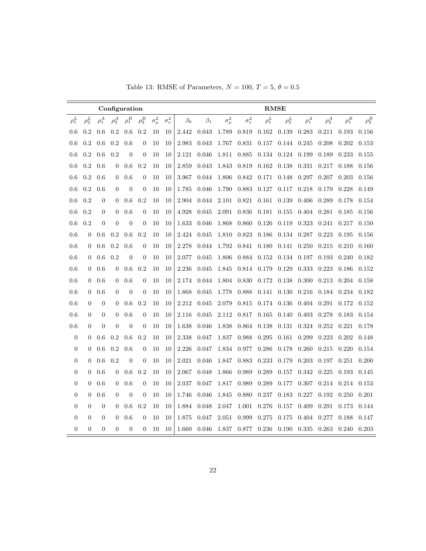Table 13: RMSE of Parameters,  $N = 100, T = 5, \theta = 0.5$ 

|                  |                  |                  |                | Configuration  |                  |                |                  |           |           |                |                  | <b>RMSE</b> |            |            |            |            |            |
|------------------|------------------|------------------|----------------|----------------|------------------|----------------|------------------|-----------|-----------|----------------|------------------|-------------|------------|------------|------------|------------|------------|
| $\rho_1^L$       | $\rho_2^L$       | $\rho_1^A$       | $\rho_2^A$     | $\rho_1^B$     | $\rho_2^B$       | $\sigma^2_\mu$ | $\sigma_{\nu}^2$ | $\beta_0$ | $\beta_1$ | $\sigma^2_\mu$ | $\sigma_{\nu}^2$ | $\rho_1^L$  | $\rho_2^L$ | $\rho_1^A$ | $\rho_2^A$ | $\rho_1^B$ | $\rho_2^B$ |
| 0.6              | 0.2              | 0.6              | 0.2            | 0.6            | 0.2              | 10             | 10               | 2.442     | 0.043     | 1.789          | 0.819            | 0.162       | 0.139      | 0.283      | 0.211      | 0.193      | 0.156      |
| 0.6              | 0.2              | 0.6              | 0.2            | 0.6            | $\boldsymbol{0}$ | 10             | 10               | 2.983     | 0.043     | 1.767          | 0.831            | 0.157       | 0.144      | 0.245      | 0.208      | 0.202      | 0.153      |
| 0.6              | 0.2              | 0.6              | 0.2            | $\overline{0}$ | $\theta$         | 10             | 10               | 2.121     | 0.046     | 1.811          | 0.885            | 0.134       | 0.124      | 0.199      | 0.189      | 0.233      | 0.155      |
| 0.6              | $0.2\,$          | 0.6              | 0              | 0.6            | 0.2              | 10             | 10               | 2.859     | 0.043     | 1.843          | 0.819            | 0.162       | 0.138      | 0.331      | 0.217      | 0.188      | 0.156      |
| 0.6              | $0.2\,$          | 0.6              | $\overline{0}$ | 0.6            | $\overline{0}$   | 10             | 10               | 3.967     | 0.044     | 1.806          | 0.842            | 0.171       | 0.148      | 0.297      | 0.207      | 0.203      | 0.156      |
| 0.6              | 0.2              | 0.6              | $\overline{0}$ | $\overline{0}$ | $\theta$         | 10             | 10               | 1.785     | 0.046     | 1.790          | 0.883            | 0.127       | 0.117      | 0.218      | 0.179      | 0.228      | 0.149      |
| 0.6              | 0.2              | $\boldsymbol{0}$ | 0              | 0.6            | 0.2              | 10             | 10               | 2.904     | 0.044     | 2.101          | 0.821            | 0.161       | 0.139      | 0.406      | 0.289      | 0.178      | 0.154      |
| 0.6              | 0.2              | $\boldsymbol{0}$ | $\mathbf{0}$   | 0.6            | $\overline{0}$   | 10             | 10               | 4.928     | 0.045     | 2.091          | 0.836            | 0.181       | 0.155      | 0.404      | 0.281      | 0.185      | 0.156      |
| 0.6              | 0.2              | $\theta$         | $\overline{0}$ | $\overline{0}$ | $\overline{0}$   | 10             | 10               | 1.633     | 0.046     | 1.868          | 0.860            | 0.126       | 0.119      | 0.323      | 0.241      | 0.217      | 0.150      |
| 0.6              | $\Omega$         | 0.6              | 0.2            | 0.6            | 0.2              | 10             | 10               | 2.424     | 0.045     | 1.810          | 0.823            | 0.186       | 0.134      | 0.287      | 0.223      | 0.195      | 0.156      |
| $0.6\,$          | $\Omega$         | 0.6              | 0.2            | 0.6            | $\overline{0}$   | 10             | 10               | 2.278     | 0.044     | 1.792          | 0.841            | 0.180       | 0.141      | 0.250      | 0.215      | 0.210      | 0.160      |
| 0.6              | $\overline{0}$   | 0.6              | 0.2            | $\theta$       | $\overline{0}$   | 10             | 10               | 2.077     | 0.045     | 1.806          | 0.884            | 0.152       | 0.134      | 0.197      | 0.193      | 0.240      | 0.182      |
| 0.6              | $\overline{0}$   | 0.6              | $\overline{0}$ | 0.6            | 0.2              | 10             | 10               | 2.236     | 0.045     | 1.845          | 0.814            | 0.179       | 0.129      | 0.333      | 0.223      | 0.186      | 0.152      |
| 0.6              | $\overline{0}$   | 0.6              | $\theta$       | 0.6            | $\theta$         | 10             | 10               | 2.174     | 0.044     | 1.804          | 0.830            | 0.172       | 0.138      | 0.300      | 0.213      | 0.204      | 0.158      |
| 0.6              | $\overline{0}$   | 0.6              | $\overline{0}$ | $\theta$       | $\overline{0}$   | 10             | 10               | 1.868     | 0.045     | 1.778          | 0.888            | 0.141       | 0.130      | 0.216      | 0.184      | 0.234      | 0.182      |
| 0.6              | $\overline{0}$   | $\boldsymbol{0}$ | $\overline{0}$ | 0.6            | 0.2              | 10             | 10               | 2.212     | 0.045     | 2.079          | 0.815            | 0.174       | 0.136      | 0.404      | 0.291      | 0.172      | 0.152      |
| 0.6              | $\overline{0}$   | $\boldsymbol{0}$ | 0              | 0.6            | $\theta$         | 10             | 10               | 2.116     | 0.045     | 2.112          | 0.817            | 0.165       | 0.140      | 0.403      | 0.278      | 0.183      | 0.154      |
| 0.6              | $\overline{0}$   | $\boldsymbol{0}$ | $\overline{0}$ | $\theta$       | $\theta$         | 10             | 10               | 1.638     | 0.046     | 1.838          | 0.864            | 0.138       | 0.131      | 0.324      | 0.252      | 0.221      | 0.178      |
| $\boldsymbol{0}$ | $\overline{0}$   | 0.6              | 0.2            | 0.6            | 0.2              | 10             | 10               | 2.338     | 0.047     | 1.837          | 0.988            | 0.295       | 0.161      | 0.299      | 0.223      | 0.202      | 0.148      |
| $\boldsymbol{0}$ | $\overline{0}$   | 0.6              | 0.2            | 0.6            | $\overline{0}$   | 10             | 10               | 2.226     | 0.047     | 1.834          | 0.977            | 0.286       | 0.178      | 0.260      | 0.215      | 0.220      | 0.154      |
| $\boldsymbol{0}$ | $\overline{0}$   | 0.6              | 0.2            | $\overline{0}$ | $\theta$         | 10             | 10               | $2.021\,$ | 0.046     | 1.847          | 0.883            | 0.233       | 0.179      | 0.203      | 0.197      | 0.251      | 0.200      |
| $\boldsymbol{0}$ | $\boldsymbol{0}$ | 0.6              | 0              | 0.6            | 0.2              | 10             | 10               | 2.067     | 0.048     | 1.866          | 0.989            | 0.289       | 0.157      | 0.342      | 0.225      | 0.193      | 0.145      |
| $\overline{0}$   | $\theta$         | 0.6              | $\overline{0}$ | 0.6            | $\overline{0}$   | 10             | 10               | 2.037     | 0.047     | 1.817          | 0.989            | 0.289       | 0.177      | 0.307      | 0.214      | 0.214      | 0.153      |
| $\boldsymbol{0}$ | $\theta$         | 0.6              | $\overline{0}$ | $\overline{0}$ | $\overline{0}$   | 10             | 10               | 1.746     | 0.046     | 1.845          | 0.880            | 0.237       | 0.183      | 0.227      | 0.192      | 0.250      | 0.201      |
| $\overline{0}$   | $\theta$         | $\boldsymbol{0}$ | $\overline{0}$ | 0.6            | 0.2              | 10             | 10               | 1.884     | 0.048     | 2.047          | 1.001            | 0.276       | 0.157      | 0.409      | 0.291      | 0.173      | 0.144      |
| $\boldsymbol{0}$ | $\Omega$         | $\overline{0}$   | $\theta$       | 0.6            | $\overline{0}$   | 10             | 10               | 1.875     | 0.047     | 2.051          | 0.999            | 0.275       | 0.175      | 0.404      | 0.277      | 0.188      | 0.147      |
| $\boldsymbol{0}$ | $\overline{0}$   | $\overline{0}$   | $\overline{0}$ | $\theta$       | $\overline{0}$   | 10             | 10               | 1.660     | 0.046     | 1.837          | 0.877            | 0.236       | 0.190      | 0.335      | 0.263      | 0.240      | 0.203      |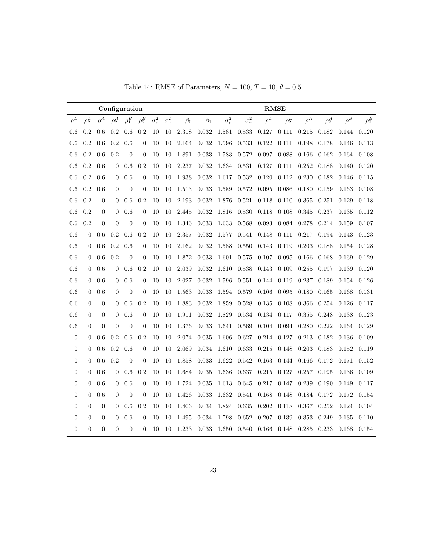|  |  | Table 14: RMSE of Parameters, $N = 100$ , $T = 10$ , $\theta = 0.5$ |  |  |  |  |  |  |
|--|--|---------------------------------------------------------------------|--|--|--|--|--|--|
|--|--|---------------------------------------------------------------------|--|--|--|--|--|--|

|                  |                |                  | Configuration    |                |                  |                |                  |           |           |                |                  | <b>RMSE</b> |            |            |            |            |            |
|------------------|----------------|------------------|------------------|----------------|------------------|----------------|------------------|-----------|-----------|----------------|------------------|-------------|------------|------------|------------|------------|------------|
| $\rho_1^L$       | $\rho_2^L$     | $\rho_1^A$       | $\rho_2^A$       | $\rho_1^B$     | $\rho_2^B$       | $\sigma^2_\mu$ | $\sigma_{\nu}^2$ | $\beta_0$ | $\beta_1$ | $\sigma^2_\mu$ | $\sigma_{\nu}^2$ | $\rho_1^L$  | $\rho_2^L$ | $\rho_1^A$ | $\rho_2^A$ | $\rho_1^B$ | $\rho_2^B$ |
| 0.6              | 0.2            | 0.6              | 0.2              | 0.6            | 0.2              | 10             | 10               | 2.318     | 0.032     | 1.581          | 0.533            | 0.127       | 0.111      | 0.215      | 0.182      | 0.144      | 0.120      |
| 0.6              | 0.2            | 0.6              | 0.2              | 0.6            | $\boldsymbol{0}$ | 10             | 10               | 2.164     | 0.032     | 1.596          | 0.533            | 0.122       | 0.111      | 0.198      | 0.178      | 0.146      | 0.113      |
| 0.6              | 0.2            | 0.6              | 0.2              | $\overline{0}$ | $\boldsymbol{0}$ | 10             | 10               | 1.891     | 0.033     | 1.583          | 0.572            | 0.097       | 0.088      | 0.166      | 0.162      | 0.164      | 0.108      |
| 0.6              | 0.2            | 0.6              | 0                | 0.6            | 0.2              | 10             | 10               | 2.237     | 0.032     | 1.634          | 0.531            | 0.127       | 0.111      | 0.252      | 0.188      | 0.140      | 0.120      |
| 0.6              | 0.2            | 0.6              | $\overline{0}$   | 0.6            | $\overline{0}$   | 10             | 10               | 1.938     | 0.032     | 1.617          | 0.532            | 0.120       | 0.112      | 0.230      | 0.182      | 0.146      | 0.115      |
| 0.6              | 0.2            | 0.6              | $\overline{0}$   | $\overline{0}$ | $\theta$         | 10             | 10               | 1.513     | 0.033     | 1.589          | 0.572            | 0.095       | 0.086      | 0.180      | 0.159      | 0.163      | 0.108      |
| 0.6              | 0.2            | $\boldsymbol{0}$ | $\mathbf{0}$     | 0.6            | 0.2              | 10             | 10               | 2.193     | 0.032     | 1.876          | 0.521            | 0.118       | 0.110      | 0.365      | 0.251      | 0.129      | 0.118      |
| 0.6              | 0.2            | $\mathbf{0}$     | $\theta$         | 0.6            | $\theta$         | 10             | 10               | 2.445     | 0.032     | 1.816          | 0.530            | 0.118       | 0.108      | 0.345      | 0.237      | 0.135      | 0.112      |
| 0.6              | 0.2            | $\overline{0}$   | $\overline{0}$   | $\overline{0}$ | $\overline{0}$   | 10             | 10               | 1.346     | 0.033     | 1.633          | 0.568            | 0.093       | 0.084      | 0.278      | 0.214      | 0.159      | 0.107      |
| 0.6              | $\Omega$       | 0.6              | 0.2              | 0.6            | 0.2              | 10             | 10               | 2.357     | 0.032     | 1.577          | 0.541            | 0.148       | 0.111      | 0.217      | 0.194      | 0.143      | 0.123      |
| 0.6              | $\theta$       | 0.6              | 0.2              | 0.6            | $\overline{0}$   | 10             | 10               | 2.162     | 0.032     | 1.588          | 0.550            | 0.143       | 0.119      | 0.203      | 0.188      | 0.154      | 0.128      |
| 0.6              | $\theta$       | 0.6              | 0.2              | $\overline{0}$ | $\overline{0}$   | 10             | 10               | 1.872     | 0.033     | 1.601          | 0.575            | 0.107       | 0.095      | 0.166      | 0.168      | 0.169      | 0.129      |
| 0.6              | $\overline{0}$ | 0.6              | $\overline{0}$   | 0.6            | 0.2              | 10             | 10               | $2.039\,$ | 0.032     | 1.610          | 0.538            | 0.143       | 0.109      | 0.255      | 0.197      | 0.139      | 0.120      |
| 0.6              | $\overline{0}$ | 0.6              | $\overline{0}$   | 0.6            | $\overline{0}$   | 10             | 10               | 2.027     | 0.032     | 1.596          | 0.551            | 0.144       | 0.119      | 0.237      | 0.189      | 0.154      | 0.126      |
| 0.6              | $\overline{0}$ | 0.6              | $\overline{0}$   | $\overline{0}$ | $\overline{0}$   | 10             | 10               | 1.563     | 0.033     | 1.594          | 0.579            | 0.106       | 0.095      | 0.180      | 0.165      | 0.168      | 0.131      |
| 0.6              | $\overline{0}$ | $\boldsymbol{0}$ | $\overline{0}$   | 0.6            | 0.2              | 10             | 10               | 1.883     | 0.032     | 1.859          | 0.528            | 0.135       | 0.108      | 0.366      | 0.254      | 0.126      | 0.117      |
| 0.6              | $\overline{0}$ | $\theta$         | $\overline{0}$   | 0.6            | $\theta$         | 10             | 10               | 1.911     | 0.032     | 1.829          | 0.534            | 0.134       | 0.117      | 0.355      | 0.248      | 0.138      | 0.123      |
| 0.6              | $\overline{0}$ | $\overline{0}$   | $\overline{0}$   | $\theta$       | $\overline{0}$   | 10             | 10               | 1.376     | 0.033     | 1.641          | 0.569            | 0.104       | 0.094      | 0.280      | 0.222      | 0.164      | 0.129      |
| $\boldsymbol{0}$ | $\overline{0}$ | 0.6              | 0.2              | 0.6            | 0.2              | 10             | 10               | 2.074     | 0.035     | 1.606          | 0.627            | 0.214       | 0.127      | 0.213      | 0.182      | 0.136      | 0.109      |
| $\boldsymbol{0}$ | $\overline{0}$ | 0.6              | 0.2              | 0.6            | $\overline{0}$   | 10             | 10               | 2.069     | 0.034     | 1.610          | 0.633            | 0.215       | 0.148      | 0.203      | 0.183      | 0.152      | 0.119      |
| $\boldsymbol{0}$ | $\overline{0}$ | 0.6              | 0.2              | $\overline{0}$ | $\overline{0}$   | 10             | 10               | 1.858     | 0.033     | 1.622          | 0.542            | 0.163       | 0.144      | 0.166      | 0.172      | 0.171      | 0.152      |
| $\boldsymbol{0}$ | $\overline{0}$ | 0.6              | $\boldsymbol{0}$ | 0.6            | 0.2              | 10             | 10               | 1.684     | 0.035     | 1.636          | 0.637            | 0.215       | 0.127      | 0.257      | 0.195      | 0.136      | 0.109      |
| $\overline{0}$   | $\overline{0}$ | 0.6              | $\overline{0}$   | 0.6            | $\overline{0}$   | 10             | 10               | 1.724     | 0.035     | 1.613          | 0.645            | 0.217       | 0.147      | 0.239      | 0.190      | 0.149      | 0.117      |
| $\boldsymbol{0}$ | $\overline{0}$ | 0.6              | $\boldsymbol{0}$ | $\overline{0}$ | $\overline{0}$   | 10             | 10               | 1.426     | 0.033     | 1.632          | 0.541            | 0.168       | 0.148      | 0.184      | 0.172      | 0.172      | 0.154      |
| $\boldsymbol{0}$ | $\overline{0}$ | $\boldsymbol{0}$ | $\theta$         | 0.6            | 0.2              | 10             | 10               | 1.406     | 0.034     | 1.824          | 0.635            | 0.202       | 0.118      | 0.367      | 0.252      | 0.124      | 0.104      |
| $\overline{0}$   | $\Omega$       | $\overline{0}$   | $\Omega$         | 0.6            | $\Omega$         | 10             | 10               | 1.495     | 0.034     | 1.798          | 0.652            | 0.207       | 0.139      | 0.353      | 0.249      | 0.135      | 0.110      |
| $\overline{0}$   | $\overline{0}$ | $\overline{0}$   | $\overline{0}$   | $\overline{0}$ | $\overline{0}$   | 10             | 10               | 1.233     | 0.033     | 1.650          | 0.540            | 0.166       | 0.148      | 0.285      | 0.233      | 0.168      | 0.154      |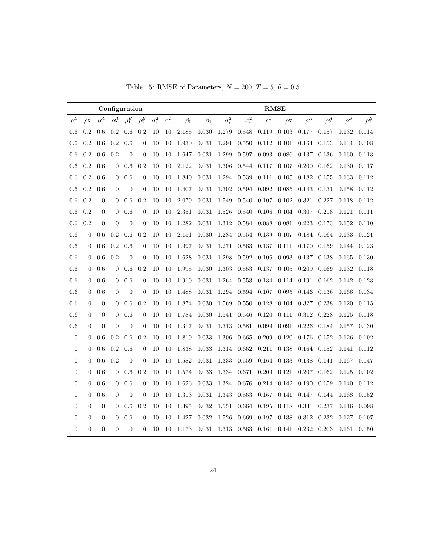Table 15: RMSE of Parameters,  $N = 200, T = 5, \theta = 0.5$ 

|                  |                |                  |                  | Configuration  |                |                |                  |           |           |                |                  | <b>RMSE</b> |            |            |            |            |            |
|------------------|----------------|------------------|------------------|----------------|----------------|----------------|------------------|-----------|-----------|----------------|------------------|-------------|------------|------------|------------|------------|------------|
| $\rho_1^L$       | $\rho_2^L$     | $\rho_1^A$       | $\rho_2^A$       | $\rho_1^B$     | $\rho_2^B$     | $\sigma^2_\mu$ | $\sigma_{\nu}^2$ | $\beta_0$ | $\beta_1$ | $\sigma^2_\mu$ | $\sigma_{\nu}^2$ | $\rho_1^L$  | $\rho_2^L$ | $\rho_1^A$ | $\rho_2^A$ | $\rho_1^B$ | $\rho_2^B$ |
| 0.6              | 0.2            | 0.6              | 0.2              | 0.6            | 0.2            | 10             | 10               | 2.185     | 0.030     | 1.279          | 0.548            | 0.119       | 0.103      | 0.177      | 0.157      | 0.132      | 0.114      |
| 0.6              | 0.2            | 0.6              | 0.2              | 0.6            | $\overline{0}$ | 10             | 10               | 1.930     | 0.031     | 1.291          | 0.550            | 0.112       | 0.101      | 0.164      | 0.153      | 0.134      | 0.108      |
| 0.6              | 0.2            | 0.6              | 0.2              | $\overline{0}$ | $\overline{0}$ | 10             | 10               | 1.647     | 0.031     | 1.299          | 0.597            | 0.093       | 0.086      | 0.137      | 0.136      | 0.160      | 0.113      |
| 0.6              | 0.2            | 0.6              | $\overline{0}$   | 0.6            | 0.2            | 10             | 10               | 2.122     | 0.031     | 1.306          | 0.544            | 0.117       | 0.107      | 0.200      | 0.162      | 0.130      | 0.117      |
| 0.6              | 0.2            | 0.6              | $\overline{0}$   | 0.6            | $\overline{0}$ | 10             | 10               | 1.840     | 0.031     | 1.294          | 0.539            | 0.111       | 0.105      | 0.182      | 0.155      | 0.133      | 0.112      |
| 0.6              | 0.2            | 0.6              | $\overline{0}$   | $\overline{0}$ | $\theta$       | 10             | 10               | 1.407     | 0.031     | 1.302          | 0.594            | 0.092       | 0.085      | 0.143      | 0.131      | 0.158      | 0.112      |
| 0.6              | 0.2            | $\overline{0}$   | $\boldsymbol{0}$ | 0.6            | 0.2            | 10             | 10               | 2.079     | 0.031     | 1.549          | 0.540            | $0.107\,$   | $0.102\,$  | 0.321      | 0.227      | 0.118      | 0.112      |
| 0.6              | 0.2            | $\mathbf{0}$     | $\theta$         | 0.6            | $\theta$       | 10             | 10               | 2.351     | 0.031     | 1.526          | 0.540            | 0.106       | 0.104      | 0.307      | 0.218      | 0.121      | 0.111      |
| 0.6              | 0.2            | $\overline{0}$   | $\theta$         | $\theta$       | $\overline{0}$ | 10             | 10               | 1.282     | 0.031     | 1.312          | 0.584            | 0.088       | 0.081      | 0.223      | 0.173      | 0.152      | 0.110      |
| 0.6              | $\overline{0}$ | 0.6              | 0.2              | 0.6            | 0.2            | 10             | 10               | 2.151     | 0.030     | 1.284          | 0.554            | 0.139       | 0.107      | 0.184      | 0.164      | 0.133      | 0.121      |
| 0.6              | $\overline{0}$ | 0.6              | 0.2              | 0.6            | $\theta$       | 10             | 10               | 1.997     | 0.031     | 1.271          | 0.563            | 0.137       | 0.111      | 0.170      | 0.159      | 0.144      | 0.123      |
| 0.6              | $\theta$       | 0.6              | 0.2              | $\theta$       | $\theta$       | 10             | 10               | 1.628     | 0.031     | 1.298          | 0.592            | 0.106       | 0.093      | 0.137      | 0.138      | 0.165      | 0.130      |
| 0.6              | $\theta$       | 0.6              | 0                | 0.6            | 0.2            | 10             | 10               | 1.995     | 0.030     | 1.303          | 0.553            | 0.137       | 0.105      | 0.209      | 0.169      | 0.132      | 0.118      |
| 0.6              | $\theta$       | 0.6              | $\mathbf{0}$     | 0.6            | $\theta$       | 10             | 10               | 1.910     | 0.031     | 1.264          | 0.553            | 0.134       | 0.114      | 0.191      | 0.162      | 0.142      | 0.123      |
| 0.6              | $\overline{0}$ | 0.6              | $\theta$         | $\overline{0}$ | $\theta$       | 10             | 10               | 1.488     | 0.031     | 1.294          | 0.594            | 0.107       | 0.095      | 0.146      | 0.136      | 0.166      | 0.134      |
| 0.6              | $\theta$       | $\boldsymbol{0}$ | $\boldsymbol{0}$ | 0.6            | 0.2            | 10             | 10               | 1.874     | 0.030     | 1.569          | 0.550            | 0.128       | 0.104      | 0.327      | 0.238      | 0.120      | 0.115      |
| 0.6              | $\Omega$       | $\boldsymbol{0}$ | $\overline{0}$   | 0.6            | $\overline{0}$ | 10             | 10               | 1.784     | 0.030     | 1.541          | 0.546            | 0.120       | 0.111      | 0.312      | 0.228      | 0.125      | 0.118      |
| 0.6              | $\Omega$       | $\overline{0}$   | $\overline{0}$   | $\overline{0}$ | $\theta$       | 10             | 10               | 1.317     | 0.031     | 1.313          | 0.581            | 0.099       | 0.091      | 0.226      | 0.184      | 0.157      | 0.130      |
| $\boldsymbol{0}$ | $\Omega$       | 0.6              | 0.2              | 0.6            | 0.2            | 10             | 10               | 1.819     | 0.033     | 1.306          | 0.665            | 0.209       | 0.120      | 0.176      | 0.152      | 0.126      | 0.102      |
| $\boldsymbol{0}$ | $\Omega$       | 0.6              | 0.2              | 0.6            | $\overline{0}$ | 10             | 10               | 1.838     | 0.033     | 1.314          | 0.662            | 0.211       | 0.138      | 0.164      | 0.152      | 0.141      | 0.112      |
| $\boldsymbol{0}$ | $\theta$       | 0.6              | 0.2              | $\overline{0}$ | $\overline{0}$ | 10             | 10               | 1.582     | 0.031     | 1.333          | 0.559            | 0.164       | 0.133      | 0.138      | 0.141      | 0.167      | 0.147      |
| $\boldsymbol{0}$ | $\theta$       | 0.6              | $\theta$         | 0.6            | 0.2            | 10             | 10               | 1.574     | 0.033     | 1.334          | 0.671            | 0.209       | 0.121      | 0.207      | 0.162      | 0.125      | 0.102      |
| $\boldsymbol{0}$ | $\theta$       | 0.6              | $\overline{0}$   | 0.6            | $\overline{0}$ | 10             | 10               | 1.626     | 0.033     | 1.324          | 0.676            | 0.214       | 0.142      | 0.190      | 0.159      | 0.140      | 0.112      |
| $\boldsymbol{0}$ | $\theta$       | 0.6              | $\overline{0}$   | $\overline{0}$ | $\overline{0}$ | 10             | 10               | 1.313     | 0.031     | 1.343          | 0.563            | 0.167       | 0.141      | 0.147      | 0.144      | 0.168      | 0.152      |
| $\overline{0}$   | $\theta$       | $\overline{0}$   | $\overline{0}$   | 0.6            | 0.2            | 10             | 10               | 1.395     | 0.032     | 1.551          | 0.664            | 0.195       | 0.118      | 0.331      | 0.237      | 0.116      | 0.098      |
| $\boldsymbol{0}$ | $\theta$       | $\overline{0}$   | $\theta$         | 0.6            | $\overline{0}$ | 10             | 10               | 1.427     | 0.032     | 1.526          | 0.669            | 0.197       | 0.138      | 0.312      | 0.232      | 0.127      | 0.107      |
| $\boldsymbol{0}$ | $\overline{0}$ | $\overline{0}$   | $\overline{0}$   | $\theta$       | $\overline{0}$ | 10             | 10               | 1.173     | 0.031     | 1.313          | 0.563            | 0.161       | 0.141      | 0.232      | 0.203      | 0.161      | 0.150      |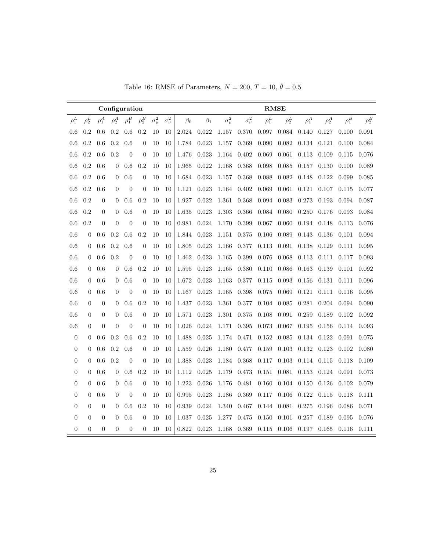| Table 16: RMSE of Parameters, $N = 200$ , $T = 10$ , $\theta = 0.5$ |  |  |  |  |  |
|---------------------------------------------------------------------|--|--|--|--|--|
|---------------------------------------------------------------------|--|--|--|--|--|

|                  |                |                  |                  | Configuration  |                  |                |                  | <b>RMSE</b> |           |                |                  |            |            |            |            |            |             |
|------------------|----------------|------------------|------------------|----------------|------------------|----------------|------------------|-------------|-----------|----------------|------------------|------------|------------|------------|------------|------------|-------------|
| $\rho_1^L$       | $\rho_2^L$     | $\rho_1^A$       | $\rho_2^A$       | $\rho_1^B$     | $\rho_2^B$       | $\sigma^2_\mu$ | $\sigma_{\nu}^2$ | $\beta_0$   | $\beta_1$ | $\sigma^2_\mu$ | $\sigma_{\nu}^2$ | $\rho_1^L$ | $\rho_2^L$ | $\rho_1^A$ | $\rho_2^A$ | $\rho_1^B$ | $\rho_2^B$  |
| 0.6              | 0.2            | 0.6              | 0.2              | 0.6            | 0.2              | 10             | 10               | 2.024       | 0.022     | 1.157          | 0.370            | 0.097      | 0.084      | 0.140      | 0.127      | 0.100      | 0.091       |
| 0.6              | 0.2            | 0.6              | 0.2              | 0.6            | $\overline{0}$   | 10             | 10               | 1.784       | 0.023     | 1.157          | 0.369            | 0.090      | 0.082      | 0.134      | 0.121      | 0.100      | 0.084       |
| 0.6              | 0.2            | 0.6              | 0.2              | $\theta$       | $\boldsymbol{0}$ | 10             | 10               | 1.476       | 0.023     | 1.164          | 0.402            | 0.069      | 0.061      | 0.113      | 0.109      | 0.115      | 0.076       |
| 0.6              | 0.2            | 0.6              | 0                | 0.6            | 0.2              | 10             | 10               | 1.965       | 0.022     | 1.168          | 0.368            | 0.098      | 0.085      | 0.157      | 0.130      | 0.100      | 0.089       |
| 0.6              | 0.2            | 0.6              | $\overline{0}$   | 0.6            | $\boldsymbol{0}$ | 10             | 10               | 1.684       | 0.023     | 1.157          | 0.368            | 0.088      | 0.082      | 0.148      | 0.122      | 0.099      | 0.085       |
| 0.6              | 0.2            | 0.6              | $\theta$         | $\overline{0}$ | $\theta$         | 10             | 10               | 1.121       | 0.023     | 1.164          | 0.402            | 0.069      | 0.061      | 0.121      | 0.107      | 0.115      | 0.077       |
| 0.6              | 0.2            | $\boldsymbol{0}$ | $\boldsymbol{0}$ | 0.6            | 0.2              | 10             | 10               | 1.927       | 0.022     | 1.361          | 0.368            | 0.094      | 0.083      | 0.273      | 0.193      | 0.094      | 0.087       |
| 0.6              | 0.2            | $\mathbf{0}$     | $\theta$         | 0.6            | $\theta$         | 10             | 10               | 1.635       | 0.023     | 1.303          | 0.366            | 0.084      | 0.080      | 0.250      | 0.176      | 0.093      | 0.084       |
| 0.6              | 0.2            | $\overline{0}$   | $\theta$         | $\theta$       | $\overline{0}$   | 10             | 10               | 0.981       | 0.024     | 1.170          | 0.399            | 0.067      | 0.060      | 0.194      | 0.148      | 0.113      | 0.076       |
| 0.6              | $\overline{0}$ | 0.6              | 0.2              | 0.6            | 0.2              | 10             | 10               | 1.844       | 0.023     | 1.151          | 0.375            | 0.106      | 0.089      | 0.143      | 0.136      | 0.101      | 0.094       |
| 0.6              | $\theta$       | 0.6              | 0.2              | 0.6            | $\overline{0}$   | 10             | 10               | 1.805       | 0.023     | 1.166          | 0.377            | 0.113      | 0.091      | 0.138      | 0.129      | 0.111      | 0.095       |
| 0.6              | $\theta$       | 0.6              | 0.2              | $\overline{0}$ | $\overline{0}$   | 10             | 10               | 1.462       | 0.023     | 1.165          | 0.399            | 0.076      | 0.068      | 0.113      | 0.111      | 0.117      | $\,0.093\,$ |
| 0.6              | $\theta$       | 0.6              | 0                | 0.6            | 0.2              | 10             | 10               | 1.595       | 0.023     | 1.165          | 0.380            | 0.110      | 0.086      | 0.163      | 0.139      | 0.101      | 0.092       |
| 0.6              | $\theta$       | 0.6              | 0                | 0.6            | $\theta$         | 10             | 10               | 1.672       | 0.023     | 1.163          | 0.377            | 0.115      | 0.093      | 0.156      | 0.131      | 0.111      | 0.096       |
| 0.6              | $\theta$       | 0.6              | $\overline{0}$   | $\overline{0}$ | $\theta$         | 10             | 10               | 1.167       | 0.023     | 1.165          | 0.398            | 0.075      | 0.069      | 0.121      | 0.111      | 0.116      | 0.095       |
| 0.6              | $\overline{0}$ | $\boldsymbol{0}$ | $\boldsymbol{0}$ | 0.6            | 0.2              | 10             | 10               | 1.437       | 0.023     | 1.361          | 0.377            | 0.104      | 0.085      | 0.281      | 0.204      | 0.094      | 0.090       |
| 0.6              | $\overline{0}$ | $\boldsymbol{0}$ | 0                | 0.6            | $\boldsymbol{0}$ | 10             | 10               | 1.571       | 0.023     | 1.301          | 0.375            | 0.108      | 0.091      | 0.259      | 0.189      | 0.102      | 0.092       |
| 0.6              | $\overline{0}$ | $\overline{0}$   | $\overline{0}$   | $\overline{0}$ | $\overline{0}$   | 10             | 10               | 1.026       | 0.024     | 1.171          | 0.395            | 0.073      | 0.067      | 0.195      | 0.156      | 0.114      | 0.093       |
| $\boldsymbol{0}$ | $\Omega$       | 0.6              | 0.2              | 0.6            | 0.2              | 10             | 10               | 1.488       | 0.025     | 1.174          | 0.471            | 0.152      | 0.085      | 0.134      | 0.122      | 0.091      | 0.075       |
| $\boldsymbol{0}$ | $\Omega$       | 0.6              | 0.2              | 0.6            | $\boldsymbol{0}$ | 10             | 10               | 1.559       | 0.026     | 1.180          | 0.477            | 0.159      | 0.103      | 0.132      | 0.123      | 0.102      | 0.080       |
| $\boldsymbol{0}$ | $\overline{0}$ | 0.6              | 0.2              | $\overline{0}$ | $\boldsymbol{0}$ | 10             | 10               | 1.388       | 0.023     | 1.184          | 0.368            | 0.117      | 0.103      | 0.114      | 0.115      | 0.118      | 0.109       |
| $\boldsymbol{0}$ | $\theta$       | 0.6              | $\theta$         | 0.6            | 0.2              | 10             | 10               | 1.112       | 0.025     | 1.179          | 0.473            | 0.151      | 0.081      | 0.153      | 0.124      | 0.091      | $\,0.073\,$ |
| $\boldsymbol{0}$ | $\theta$       | 0.6              | $\overline{0}$   | 0.6            | $\overline{0}$   | 10             | 10               | 1.223       | 0.026     | 1.176          | 0.481            | 0.160      | 0.104      | 0.150      | 0.126      | 0.102      | 0.079       |
| $\overline{0}$   | $\theta$       | 0.6              | $\overline{0}$   | $\overline{0}$ | $\overline{0}$   | 10             | 10               | 0.995       | 0.023     | 1.186          | 0.369            | 0.117      | 0.106      | 0.122      | 0.115      | 0.118      | 0.111       |
| $\overline{0}$   | $\theta$       | $\overline{0}$   | $\theta$         | 0.6            | 0.2              | 10             | 10               | 0.939       | 0.024     | 1.340          | 0.467            | 0.144      | 0.081      | 0.275      | 0.196      | 0.086      | 0.071       |
| $\boldsymbol{0}$ | $\theta$       | $\overline{0}$   | $\theta$         | 0.6            | $\overline{0}$   | 10             | 10               | 1.037       | 0.025     | 1.277          | 0.475            | 0.150      | 0.101      | 0.257      | 0.189      | 0.095      | 0.076       |
| $\overline{0}$   | $\overline{0}$ | $\overline{0}$   | $\overline{0}$   | $\theta$       | $\overline{0}$   | 10             | 10               | 0.822       | 0.023     | 1.168          | 0.369            | 0.115      | 0.106      | 0.197      | 0.165      | 0.116      | 0.111       |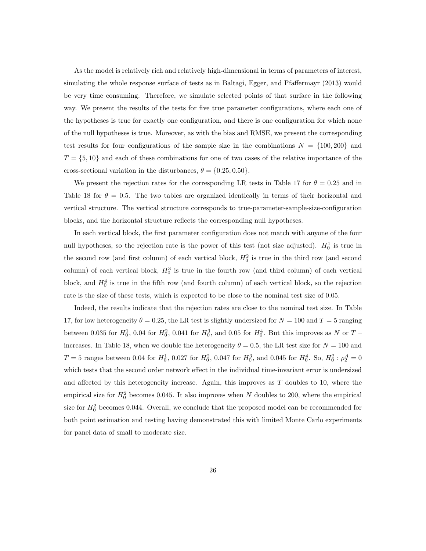As the model is relatively rich and relatively high-dimensional in terms of parameters of interest, simulating the whole response surface of tests as in Baltagi, Egger, and Pfaffermayr (2013) would be very time consuming. Therefore, we simulate selected points of that surface in the following way. We present the results of the tests for five true parameter configurations, where each one of the hypotheses is true for exactly one configuration, and there is one configuration for which none of the null hypotheses is true. Moreover, as with the bias and RMSE, we present the corresponding test results for four configurations of the sample size in the combinations  $N = \{100, 200\}$  and  $T = \{5, 10\}$  and each of these combinations for one of two cases of the relative importance of the cross-sectional variation in the disturbances,  $\theta = \{0.25, 0.50\}.$ 

We present the rejection rates for the corresponding LR tests in Table 17 for  $\theta = 0.25$  and in Table 18 for  $\theta = 0.5$ . The two tables are organized identically in terms of their horizontal and vertical structure. The vertical structure corresponds to true-parameter-sample-size-configuration blocks, and the horizontal structure reflects the corresponding null hypotheses.

In each vertical block, the first parameter configuration does not match with anyone of the four null hypotheses, so the rejection rate is the power of this test (not size adjusted).  $H_0^1$  is true in the second row (and first column) of each vertical block,  $H_0^2$  is true in the third row (and second column) of each vertical block,  $H_0^3$  is true in the fourth row (and third column) of each vertical block, and  $H_0^4$  is true in the fifth row (and fourth column) of each vertical block, so the rejection rate is the size of these tests, which is expected to be close to the nominal test size of 0.05.

Indeed, the results indicate that the rejection rates are close to the nominal test size. In Table 17, for low heterogeneity  $\theta = 0.25$ , the LR test is slightly undersized for  $N = 100$  and  $T = 5$  ranging between 0.035 for  $H_0^1$ , 0.04 for  $H_0^2$ , 0.041 for  $H_0^3$ , and 0.05 for  $H_0^4$ . But this improves as N or T – increases. In Table 18, when we double the heterogeneity  $\theta = 0.5$ , the LR test size for  $N = 100$  and  $T=5$  ranges between 0.04 for  $H_0^1$ , 0.027 for  $H_0^2$ , 0.047 for  $H_0^3$ , and 0.045 for  $H_0^4$ . So,  $H_0^2$ :  $\rho_2^A=0$ which tests that the second order network effect in the individual time-invariant error is undersized and affected by this heterogeneity increase. Again, this improves as  $T$  doubles to 10, where the empirical size for  $H_0^2$  becomes 0.045. It also improves when N doubles to 200, where the empirical size for  $H_0^2$  becomes 0.044. Overall, we conclude that the proposed model can be recommended for both point estimation and testing having demonstrated this with limited Monte Carlo experiments for panel data of small to moderate size.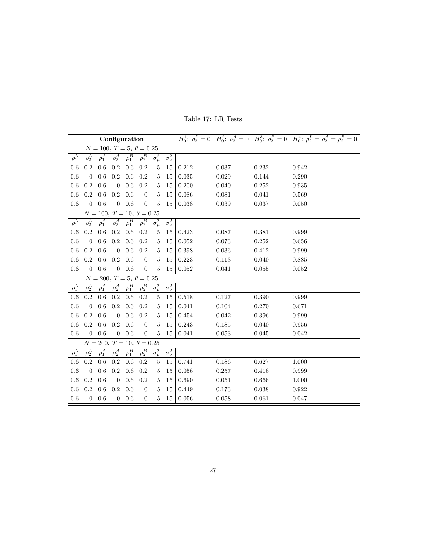|                                  |                  |              | Configuration    |            |                                  |                |                             |       |       |       | $H_0^1$ : $\rho_2^L = 0$ $H_0^2$ : $\rho_2^A = 0$ $H_0^3$ : $\rho_2^B = 0$ $H_0^4$ : $\rho_2^L = \rho_2^A = \rho_2^B = 0$ |  |  |
|----------------------------------|------------------|--------------|------------------|------------|----------------------------------|----------------|-----------------------------|-------|-------|-------|---------------------------------------------------------------------------------------------------------------------------|--|--|
|                                  |                  |              |                  |            | $N = 100, T = 5, \theta = 0.25$  |                |                             |       |       |       |                                                                                                                           |  |  |
| $\rho_1^L$                       | $\rho_2^L$       | $\rho^A_1$   | $\rho_2^A$       | $\rho^B_1$ | $\rho_2^B$                       | $\sigma^2_\mu$ | $\overline{\sigma_{\nu}^2}$ |       |       |       |                                                                                                                           |  |  |
| 0.6                              | 0.2              | 0.6          | 0.2              | 0.6        | 0.2                              | 5              | 15                          | 0.212 | 0.037 | 0.232 | 0.942                                                                                                                     |  |  |
| 0.6                              | $\overline{0}$   | 0.6          | $0.2\,$          | 0.6        | 0.2                              | 5              | 15                          | 0.035 | 0.029 | 0.144 | 0.290                                                                                                                     |  |  |
| 0.6                              | 0.2              | 0.6          | $\overline{0}$   | 0.6        | 0.2                              | 5              | 15                          | 0.200 | 0.040 | 0.252 | 0.935                                                                                                                     |  |  |
| $0.6\,$                          | 0.2              | $0.6\,$      | 0.2              | 0.6        | $\theta$                         | $\overline{5}$ | 15                          | 0.086 | 0.081 | 0.041 | 0.569                                                                                                                     |  |  |
| 0.6                              | $\overline{0}$   | $0.6\,$      | $\overline{0}$   | $0.6\,$    | $\overline{0}$                   | $\overline{5}$ | 15                          | 0.038 | 0.039 | 0.037 | 0.050                                                                                                                     |  |  |
| $N = 100, T = 10, \theta = 0.25$ |                  |              |                  |            |                                  |                |                             |       |       |       |                                                                                                                           |  |  |
| $\rho_1^L$                       | $\rho_2^L$       | $\rho^A_1$   | $\rho_2^A$       | $\rho_1^B$ | $\rho_2^B$                       | $\sigma^2_\mu$ | $\overline{\sigma_{\nu}^2}$ |       |       |       |                                                                                                                           |  |  |
| 0.6                              | 0.2              | $0.6\,$      | 0.2              | 0.6        | 0.2                              | 5              | 15                          | 0.423 | 0.087 | 0.381 | 0.999                                                                                                                     |  |  |
| 0.6                              | $\overline{0}$   | 0.6          | 0.2              | 0.6        | 0.2                              | 5              | 15                          | 0.052 | 0.073 | 0.252 | 0.656                                                                                                                     |  |  |
| 0.6                              | 0.2              | $0.6\,$      | $\boldsymbol{0}$ | 0.6        | 0.2                              | 5              | 15                          | 0.398 | 0.036 | 0.412 | 0.999                                                                                                                     |  |  |
| 0.6                              | 0.2              | 0.6          | 0.2              | 0.6        | $\overline{0}$                   | $\overline{5}$ | 15                          | 0.223 | 0.113 | 0.040 | 0.885                                                                                                                     |  |  |
| 0.6                              | $\overline{0}$   | $0.6\,$      | $\overline{0}$   | 0.6        | $\overline{0}$                   | 5              | 15                          | 0.052 | 0.041 | 0.055 | 0.052                                                                                                                     |  |  |
| $N = 200, T = 5, \theta = 0.25$  |                  |              |                  |            |                                  |                |                             |       |       |       |                                                                                                                           |  |  |
| $\rho_1^L$                       | $\rho_2^L$       | $\rho_1^A$   | $\rho_2^A$       | $\rho_1^B$ | $\rho_2^B$                       | $\sigma^2_\mu$ | $\overline{\sigma_{\nu}^2}$ |       |       |       |                                                                                                                           |  |  |
| 0.6                              | 0.2              | 0.6          | 0.2              | 0.6        | 0.2                              | 5              | 15                          | 0.518 | 0.127 | 0.390 | 0.999                                                                                                                     |  |  |
| 0.6                              | $\overline{0}$   | 0.6          | $0.2\,$          | 0.6        | 0.2                              | 5              | 15                          | 0.041 | 0.104 | 0.270 | 0.671                                                                                                                     |  |  |
| 0.6                              | 0.2              | 0.6          | $\overline{0}$   | 0.6        | 0.2                              | 5              | 15                          | 0.454 | 0.042 | 0.396 | 0.999                                                                                                                     |  |  |
| 0.6                              | 0.2              | $0.6\,$      | 0.2              | 0.6        | $\overline{0}$                   | 5              | 15                          | 0.243 | 0.185 | 0.040 | 0.956                                                                                                                     |  |  |
| 0.6                              | $\overline{0}$   | 0.6          | $\overline{0}$   | $0.6\,$    | $\overline{0}$                   | $\overline{5}$ | 15                          | 0.041 | 0.053 | 0.045 | 0.042                                                                                                                     |  |  |
|                                  |                  |              |                  |            | $N = 200, T = 10, \theta = 0.25$ |                |                             |       |       |       |                                                                                                                           |  |  |
| $\rho_1^L$                       | $\rho_2^L$       | $\rho^A_1$   | $\rho_2^A$       | $\rho^B_1$ | $\rho_2^B$                       | $\sigma^2_\mu$ | $\overline{\sigma_{\nu}^2}$ |       |       |       |                                                                                                                           |  |  |
| 0.6                              | 0.2              | $0.6\,$      | 0.2              | 0.6        | 0.2                              | $\overline{5}$ | 15                          | 0.741 | 0.186 | 0.627 | 1.000                                                                                                                     |  |  |
| 0.6                              | $\boldsymbol{0}$ | 0.6          | 0.2              | 0.6        | 0.2                              | 5              | 15                          | 0.056 | 0.257 | 0.416 | 0.999                                                                                                                     |  |  |
| 0.6                              | 0.2              | 0.6          | $\boldsymbol{0}$ | 0.6        | 0.2                              | 5              | 15                          | 0.690 | 0.051 | 0.666 | 1.000                                                                                                                     |  |  |
| 0.6                              | 0.2              | 0.6          | 0.2              | 0.6        | $\overline{0}$                   | 5              | 15                          | 0.449 | 0.173 | 0.038 | 0.922                                                                                                                     |  |  |
| 0.6                              |                  | $0\quad 0.6$ | $\overline{0}$   | 0.6        | $\boldsymbol{0}$                 | 5              | 15                          | 0.056 | 0.058 | 0.061 | 0.047                                                                                                                     |  |  |

Table 17: LR Tests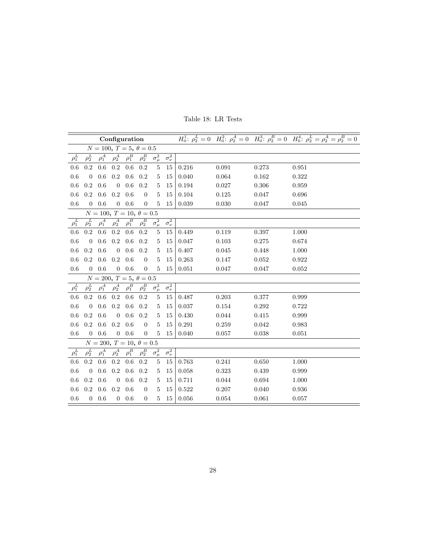|                                 |                |              | Configuration                             |              |                  |                |                             |       |       |       | $H_0^1$ : $\rho_2^L = 0$ $H_0^2$ : $\rho_2^A = 0$ $H_0^3$ : $\rho_2^B = 0$ $H_0^4$ : $\rho_2^L = \rho_2^A = \rho_2^B = 0$ |  |  |  |
|---------------------------------|----------------|--------------|-------------------------------------------|--------------|------------------|----------------|-----------------------------|-------|-------|-------|---------------------------------------------------------------------------------------------------------------------------|--|--|--|
|                                 |                |              | $N = 100, T = 5, \theta = 0.5$            |              |                  |                |                             |       |       |       |                                                                                                                           |  |  |  |
| $\rho_1^L$                      | $\rho_2^L$     | $\rho^A_1$   | $\rho_2^A$                                | $\rho^B_1$   | $\rho_2^B$       | $\sigma^2_\mu$ | $\sigma_{\nu}^2$            |       |       |       |                                                                                                                           |  |  |  |
| 0.6                             | 0.2            | 0.6          | $0.2\,$                                   | 0.6          | 0.2              | $\overline{5}$ | 15                          | 0.216 | 0.091 | 0.273 | 0.951                                                                                                                     |  |  |  |
| 0.6                             | $\overline{0}$ | 0.6          | $0.2\,$                                   | $0.6\,$      | 0.2              | 5              | 15                          | 0.040 | 0.064 | 0.162 | 0.322                                                                                                                     |  |  |  |
| 0.6                             | 0.2            | 0.6          | $\mathbf{0}$                              | 0.6          | 0.2              | 5              | 15                          | 0.194 | 0.027 | 0.306 | 0.959                                                                                                                     |  |  |  |
| 0.6                             | $0.2\,$        | 0.6          | $0.2\,$                                   | 0.6          | $\theta$         | 5              | 15                          | 0.104 | 0.125 | 0.047 | 0.696                                                                                                                     |  |  |  |
| 0.6                             | $\overline{0}$ | 0.6          | $\overline{0}$                            | $0.6\,$      | $\boldsymbol{0}$ | 5              | 15                          | 0.039 | 0.030 | 0.047 | 0.045                                                                                                                     |  |  |  |
| $N = 100, T = 10, \theta = 0.5$ |                |              |                                           |              |                  |                |                             |       |       |       |                                                                                                                           |  |  |  |
| $\rho^L_1$                      | $\rho^L_2$     | $\rho^A_1$   | $\rho_2^A$                                | $\rho_1^B$   | $\rho_2^B$       | $\sigma^2_\mu$ | $\sigma_{\nu}^2$            |       |       |       |                                                                                                                           |  |  |  |
| 0.6                             | 0.2            | 0.6          | 0.2                                       | 0.6          | 0.2              | 5              | 15                          | 0.449 | 0.119 | 0.397 | 1.000                                                                                                                     |  |  |  |
| 0.6                             | $\overline{0}$ | 0.6          | 0.2                                       | 0.6          | 0.2              | 5              | 15                          | 0.047 | 0.103 | 0.275 | 0.674                                                                                                                     |  |  |  |
| 0.6                             | 0.2            | 0.6          | $\boldsymbol{0}$                          | 0.6          | 0.2              | 5              | 15                          | 0.407 | 0.045 | 0.448 | 1.000                                                                                                                     |  |  |  |
| 0.6                             | $0.2\,$        | $0.6\,$      | 0.2                                       | 0.6          | $\overline{0}$   | $\overline{5}$ | 15                          | 0.263 | 0.147 | 0.052 | 0.922                                                                                                                     |  |  |  |
| 0.6                             | $\overline{0}$ | 0.6          | $\overline{0}$                            | $0.6\,$      | $\boldsymbol{0}$ | $\overline{5}$ | 15                          | 0.051 | 0.047 | 0.047 | 0.052                                                                                                                     |  |  |  |
|                                 |                |              | $\overline{N} = 200, T = 5, \theta = 0.5$ |              |                  |                |                             |       |       |       |                                                                                                                           |  |  |  |
| $\rho^L_1$                      | $\rho_2^L$     | $\rho_1^A$   | $\rho_2^A$                                | $\rho_1^B$   | $\rho_2^B$       | $\sigma^2_\mu$ | $\overline{\sigma_{\nu}^2}$ |       |       |       |                                                                                                                           |  |  |  |
| 0.6                             | 0.2            | 0.6          | 0.2                                       | 0.6          | 0.2              | 5              | 15                          | 0.487 | 0.203 | 0.377 | 0.999                                                                                                                     |  |  |  |
| 0.6                             | $\overline{0}$ | 0.6          | $0.2\,$                                   | 0.6          | 0.2              | 5              | 15                          | 0.037 | 0.154 | 0.292 | 0.722                                                                                                                     |  |  |  |
| 0.6                             | 0.2            | 0.6          | $\boldsymbol{0}$                          | 0.6          | 0.2              | 5              | 15                          | 0.430 | 0.044 | 0.415 | 0.999                                                                                                                     |  |  |  |
| 0.6                             | $0.2\,$        | 0.6          | $0.2\,$                                   | 0.6          | $\overline{0}$   | 5              | 15                          | 0.291 | 0.259 | 0.042 | 0.983                                                                                                                     |  |  |  |
| 0.6                             | $\overline{0}$ | $0.6\,$      |                                           | $0\quad 0.6$ | $\boldsymbol{0}$ | 5              | 15                          | 0.040 | 0.057 | 0.038 | 0.051                                                                                                                     |  |  |  |
|                                 |                |              | $N = 200, T = 10, \theta = 0.5$           |              |                  |                |                             |       |       |       |                                                                                                                           |  |  |  |
| $\rho^L_1$                      | $\rho_2^L$     | $\rho^A_1$   | $\rho_2^A$                                | $\rho_1^B$   | $\rho_2^B$       | $\sigma^2_\mu$ | $\overline{\sigma_{\nu}^2}$ |       |       |       |                                                                                                                           |  |  |  |
| 0.6                             | 0.2            | 0.6          | 0.2                                       | 0.6          | 0.2              | 5              | 15                          | 0.763 | 0.241 | 0.650 | 1.000                                                                                                                     |  |  |  |
| 0.6                             | $\overline{0}$ | 0.6          | 0.2                                       | 0.6          | 0.2              | 5              | 15                          | 0.058 | 0.323 | 0.439 | 0.999                                                                                                                     |  |  |  |
| 0.6                             | 0.2            | 0.6          | $\boldsymbol{0}$                          | $0.6\,$      | 0.2              | 5              | 15                          | 0.711 | 0.044 | 0.694 | 1.000                                                                                                                     |  |  |  |
| 0.6                             | $0.2\,$        | 0.6          | $0.2\,$                                   | 0.6          | $\boldsymbol{0}$ | 5              | 15                          | 0.522 | 0.207 | 0.040 | 0.936                                                                                                                     |  |  |  |
| 0.6                             |                | $0\quad 0.6$ |                                           | $0\quad 0.6$ | $\boldsymbol{0}$ | 5              | 15                          | 0.056 | 0.054 | 0.061 | 0.057                                                                                                                     |  |  |  |

Table 18: LR Tests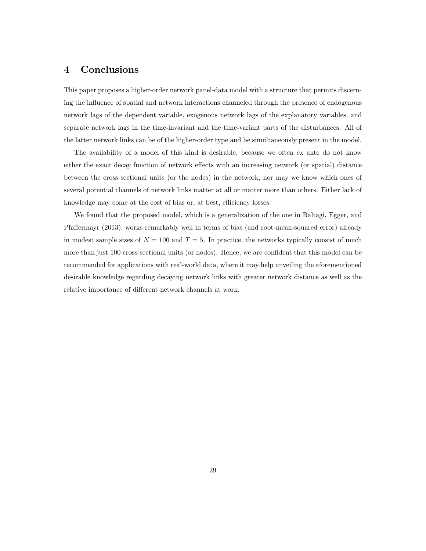#### 4 Conclusions

This paper proposes a higher-order network panel-data model with a structure that permits discerning the influence of spatial and network interactions channeled through the presence of endogenous network lags of the dependent variable, exogenous network lags of the explanatory variables, and separate network lags in the time-invariant and the time-variant parts of the disturbances. All of the latter network links can be of the higher-order type and be simultaneously present in the model.

The availability of a model of this kind is desirable, because we often ex ante do not know either the exact decay function of network effects with an increasing network (or spatial) distance between the cross sectional units (or the nodes) in the network, nor may we know which ones of several potential channels of network links matter at all or matter more than others. Either lack of knowledge may come at the cost of bias or, at best, efficiency losses.

We found that the proposed model, which is a generalization of the one in Baltagi, Egger, and Pfaffermayr (2013), works remarkably well in terms of bias (and root-mean-squared error) already in modest sample sizes of  $N = 100$  and  $T = 5$ . In practice, the networks typically consist of much more than just 100 cross-sectional units (or nodes). Hence, we are confident that this model can be recommended for applications with real-world data, where it may help unveiling the aforementioned desirable knowledge regarding decaying network links with greater network distance as well as the relative importance of different network channels at work.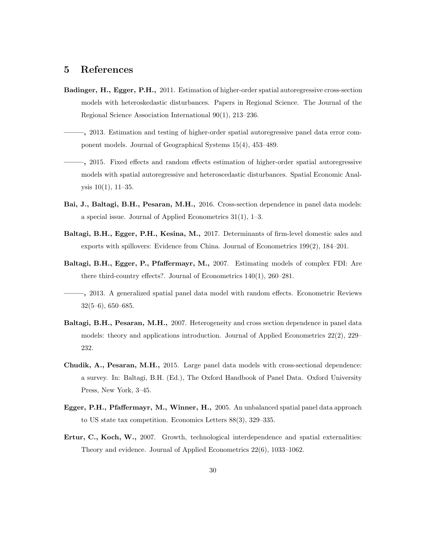#### 5 References

- Badinger, H., Egger, P.H., 2011. Estimation of higher-order spatial autoregressive cross-section models with heteroskedastic disturbances. Papers in Regional Science. The Journal of the Regional Science Association International 90(1), 213–236.
- ——–, 2013. Estimation and testing of higher-order spatial autoregressive panel data error component models. Journal of Geographical Systems 15(4), 453–489.
- ——–, 2015. Fixed effects and random effects estimation of higher-order spatial autoregressive models with spatial autoregressive and heteroscedastic disturbances. Spatial Economic Analysis 10(1), 11–35.
- Bai, J., Baltagi, B.H., Pesaran, M.H., 2016. Cross-section dependence in panel data models: a special issue. Journal of Applied Econometrics 31(1), 1–3.
- Baltagi, B.H., Egger, P.H., Kesina, M., 2017. Determinants of firm-level domestic sales and exports with spillovers: Evidence from China. Journal of Econometrics 199(2), 184–201.
- Baltagi, B.H., Egger, P., Pfaffermayr, M., 2007. Estimating models of complex FDI: Are there third-country effects?. Journal of Econometrics 140(1), 260–281.
- ——–, 2013. A generalized spatial panel data model with random effects. Econometric Reviews 32(5–6), 650–685.
- Baltagi, B.H., Pesaran, M.H., 2007. Heterogeneity and cross section dependence in panel data models: theory and applications introduction. Journal of Applied Econometrics 22(2), 229– 232.
- Chudik, A., Pesaran, M.H., 2015. Large panel data models with cross-sectional dependence: a survey. In: Baltagi, B.H. (Ed.), The Oxford Handbook of Panel Data. Oxford University Press, New York, 3–45.
- Egger, P.H., Pfaffermayr, M., Winner, H., 2005. An unbalanced spatial panel data approach to US state tax competition. Economics Letters 88(3), 329–335.
- Ertur, C., Koch, W., 2007. Growth, technological interdependence and spatial externalities: Theory and evidence. Journal of Applied Econometrics 22(6), 1033–1062.